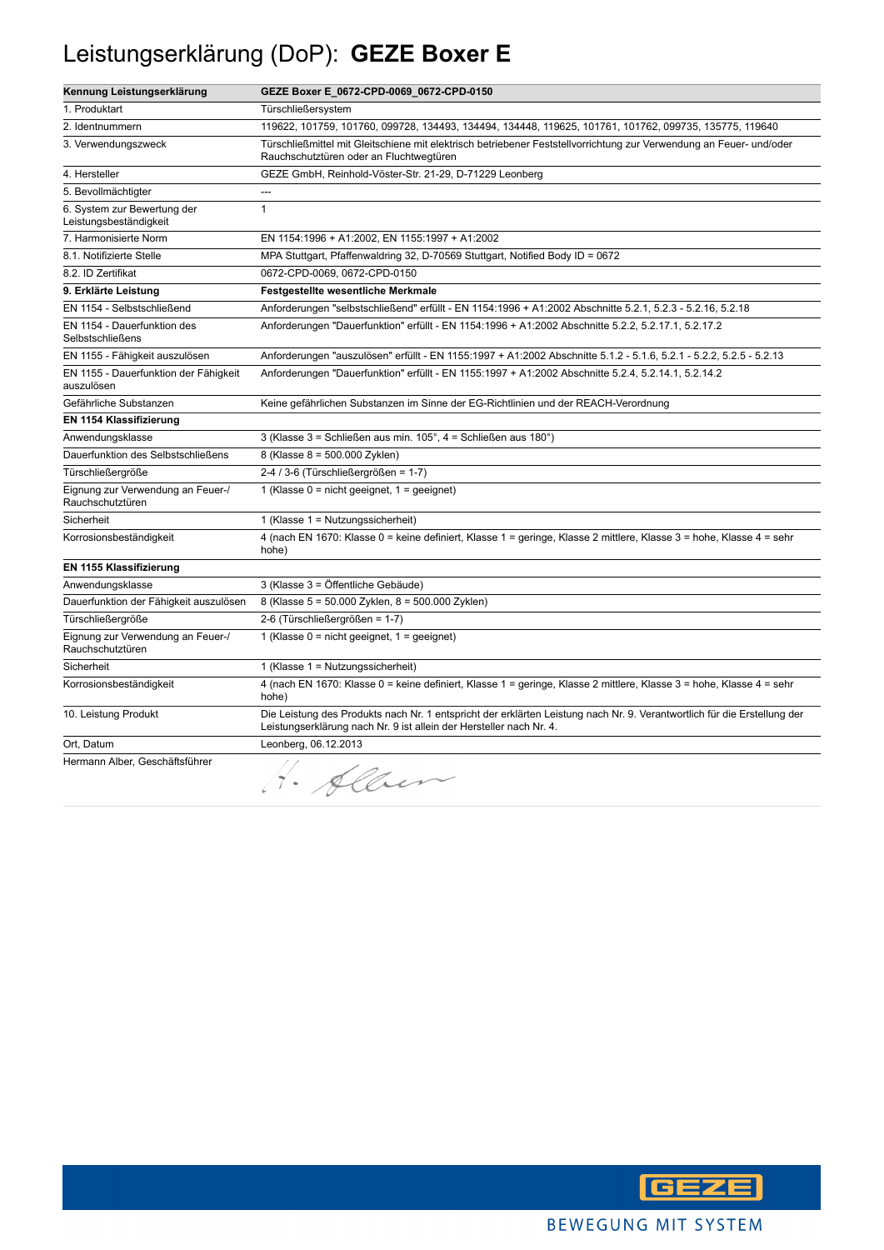## Leistungserklärung (DoP): **GEZE Boxer E**

| Kennung Leistungserklärung                             | GEZE Boxer E_0672-CPD-0069_0672-CPD-0150                                                                                                                                                        |
|--------------------------------------------------------|-------------------------------------------------------------------------------------------------------------------------------------------------------------------------------------------------|
| 1. Produktart                                          | Türschließersystem                                                                                                                                                                              |
| 2. Identnummern                                        | 119622, 101759, 101760, 099728, 134493, 134494, 134448, 119625, 101761, 101762, 099735, 135775, 119640                                                                                          |
| 3. Verwendungszweck                                    | Türschließmittel mit Gleitschiene mit elektrisch betriebener Feststellvorrichtung zur Verwendung an Feuer- und/oder<br>Rauchschutztüren oder an Fluchtwegtüren                                  |
| 4. Hersteller                                          | GEZE GmbH, Reinhold-Vöster-Str. 21-29, D-71229 Leonberg                                                                                                                                         |
| 5. Bevollmächtigter                                    | ---                                                                                                                                                                                             |
| 6. System zur Bewertung der<br>Leistungsbeständigkeit  | $\mathbf{1}$                                                                                                                                                                                    |
| 7. Harmonisierte Norm                                  | EN 1154:1996 + A1:2002, EN 1155:1997 + A1:2002                                                                                                                                                  |
| 8.1. Notifizierte Stelle                               | MPA Stuttgart, Pfaffenwaldring 32, D-70569 Stuttgart, Notified Body ID = 0672                                                                                                                   |
| 8.2. ID Zertifikat                                     | 0672-CPD-0069, 0672-CPD-0150                                                                                                                                                                    |
| 9. Erklärte Leistung                                   | <b>Festgestellte wesentliche Merkmale</b>                                                                                                                                                       |
| EN 1154 - Selbstschließend                             | Anforderungen "selbstschließend" erfüllt - EN 1154:1996 + A1:2002 Abschnitte 5.2.1, 5.2.3 - 5.2.16, 5.2.18                                                                                      |
| EN 1154 - Dauerfunktion des<br><b>Selbstschließens</b> | Anforderungen "Dauerfunktion" erfüllt - EN 1154:1996 + A1:2002 Abschnitte 5.2.2, 5.2.17.1, 5.2.17.2                                                                                             |
| EN 1155 - Fähigkeit auszulösen                         | Anforderungen "auszulösen" erfüllt - EN 1155:1997 + A1:2002 Abschnitte 5.1.2 - 5.1.6, 5.2.1 - 5.2.2, 5.2.5 - 5.2.13                                                                             |
| EN 1155 - Dauerfunktion der Fähigkeit<br>auszulösen    | Anforderungen "Dauerfunktion" erfüllt - EN 1155:1997 + A1:2002 Abschnitte 5.2.4, 5.2.14.1, 5.2.14.2                                                                                             |
| Gefährliche Substanzen                                 | Keine gefährlichen Substanzen im Sinne der EG-Richtlinien und der REACH-Verordnung                                                                                                              |
| EN 1154 Klassifizierung                                |                                                                                                                                                                                                 |
| Anwendungsklasse                                       | 3 (Klasse 3 = Schließen aus min. 105°, 4 = Schließen aus 180°)                                                                                                                                  |
| Dauerfunktion des Selbstschließens                     | 8 (Klasse 8 = 500.000 Zyklen)                                                                                                                                                                   |
| Türschließergröße                                      | 2-4 / 3-6 (Türschließergrößen = 1-7)                                                                                                                                                            |
| Eignung zur Verwendung an Feuer-/<br>Rauchschutztüren  | 1 (Klasse $0 = \text{nicht}$ geeignet, $1 = \text{geeignet}$ )                                                                                                                                  |
| Sicherheit                                             | 1 (Klasse 1 = Nutzungssicherheit)                                                                                                                                                               |
| Korrosionsbeständigkeit                                | 4 (nach EN 1670: Klasse 0 = keine definiert, Klasse 1 = geringe, Klasse 2 mittlere, Klasse 3 = hohe, Klasse 4 = sehr<br>hohe)                                                                   |
| EN 1155 Klassifizierung                                |                                                                                                                                                                                                 |
| Anwendungsklasse                                       | 3 (Klasse 3 = Öffentliche Gebäude)                                                                                                                                                              |
| Dauerfunktion der Fähigkeit auszulösen                 | 8 (Klasse 5 = 50.000 Zyklen, 8 = 500.000 Zyklen)                                                                                                                                                |
| Türschließergröße                                      | 2-6 (Türschließergrößen = 1-7)                                                                                                                                                                  |
| Eignung zur Verwendung an Feuer-/<br>Rauchschutztüren  | 1 (Klasse $0 = \text{nicht}$ geeignet, $1 = \text{geeignet}$ )                                                                                                                                  |
| Sicherheit                                             | 1 (Klasse 1 = Nutzungssicherheit)                                                                                                                                                               |
| Korrosionsbeständigkeit                                | 4 (nach EN 1670: Klasse 0 = keine definiert, Klasse 1 = geringe, Klasse 2 mittlere, Klasse 3 = hohe, Klasse 4 = sehr<br>hohe)                                                                   |
| 10. Leistung Produkt                                   | Die Leistung des Produkts nach Nr. 1 entspricht der erklärten Leistung nach Nr. 9. Verantwortlich für die Erstellung der<br>Leistungserklärung nach Nr. 9 ist allein der Hersteller nach Nr. 4. |
| Ort, Datum                                             | Leonberg, 06.12.2013                                                                                                                                                                            |
| Hermann Alber, Geschäftsführer                         | H. Alben                                                                                                                                                                                        |

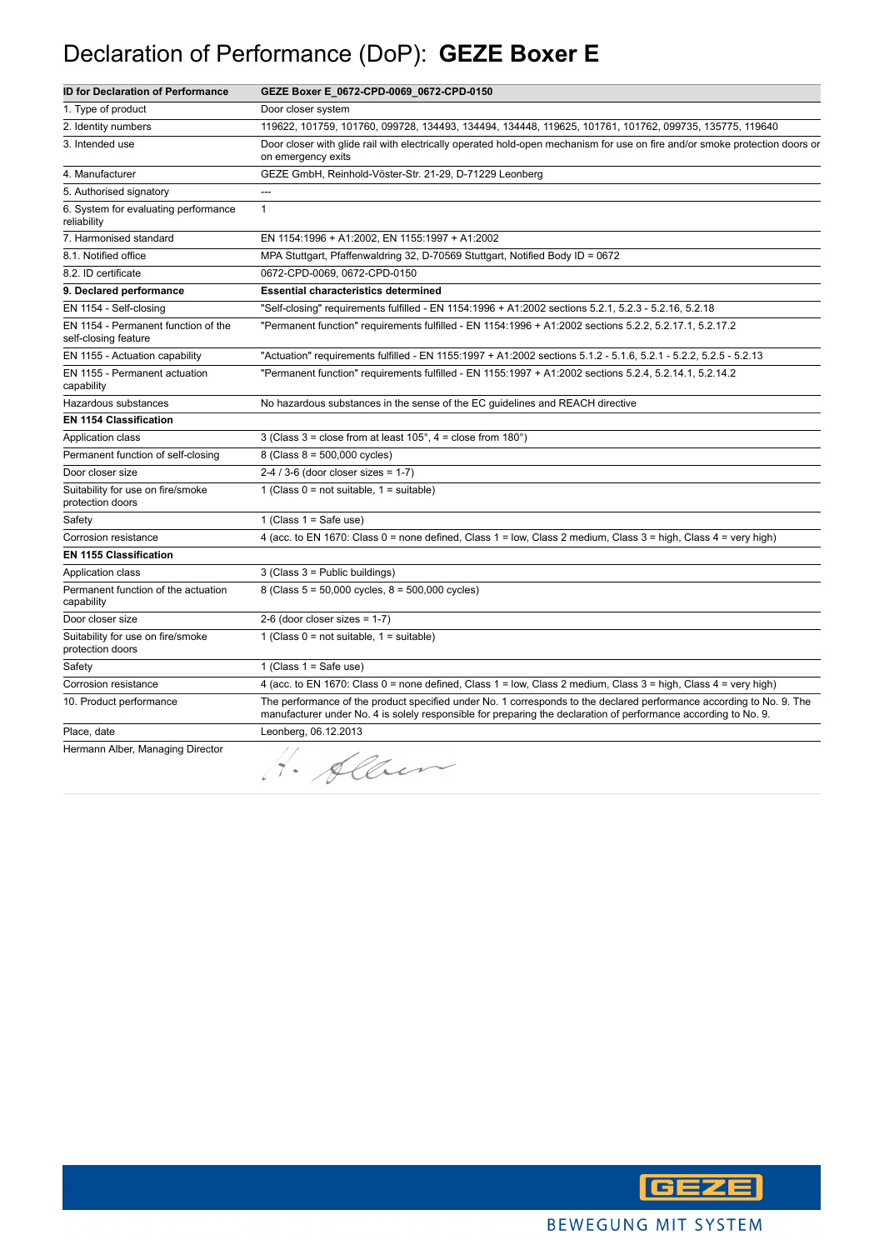## Declaration of Performance (DoP): **GEZE Boxer E**

| <b>ID for Declaration of Performance</b>                    | GEZE Boxer E_0672-CPD-0069_0672-CPD-0150                                                                                                                                                                                                |
|-------------------------------------------------------------|-----------------------------------------------------------------------------------------------------------------------------------------------------------------------------------------------------------------------------------------|
| 1. Type of product                                          | Door closer system                                                                                                                                                                                                                      |
| 2. Identity numbers                                         | 119622, 101759, 101760, 099728, 134493, 134494, 134448, 119625, 101761, 101762, 099735, 135775, 119640                                                                                                                                  |
| 3. Intended use                                             | Door closer with glide rail with electrically operated hold-open mechanism for use on fire and/or smoke protection doors or<br>on emergency exits                                                                                       |
| 4. Manufacturer                                             | GEZE GmbH, Reinhold-Vöster-Str. 21-29, D-71229 Leonberg                                                                                                                                                                                 |
| 5. Authorised signatory                                     | ---                                                                                                                                                                                                                                     |
| 6. System for evaluating performance<br>reliability         | $\mathbf{1}$                                                                                                                                                                                                                            |
| 7. Harmonised standard                                      | EN 1154:1996 + A1:2002, EN 1155:1997 + A1:2002                                                                                                                                                                                          |
| 8.1. Notified office                                        | MPA Stuttgart, Pfaffenwaldring 32, D-70569 Stuttgart, Notified Body ID = 0672                                                                                                                                                           |
| 8.2. ID certificate                                         | 0672-CPD-0069, 0672-CPD-0150                                                                                                                                                                                                            |
| 9. Declared performance                                     | <b>Essential characteristics determined</b>                                                                                                                                                                                             |
| EN 1154 - Self-closing                                      | "Self-closing" requirements fulfilled - EN 1154:1996 + A1:2002 sections 5.2.1, 5.2.3 - 5.2.16, 5.2.18                                                                                                                                   |
| EN 1154 - Permanent function of the<br>self-closing feature | "Permanent function" requirements fulfilled - EN 1154:1996 + A1:2002 sections 5.2.2, 5.2.17.1, 5.2.17.2                                                                                                                                 |
| EN 1155 - Actuation capability                              | "Actuation" requirements fulfilled - EN 1155:1997 + A1:2002 sections 5.1.2 - 5.1.6, 5.2.1 - 5.2.2, 5.2.5 - 5.2.13                                                                                                                       |
| EN 1155 - Permanent actuation<br>capability                 | "Permanent function" requirements fulfilled - EN 1155:1997 + A1:2002 sections 5.2.4, 5.2.14.1, 5.2.14.2                                                                                                                                 |
| Hazardous substances                                        | No hazardous substances in the sense of the EC guidelines and REACH directive                                                                                                                                                           |
| <b>EN 1154 Classification</b>                               |                                                                                                                                                                                                                                         |
| Application class                                           | 3 (Class $3 =$ close from at least $105^\circ$ , $4 =$ close from $180^\circ$ )                                                                                                                                                         |
| Permanent function of self-closing                          | 8 (Class $8 = 500,000$ cycles)                                                                                                                                                                                                          |
| Door closer size                                            | $2-4/3-6$ (door closer sizes = 1-7)                                                                                                                                                                                                     |
| Suitability for use on fire/smoke<br>protection doors       | 1 (Class $0 = not suitable$ , $1 = suitable$ )                                                                                                                                                                                          |
| Safety                                                      | 1 (Class $1 =$ Safe use)                                                                                                                                                                                                                |
| Corrosion resistance                                        | 4 (acc. to EN 1670: Class 0 = none defined, Class 1 = low, Class 2 medium, Class 3 = high, Class 4 = very high)                                                                                                                         |
| <b>EN 1155 Classification</b>                               |                                                                                                                                                                                                                                         |
| Application class                                           | 3 (Class 3 = Public buildings)                                                                                                                                                                                                          |
| Permanent function of the actuation<br>capability           | 8 (Class 5 = 50,000 cycles, 8 = 500,000 cycles)                                                                                                                                                                                         |
| Door closer size                                            | 2-6 (door closer sizes = $1-7$ )                                                                                                                                                                                                        |
| Suitability for use on fire/smoke<br>protection doors       | 1 (Class $0 = not suitable$ , $1 = suitable$ )                                                                                                                                                                                          |
| Safety                                                      | 1 (Class $1 =$ Safe use)                                                                                                                                                                                                                |
| Corrosion resistance                                        | 4 (acc. to EN 1670: Class 0 = none defined, Class 1 = low, Class 2 medium, Class 3 = high, Class 4 = very high)                                                                                                                         |
| 10. Product performance                                     | The performance of the product specified under No. 1 corresponds to the declared performance according to No. 9. The<br>manufacturer under No. 4 is solely responsible for preparing the declaration of performance according to No. 9. |
| Place, date                                                 | Leonberg, 06.12.2013                                                                                                                                                                                                                    |
| Hermann Alber, Managing Director                            | H. Alben                                                                                                                                                                                                                                |

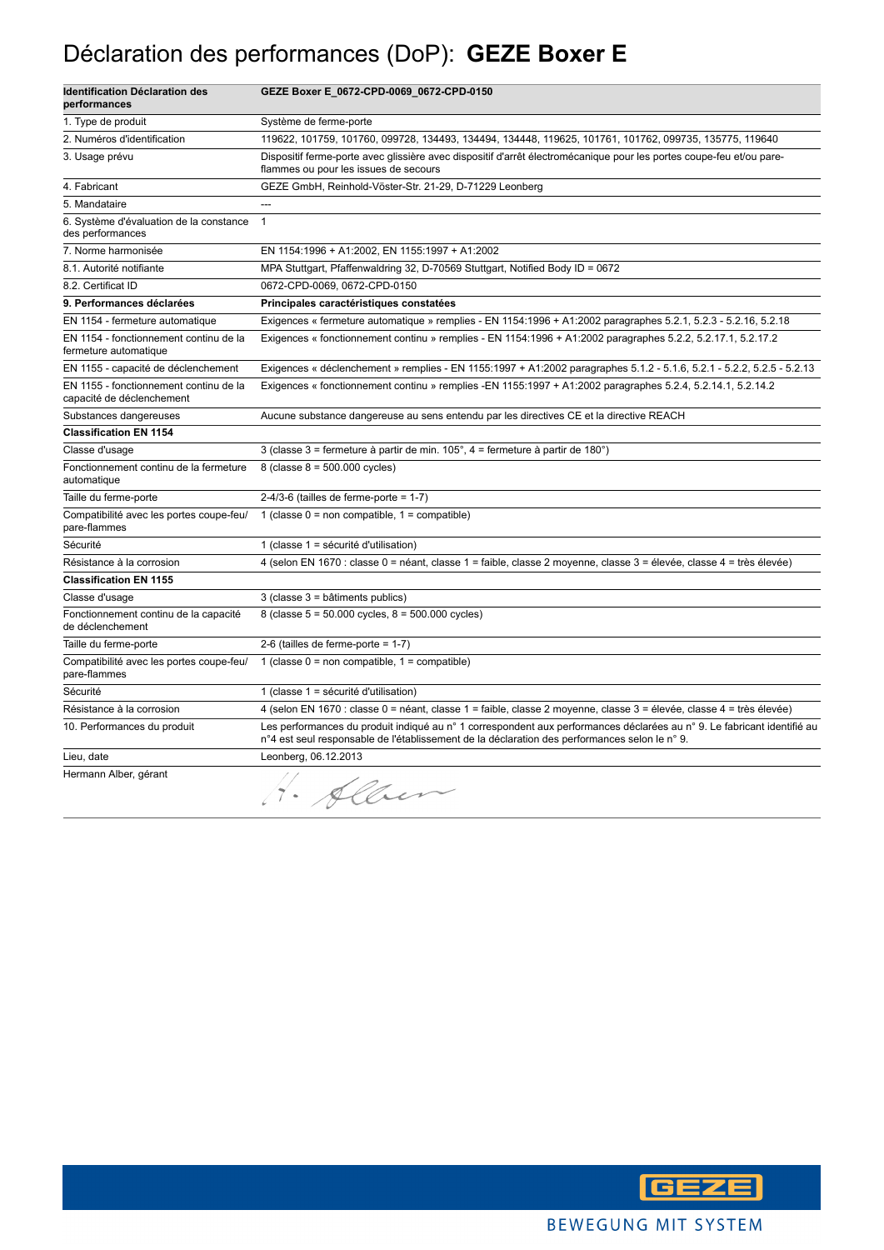### Déclaration des performances (DoP): **GEZE Boxer E**

| <b>Identification Déclaration des</b><br>performances               | GEZE Boxer E_0672-CPD-0069_0672-CPD-0150                                                                                                                                                                                |
|---------------------------------------------------------------------|-------------------------------------------------------------------------------------------------------------------------------------------------------------------------------------------------------------------------|
| 1. Type de produit                                                  | Système de ferme-porte                                                                                                                                                                                                  |
| 2. Numéros d'identification                                         | 119622, 101759, 101760, 099728, 134493, 134494, 134448, 119625, 101761, 101762, 099735, 135775, 119640                                                                                                                  |
| 3. Usage prévu                                                      | Dispositif ferme-porte avec glissière avec dispositif d'arrêt électromécanique pour les portes coupe-feu et/ou pare-<br>flammes ou pour les issues de secours                                                           |
| 4. Fabricant                                                        | GEZE GmbH, Reinhold-Vöster-Str. 21-29, D-71229 Leonberg                                                                                                                                                                 |
| 5. Mandataire                                                       | ---                                                                                                                                                                                                                     |
| 6. Système d'évaluation de la constance<br>des performances         | $\mathbf{1}$                                                                                                                                                                                                            |
| 7. Norme harmonisée                                                 | EN 1154:1996 + A1:2002, EN 1155:1997 + A1:2002                                                                                                                                                                          |
| 8.1. Autorité notifiante                                            | MPA Stuttgart, Pfaffenwaldring 32, D-70569 Stuttgart, Notified Body ID = 0672                                                                                                                                           |
| 8.2. Certificat ID                                                  | 0672-CPD-0069, 0672-CPD-0150                                                                                                                                                                                            |
| 9. Performances déclarées                                           | Principales caractéristiques constatées                                                                                                                                                                                 |
| EN 1154 - fermeture automatique                                     | Exigences « fermeture automatique » remplies - EN 1154:1996 + A1:2002 paragraphes 5.2.1, 5.2.3 - 5.2.16, 5.2.18                                                                                                         |
| EN 1154 - fonctionnement continu de la<br>fermeture automatique     | Exigences « fonctionnement continu » remplies - EN 1154:1996 + A1:2002 paragraphes 5.2.2, 5.2.17.1, 5.2.17.2                                                                                                            |
| EN 1155 - capacité de déclenchement                                 | Exigences « déclenchement » remplies - EN 1155:1997 + A1:2002 paragraphes 5.1.2 - 5.1.6, 5.2.1 - 5.2.2, 5.2.5 - 5.2.13                                                                                                  |
| EN 1155 - fonctionnement continu de la<br>capacité de déclenchement | Exigences « fonctionnement continu » remplies -EN 1155:1997 + A1:2002 paragraphes 5.2.4, 5.2.14.1, 5.2.14.2                                                                                                             |
| Substances dangereuses                                              | Aucune substance dangereuse au sens entendu par les directives CE et la directive REACH                                                                                                                                 |
| <b>Classification EN 1154</b>                                       |                                                                                                                                                                                                                         |
| Classe d'usage                                                      | 3 (classe 3 = fermeture à partir de min. 105°, 4 = fermeture à partir de 180°)                                                                                                                                          |
| Fonctionnement continu de la fermeture<br>automatique               | 8 (classe $8 = 500.000$ cycles)                                                                                                                                                                                         |
| Taille du ferme-porte                                               | $2-4/3-6$ (tailles de ferme-porte = 1-7)                                                                                                                                                                                |
| Compatibilité avec les portes coupe-feu/<br>pare-flammes            | 1 (classe $0 =$ non compatible, $1 =$ compatible)                                                                                                                                                                       |
| Sécurité                                                            | 1 (classe 1 = sécurité d'utilisation)                                                                                                                                                                                   |
| Résistance à la corrosion                                           | 4 (selon EN 1670 : classe 0 = néant, classe 1 = faible, classe 2 moyenne, classe 3 = élevée, classe 4 = très élevée)                                                                                                    |
| <b>Classification EN 1155</b>                                       |                                                                                                                                                                                                                         |
| Classe d'usage                                                      | 3 (classe 3 = bâtiments publics)                                                                                                                                                                                        |
| Fonctionnement continu de la capacité<br>de déclenchement           | 8 (classe $5 = 50.000$ cycles, $8 = 500.000$ cycles)                                                                                                                                                                    |
| Taille du ferme-porte                                               | 2-6 (tailles de ferme-porte = $1-7$ )                                                                                                                                                                                   |
| Compatibilité avec les portes coupe-feu/<br>pare-flammes            | 1 (classe $0 =$ non compatible, $1 =$ compatible)                                                                                                                                                                       |
| Sécurité                                                            | 1 (classe 1 = sécurité d'utilisation)                                                                                                                                                                                   |
| Résistance à la corrosion                                           | 4 (selon EN 1670 : classe 0 = néant, classe 1 = faible, classe 2 moyenne, classe 3 = élevée, classe 4 = très élevée)                                                                                                    |
| 10. Performances du produit                                         | Les performances du produit indiqué au n° 1 correspondent aux performances déclarées au n° 9. Le fabricant identifié au<br>n°4 est seul responsable de l'établissement de la déclaration des performances selon le n°9. |
| Lieu, date                                                          | Leonberg, 06.12.2013                                                                                                                                                                                                    |
| Hermann Alber, gérant                                               | · Alber                                                                                                                                                                                                                 |

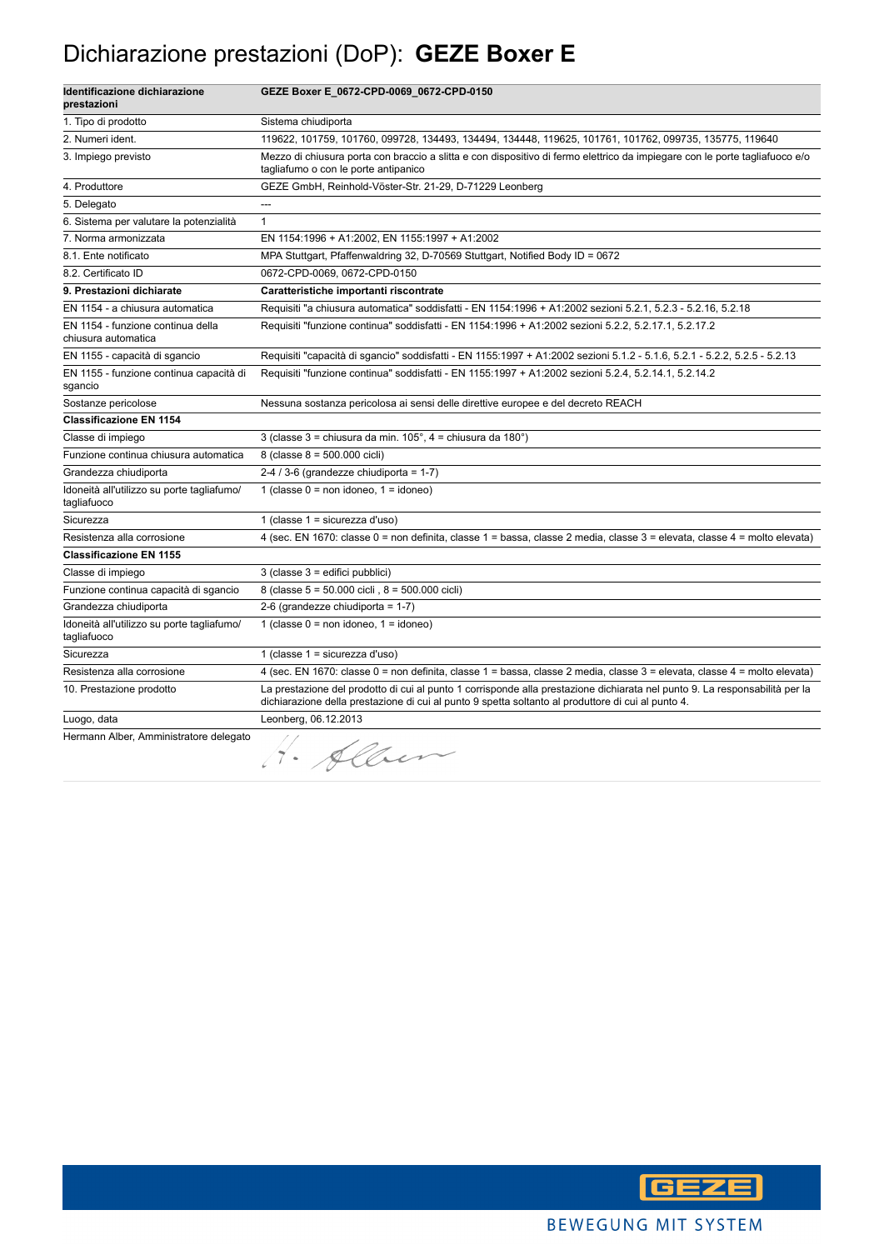### Dichiarazione prestazioni (DoP): **GEZE Boxer E**

| Identificazione dichiarazione<br>prestazioni              | GEZE Boxer E_0672-CPD-0069_0672-CPD-0150                                                                                                                                                                                          |
|-----------------------------------------------------------|-----------------------------------------------------------------------------------------------------------------------------------------------------------------------------------------------------------------------------------|
| 1. Tipo di prodotto                                       | Sistema chiudiporta                                                                                                                                                                                                               |
| 2. Numeri ident.                                          | 119622, 101759, 101760, 099728, 134493, 134494, 134448, 119625, 101761, 101762, 099735, 135775, 119640                                                                                                                            |
| 3. Impiego previsto                                       | Mezzo di chiusura porta con braccio a slitta e con dispositivo di fermo elettrico da impiegare con le porte tagliafuoco e/o<br>tagliafumo o con le porte antipanico                                                               |
| 4. Produttore                                             | GEZE GmbH, Reinhold-Vöster-Str. 21-29, D-71229 Leonberg                                                                                                                                                                           |
| 5. Delegato                                               | ---                                                                                                                                                                                                                               |
| 6. Sistema per valutare la potenzialità                   | $\mathbf{1}$                                                                                                                                                                                                                      |
| 7. Norma armonizzata                                      | EN 1154:1996 + A1:2002, EN 1155:1997 + A1:2002                                                                                                                                                                                    |
| 8.1. Ente notificato                                      | MPA Stuttgart, Pfaffenwaldring 32, D-70569 Stuttgart, Notified Body ID = 0672                                                                                                                                                     |
| 8.2. Certificato ID                                       | 0672-CPD-0069, 0672-CPD-0150                                                                                                                                                                                                      |
| 9. Prestazioni dichiarate                                 | Caratteristiche importanti riscontrate                                                                                                                                                                                            |
| EN 1154 - a chiusura automatica                           | Requisiti "a chiusura automatica" soddisfatti - EN 1154:1996 + A1:2002 sezioni 5.2.1, 5.2.3 - 5.2.16, 5.2.18                                                                                                                      |
| EN 1154 - funzione continua della<br>chiusura automatica  | Requisiti "funzione continua" soddisfatti - EN 1154:1996 + A1:2002 sezioni 5.2.2, 5.2.17.1, 5.2.17.2                                                                                                                              |
| EN 1155 - capacità di sgancio                             | Requisiti "capacità di sgancio" soddisfatti - EN 1155:1997 + A1:2002 sezioni 5.1.2 - 5.1.6, 5.2.1 - 5.2.2, 5.2.5 - 5.2.13                                                                                                         |
| EN 1155 - funzione continua capacità di<br>sgancio        | Requisiti "funzione continua" soddisfatti - EN 1155:1997 + A1:2002 sezioni 5.2.4, 5.2.14.1, 5.2.14.2                                                                                                                              |
| Sostanze pericolose                                       | Nessuna sostanza pericolosa ai sensi delle direttive europee e del decreto REACH                                                                                                                                                  |
| <b>Classificazione EN 1154</b>                            |                                                                                                                                                                                                                                   |
| Classe di impiego                                         | 3 (classe 3 = chiusura da min. 105°, 4 = chiusura da 180°)                                                                                                                                                                        |
| Funzione continua chiusura automatica                     | 8 (classe 8 = 500.000 cicli)                                                                                                                                                                                                      |
| Grandezza chiudiporta                                     | 2-4 / 3-6 (grandezze chiudiporta = $1-7$ )                                                                                                                                                                                        |
| Idoneità all'utilizzo su porte tagliafumo/<br>tagliafuoco | 1 (classe $0 = \text{non}$ idoneo, $1 = \text{idoneo}$ )                                                                                                                                                                          |
| Sicurezza                                                 | 1 (classe $1 =$ sicurezza d'uso)                                                                                                                                                                                                  |
| Resistenza alla corrosione                                | 4 (sec. EN 1670: classe 0 = non definita, classe 1 = bassa, classe 2 media, classe 3 = elevata, classe 4 = molto elevata)                                                                                                         |
| <b>Classificazione EN 1155</b>                            |                                                                                                                                                                                                                                   |
| Classe di impiego                                         | 3 (classe 3 = edifici pubblici)                                                                                                                                                                                                   |
| Funzione continua capacità di sgancio                     | 8 (classe 5 = 50.000 cicli, 8 = 500.000 cicli)                                                                                                                                                                                    |
| Grandezza chiudiporta                                     | 2-6 (grandezze chiudiporta = 1-7)                                                                                                                                                                                                 |
| Idoneità all'utilizzo su porte tagliafumo/<br>tagliafuoco | 1 (classe $0 = \text{non}$ idoneo, $1 = \text{idoneo}$ )                                                                                                                                                                          |
| Sicurezza                                                 | 1 (classe $1 =$ sicurezza d'uso)                                                                                                                                                                                                  |
| Resistenza alla corrosione                                | 4 (sec. EN 1670: classe 0 = non definita, classe 1 = bassa, classe 2 media, classe 3 = elevata, classe 4 = molto elevata)                                                                                                         |
| 10. Prestazione prodotto                                  | La prestazione del prodotto di cui al punto 1 corrisponde alla prestazione dichiarata nel punto 9. La responsabilità per la<br>dichiarazione della prestazione di cui al punto 9 spetta soltanto al produttore di cui al punto 4. |
| Luogo, data                                               | Leonberg, 06.12.2013                                                                                                                                                                                                              |
| Hermann Alber, Amministratore delegato                    | 4. Alber                                                                                                                                                                                                                          |

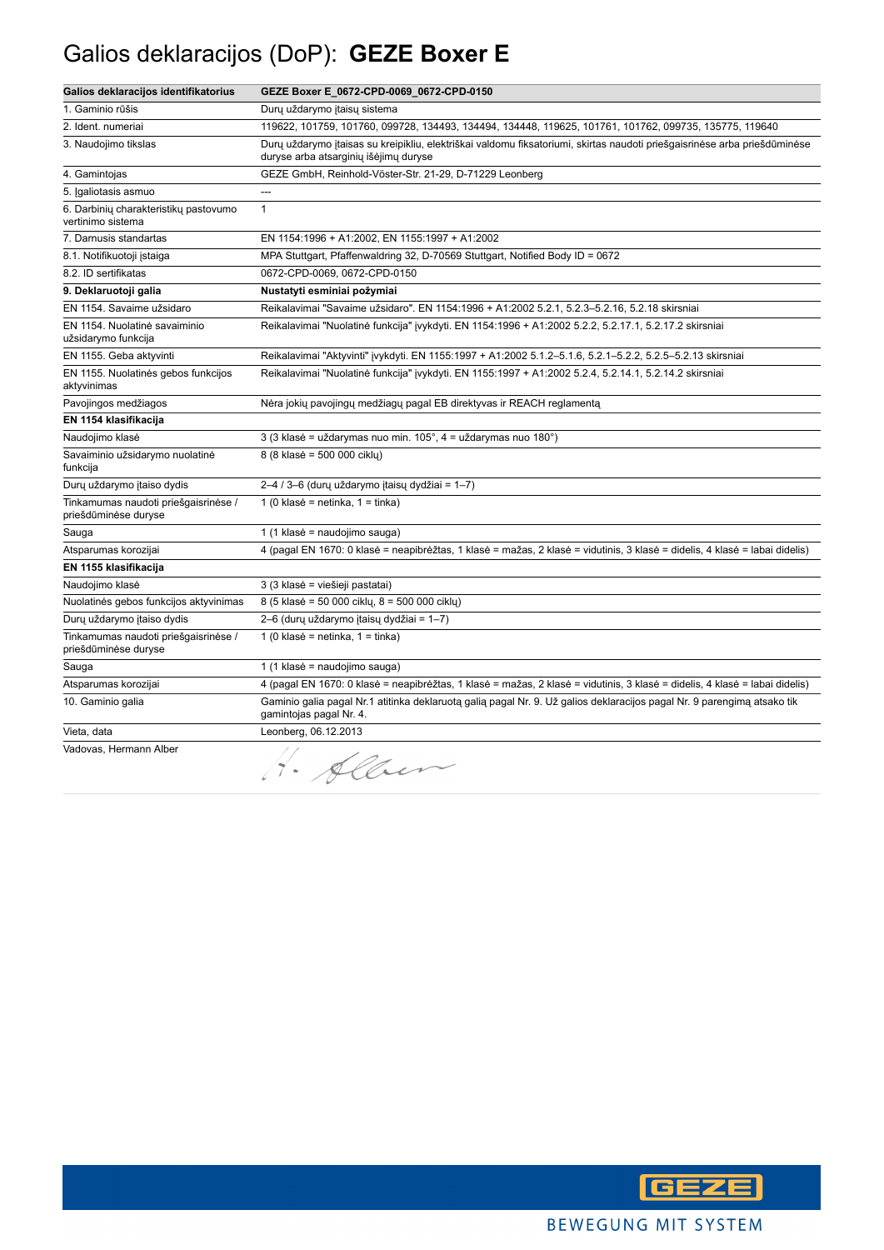### Galios deklaracijos (DoP): **GEZE Boxer E**

| Galios deklaracijos identifikatorius                         | GEZE Boxer E_0672-CPD-0069_0672-CPD-0150                                                                                                                           |
|--------------------------------------------------------------|--------------------------------------------------------------------------------------------------------------------------------------------------------------------|
| 1. Gaminio rūšis                                             | Durų uždarymo įtaisų sistema                                                                                                                                       |
| 2. Ident. numeriai                                           | 119622, 101759, 101760, 099728, 134493, 134494, 134448, 119625, 101761, 101762, 099735, 135775, 119640                                                             |
| 3. Naudojimo tikslas                                         | Dury uždarymo įtaisas su kreipikliu, elektriškai valdomu fiksatoriumi, skirtas naudoti priešgaisrinėse arba priešdūminėse<br>duryse arba atsarginių išėjimų duryse |
| 4. Gamintojas                                                | GEZE GmbH, Reinhold-Vöster-Str. 21-29, D-71229 Leonberg                                                                                                            |
| 5. Įgaliotasis asmuo                                         | ---                                                                                                                                                                |
| 6. Darbinių charakteristikų pastovumo<br>vertinimo sistema   | $\mathbf{1}$                                                                                                                                                       |
| 7. Darnusis standartas                                       | EN 1154:1996 + A1:2002, EN 1155:1997 + A1:2002                                                                                                                     |
| 8.1. Notifikuotoji įstaiga                                   | MPA Stuttgart, Pfaffenwaldring 32, D-70569 Stuttgart, Notified Body ID = 0672                                                                                      |
| 8.2. ID sertifikatas                                         | 0672-CPD-0069, 0672-CPD-0150                                                                                                                                       |
| 9. Deklaruotoji galia                                        | Nustatyti esminiai požymiai                                                                                                                                        |
| EN 1154. Savaime užsidaro                                    | Reikalavimai "Savaime užsidaro". EN 1154:1996 + A1:2002 5.2.1, 5.2.3-5.2.16, 5.2.18 skirsniai                                                                      |
| EN 1154. Nuolatinė savaiminio<br>užsidarymo funkcija         | Reikalavimai "Nuolatinė funkcija" įvykdyti. EN 1154:1996 + A1:2002 5.2.2, 5.2.17.1, 5.2.17.2 skirsniai                                                             |
| EN 1155. Geba aktyvinti                                      | Reikalavimai "Aktyvinti" įvykdyti. EN 1155:1997 + A1:2002 5.1.2-5.1.6, 5.2.1-5.2.2, 5.2.5-5.2.13 skirsniai                                                         |
| EN 1155. Nuolatinės gebos funkcijos<br>aktyvinimas           | Reikalavimai "Nuolatinė funkcija" įvykdyti. EN 1155:1997 + A1:2002 5.2.4, 5.2.14.1, 5.2.14.2 skirsniai                                                             |
| Pavojingos medžiagos                                         | Nėra jokių pavojingų medžiagų pagal EB direktyvas ir REACH reglamentą                                                                                              |
| EN 1154 klasifikacija                                        |                                                                                                                                                                    |
| Naudojimo klasė                                              | 3 (3 klasė = uždarymas nuo min. 105°, 4 = uždarymas nuo 180°)                                                                                                      |
| Savaiminio užsidarymo nuolatinė<br>funkcija                  | 8 (8 klasė = 500 000 cikly)                                                                                                                                        |
| Dury uždarymo įtaiso dydis                                   | 2-4 / 3-6 (durų uždarymo įtaisų dydžiai = 1-7)                                                                                                                     |
| Tinkamumas naudoti priešgaisrinėse /<br>priešdūminėse duryse | 1 (0 klasė = netinka, $1 =$ tinka)                                                                                                                                 |
| Sauga                                                        | 1 (1 klasė = naudojimo sauga)                                                                                                                                      |
| Atsparumas korozijai                                         | 4 (pagal EN 1670: 0 klasė = neapibrėžtas, 1 klasė = mažas, 2 klasė = vidutinis, 3 klasė = didelis, 4 klasė = labai didelis)                                        |
| EN 1155 klasifikacija                                        |                                                                                                                                                                    |
| Naudojimo klasė                                              | 3 (3 klasė = viešieji pastatai)                                                                                                                                    |
| Nuolatinės gebos funkcijos aktyvinimas                       | 8 (5 klasė = 50 000 ciklų, 8 = 500 000 ciklų)                                                                                                                      |
| Durų uždarymo įtaiso dydis                                   | 2–6 (durų uždarymo įtaisų dydžiai = 1–7)                                                                                                                           |
| Tinkamumas naudoti priešgaisrinėse /<br>priešdūminėse duryse | 1 (0 klasė = netinka, $1 =$ tinka)                                                                                                                                 |
| Sauga                                                        | 1 (1 klasė = naudojimo sauga)                                                                                                                                      |
| Atsparumas korozijai                                         | 4 (pagal EN 1670: 0 klasė = neapibrėžtas, 1 klasė = mažas, 2 klasė = vidutinis, 3 klasė = didelis, 4 klasė = labai didelis)                                        |
| 10. Gaminio galia                                            | Gaminio galia pagal Nr.1 atitinka deklaruotą galią pagal Nr. 9. Už galios deklaracijos pagal Nr. 9 parengimą atsako tik<br>gamintojas pagal Nr. 4.                 |
| Vieta, data                                                  | Leonberg, 06.12.2013                                                                                                                                               |
| Vadovas, Hermann Alber                                       | H. Sleur                                                                                                                                                           |

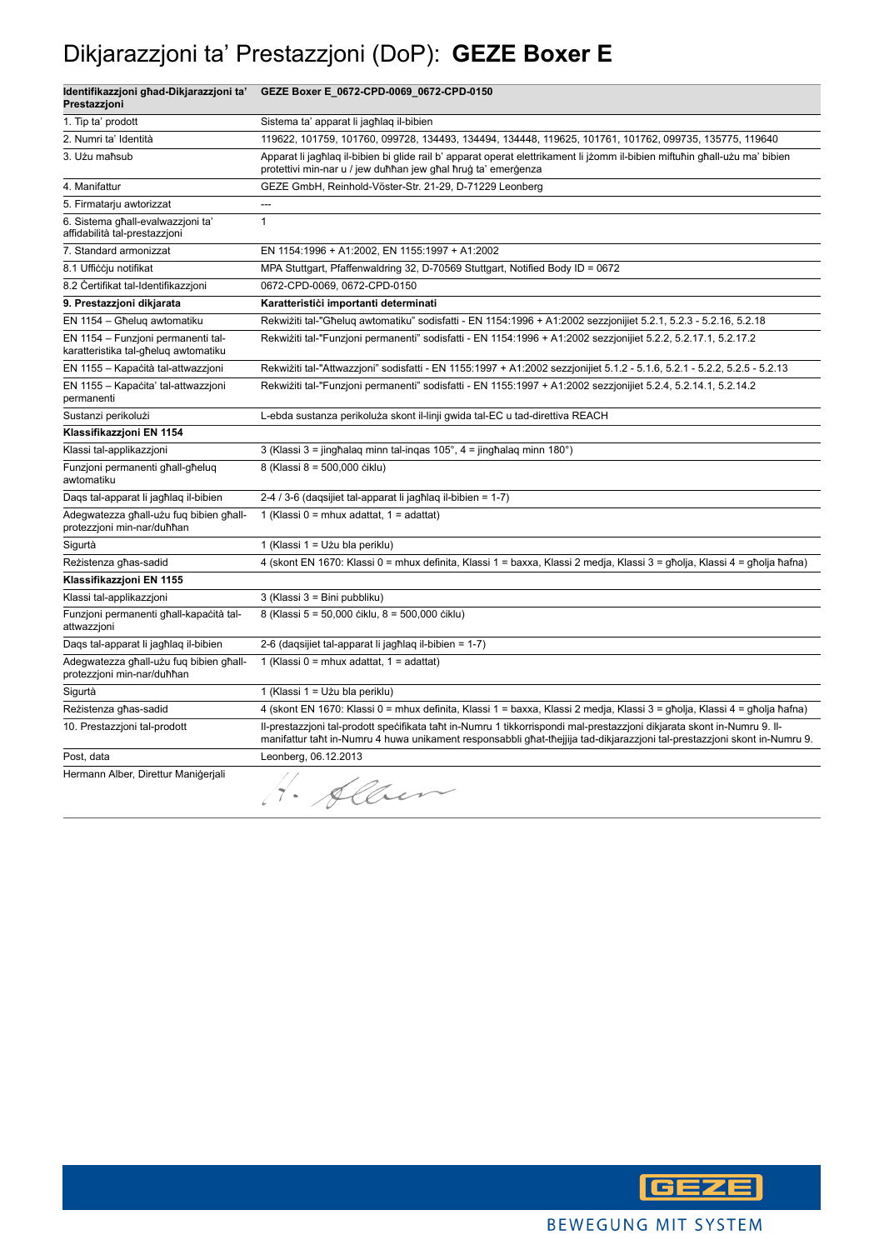## Dikjarazzjoni ta' Prestazzjoni (DoP): **GEZE Boxer E**

| Identifikazzjoni għad-Dikjarazzjoni ta'<br>Prestazzjoni                    | GEZE Boxer E_0672-CPD-0069_0672-CPD-0150                                                                                                                                                                                                             |
|----------------------------------------------------------------------------|------------------------------------------------------------------------------------------------------------------------------------------------------------------------------------------------------------------------------------------------------|
| 1. Tip ta' prodott                                                         | Sistema ta' apparat li jagħlag il-bibien                                                                                                                                                                                                             |
| 2. Numri ta' Identità                                                      | 119622, 101759, 101760, 099728, 134493, 134494, 134448, 119625, 101761, 101762, 099735, 135775, 119640                                                                                                                                               |
| 3. Użu maħsub                                                              | Apparat li jagħlaq il-bibien bi glide rail b' apparat operat elettrikament li jżomm il-bibien miftuħin għall-użu ma' bibien<br>protettivi min-nar u / jew duħħan jew għal ħruġ ta' emerġenza                                                         |
| 4. Manifattur                                                              | GEZE GmbH, Reinhold-Vöster-Str. 21-29, D-71229 Leonberg                                                                                                                                                                                              |
| 5. Firmatarju awtorizzat                                                   | ---                                                                                                                                                                                                                                                  |
| 6. Sistema għall-evalwazzjoni ta'<br>affidabilità tal-prestazzjoni         | $\mathbf{1}$                                                                                                                                                                                                                                         |
| 7. Standard armonizzat                                                     | EN 1154:1996 + A1:2002, EN 1155:1997 + A1:2002                                                                                                                                                                                                       |
| 8.1 Ufficcju notifikat                                                     | MPA Stuttgart, Pfaffenwaldring 32, D-70569 Stuttgart, Notified Body ID = 0672                                                                                                                                                                        |
| 8.2 Certifikat tal-Identifikazzjoni                                        | 0672-CPD-0069, 0672-CPD-0150                                                                                                                                                                                                                         |
| 9. Prestazzjoni dikjarata                                                  | Karatteristići importanti determinati                                                                                                                                                                                                                |
| EN 1154 - Għelug awtomatiku                                                | Rekwiżiti tal-"Għeluq awtomatiku" sodisfatti - EN 1154:1996 + A1:2002 sezzjonijiet 5.2.1, 5.2.3 - 5.2.16, 5.2.18                                                                                                                                     |
| EN 1154 - Funzjoni permanenti tal-<br>karatteristika tal-għeluq awtomatiku | Rekwiziti tal-"Funzjoni permanenti" sodisfatti - EN 1154:1996 + A1:2002 sezzjonijiet 5.2.2, 5.2.17.1, 5.2.17.2                                                                                                                                       |
| EN 1155 - Kapaċità tal-attwazzjoni                                         | Rekwiżiti tal-"Attwazzjoni" sodisfatti - EN 1155:1997 + A1:2002 sezzjonijiet 5.1.2 - 5.1.6, 5.2.1 - 5.2.2, 5.2.5 - 5.2.13                                                                                                                            |
| EN 1155 - Kapaċita' tal-attwazzjoni<br>permanenti                          | Rekwiżiti tal-"Funzjoni permanenti" sodisfatti - EN 1155:1997 + A1:2002 sezzjonijiet 5.2.4, 5.2.14.1, 5.2.14.2                                                                                                                                       |
| Sustanzi perikolużi                                                        | L-ebda sustanza perikoluża skont il-linji gwida tal-EC u tad-direttiva REACH                                                                                                                                                                         |
| Klassifikazzjoni EN 1154                                                   |                                                                                                                                                                                                                                                      |
| Klassi tal-applikazzjoni                                                   | 3 (Klassi 3 = jingħalaq minn tal-inqas 105°, 4 = jingħalaq minn 180°)                                                                                                                                                                                |
| Funzjoni permanenti għall-għeluq<br>awtomatiku                             | 8 (Klassi 8 = 500,000 ciklu)                                                                                                                                                                                                                         |
| Daqs tal-apparat li jagħlaq il-bibien                                      | 2-4 / 3-6 (daqsijiet tal-apparat li jagħlaq il-bibien = 1-7)                                                                                                                                                                                         |
| Adegwatezza għall-użu fuq bibien għall-<br>protezzjoni min-nar/duħħan      | 1 (Klassi 0 = mhux adattat, $1 =$ adattat)                                                                                                                                                                                                           |
| Sigurtà                                                                    | 1 (Klassi 1 = Użu bla periklu)                                                                                                                                                                                                                       |
| Reżistenza għas-sadid                                                      | 4 (skont EN 1670: Klassi 0 = mhux definita, Klassi 1 = baxxa, Klassi 2 medja, Klassi 3 = għolja, Klassi 4 = għolja ħafna)                                                                                                                            |
| Klassifikazzjoni EN 1155                                                   |                                                                                                                                                                                                                                                      |
| Klassi tal-applikazzjoni                                                   | 3 (Klassi 3 = Bini pubbliku)                                                                                                                                                                                                                         |
| Funzjoni permanenti għall-kapaċità tal-<br>attwazzjoni                     | 8 (Klassi 5 = 50,000 ciklu, 8 = 500,000 ciklu)                                                                                                                                                                                                       |
| Daqs tal-apparat li jagħlaq il-bibien                                      | 2-6 (daqsijiet tal-apparat li jagħlaq il-bibien = 1-7)                                                                                                                                                                                               |
| Adegwatezza għall-użu fuq bibien għall-<br>protezzjoni min-nar/duħħan      | 1 (Klassi 0 = mhux adattat, 1 = adattat)                                                                                                                                                                                                             |
| Sigurtà                                                                    | 1 (Klassi 1 = Użu bla periklu)                                                                                                                                                                                                                       |
| Reżistenza għas-sadid                                                      | 4 (skont EN 1670: Klassi 0 = mhux definita, Klassi 1 = baxxa, Klassi 2 medja, Klassi 3 = għolja, Klassi 4 = għolja ħafna)                                                                                                                            |
| 10. Prestazzjoni tal-prodott                                               | II-prestazzjoni tal-prodott specifikata taht in-Numru 1 tikkorrispondi mal-prestazzjoni dikjarata skont in-Numru 9. II-<br>manifattur taht in-Numru 4 huwa unikament responsabbli ghat-thejjija tad-dikjarazzjoni tal-prestazzjoni skont in-Numru 9. |
| Post, data                                                                 | Leonberg, 06.12.2013                                                                                                                                                                                                                                 |
| Hermann Alber, Direttur Maniğerjali                                        | 1. Alber                                                                                                                                                                                                                                             |

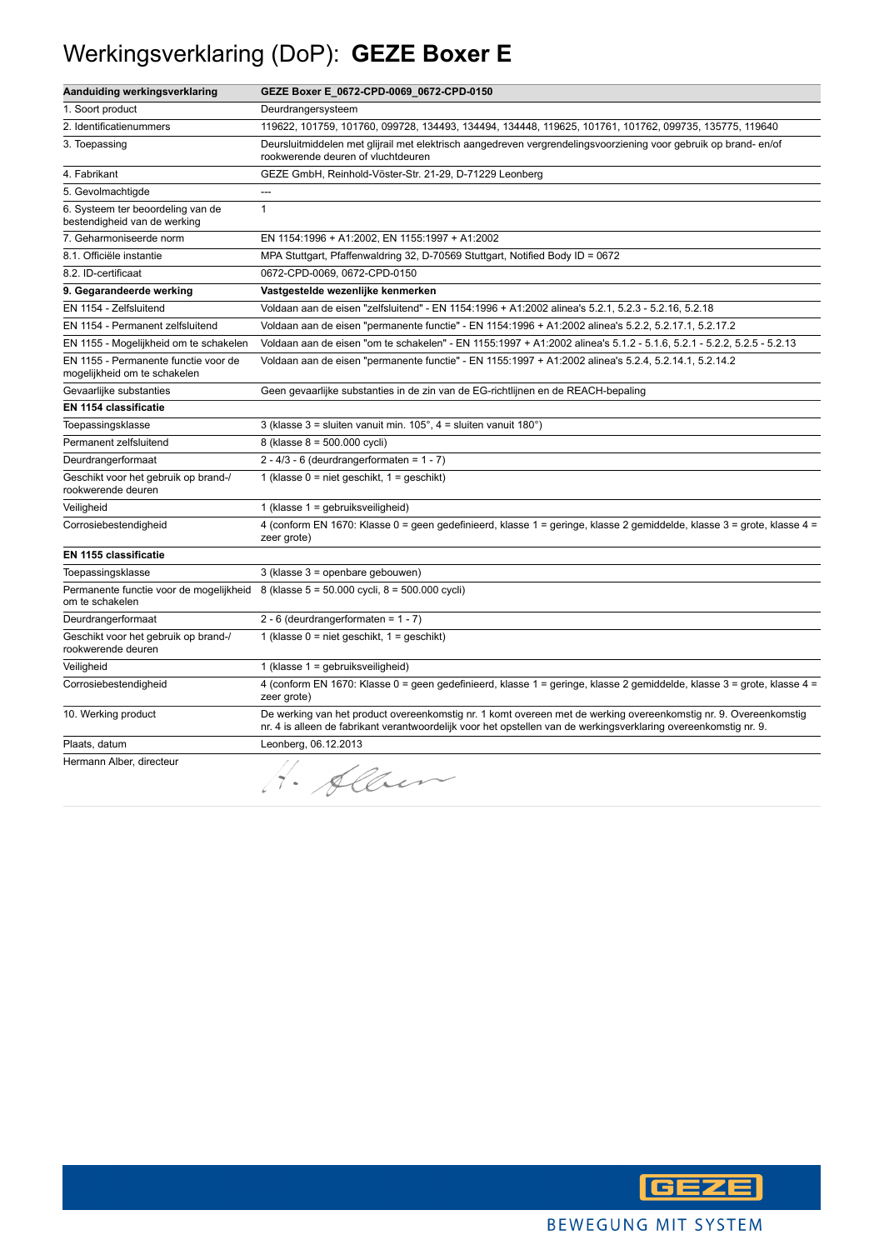## Werkingsverklaring (DoP): **GEZE Boxer E**

| Aanduiding werkingsverklaring                                        | GEZE Boxer E_0672-CPD-0069_0672-CPD-0150                                                                                                                                                                                             |
|----------------------------------------------------------------------|--------------------------------------------------------------------------------------------------------------------------------------------------------------------------------------------------------------------------------------|
| 1. Soort product                                                     | Deurdrangersysteem                                                                                                                                                                                                                   |
| 2. Identificatienummers                                              | 119622, 101759, 101760, 099728, 134493, 134494, 134448, 119625, 101761, 101762, 099735, 135775, 119640                                                                                                                               |
| 3. Toepassing                                                        | Deursluitmiddelen met glijrail met elektrisch aangedreven vergrendelingsvoorziening voor gebruik op brand- en/of<br>rookwerende deuren of vluchtdeuren                                                                               |
| 4. Fabrikant                                                         | GEZE GmbH, Reinhold-Vöster-Str. 21-29, D-71229 Leonberg                                                                                                                                                                              |
| 5. Gevolmachtigde                                                    | ---                                                                                                                                                                                                                                  |
| 6. Systeem ter beoordeling van de<br>bestendigheid van de werking    | $\mathbf{1}$                                                                                                                                                                                                                         |
| 7. Geharmoniseerde norm                                              | EN 1154:1996 + A1:2002, EN 1155:1997 + A1:2002                                                                                                                                                                                       |
| 8.1. Officiële instantie                                             | MPA Stuttgart, Pfaffenwaldring 32, D-70569 Stuttgart, Notified Body ID = 0672                                                                                                                                                        |
| 8.2. ID-certificaat                                                  | 0672-CPD-0069, 0672-CPD-0150                                                                                                                                                                                                         |
| 9. Gegarandeerde werking                                             | Vastgestelde wezenlijke kenmerken                                                                                                                                                                                                    |
| EN 1154 - Zelfsluitend                                               | Voldaan aan de eisen "zelfsluitend" - EN 1154:1996 + A1:2002 alinea's 5.2.1, 5.2.3 - 5.2.16, 5.2.18                                                                                                                                  |
| EN 1154 - Permanent zelfsluitend                                     | Voldaan aan de eisen "permanente functie" - EN 1154:1996 + A1:2002 alinea's 5.2.2, 5.2.17.1, 5.2.17.2                                                                                                                                |
| EN 1155 - Mogelijkheid om te schakelen                               | Voldaan aan de eisen "om te schakelen" - EN 1155:1997 + A1:2002 alinea's 5.1.2 - 5.1.6, 5.2.1 - 5.2.2, 5.2.5 - 5.2.13                                                                                                                |
| EN 1155 - Permanente functie voor de<br>mogelijkheid om te schakelen | Voldaan aan de eisen "permanente functie" - EN 1155:1997 + A1:2002 alinea's 5.2.4, 5.2.14.1, 5.2.14.2                                                                                                                                |
| Gevaarlijke substanties                                              | Geen gevaarlijke substanties in de zin van de EG-richtlijnen en de REACH-bepaling                                                                                                                                                    |
| EN 1154 classificatie                                                |                                                                                                                                                                                                                                      |
| Toepassingsklasse                                                    | 3 (klasse $3 =$ sluiten vanuit min. 105°, $4 =$ sluiten vanuit 180°)                                                                                                                                                                 |
| Permanent zelfsluitend                                               | 8 (klasse 8 = 500.000 cycli)                                                                                                                                                                                                         |
| Deurdrangerformaat                                                   | $2 - 4/3 - 6$ (deurdrangerformaten = 1 - 7)                                                                                                                                                                                          |
| Geschikt voor het gebruik op brand-/<br>rookwerende deuren           | 1 (klasse $0 =$ niet geschikt, $1 =$ geschikt)                                                                                                                                                                                       |
| Veiligheid                                                           | 1 (klasse 1 = gebruiksveiligheid)                                                                                                                                                                                                    |
| Corrosiebestendigheid                                                | 4 (conform EN 1670: Klasse 0 = geen gedefinieerd, klasse 1 = geringe, klasse 2 gemiddelde, klasse 3 = grote, klasse 4 =<br>zeer grote)                                                                                               |
| EN 1155 classificatie                                                |                                                                                                                                                                                                                                      |
| Toepassingsklasse                                                    | 3 (klasse 3 = openbare gebouwen)                                                                                                                                                                                                     |
| Permanente functie voor de mogelijkheid<br>om te schakelen           | 8 (klasse 5 = 50.000 cycli, 8 = 500.000 cycli)                                                                                                                                                                                       |
| Deurdrangerformaat                                                   | 2 - 6 (deurdrangerformaten = $1 - 7$ )                                                                                                                                                                                               |
| Geschikt voor het gebruik op brand-/<br>rookwerende deuren           | 1 (klasse $0 =$ niet geschikt, $1 =$ geschikt)                                                                                                                                                                                       |
| Veiligheid                                                           | 1 (klasse $1 =$ gebruiksveiligheid)                                                                                                                                                                                                  |
| Corrosiebestendigheid                                                | 4 (conform EN 1670: Klasse 0 = geen gedefinieerd, klasse 1 = geringe, klasse 2 gemiddelde, klasse 3 = grote, klasse 4 =<br>zeer grote)                                                                                               |
| 10. Werking product                                                  | De werking van het product overeenkomstig nr. 1 komt overeen met de werking overeenkomstig nr. 9. Overeenkomstig<br>nr. 4 is alleen de fabrikant verantwoordelijk voor het opstellen van de werkingsverklaring overeenkomstig nr. 9. |
| Plaats, datum                                                        | Leonberg, 06.12.2013                                                                                                                                                                                                                 |
| Hermann Alber, directeur                                             | H. Alber                                                                                                                                                                                                                             |

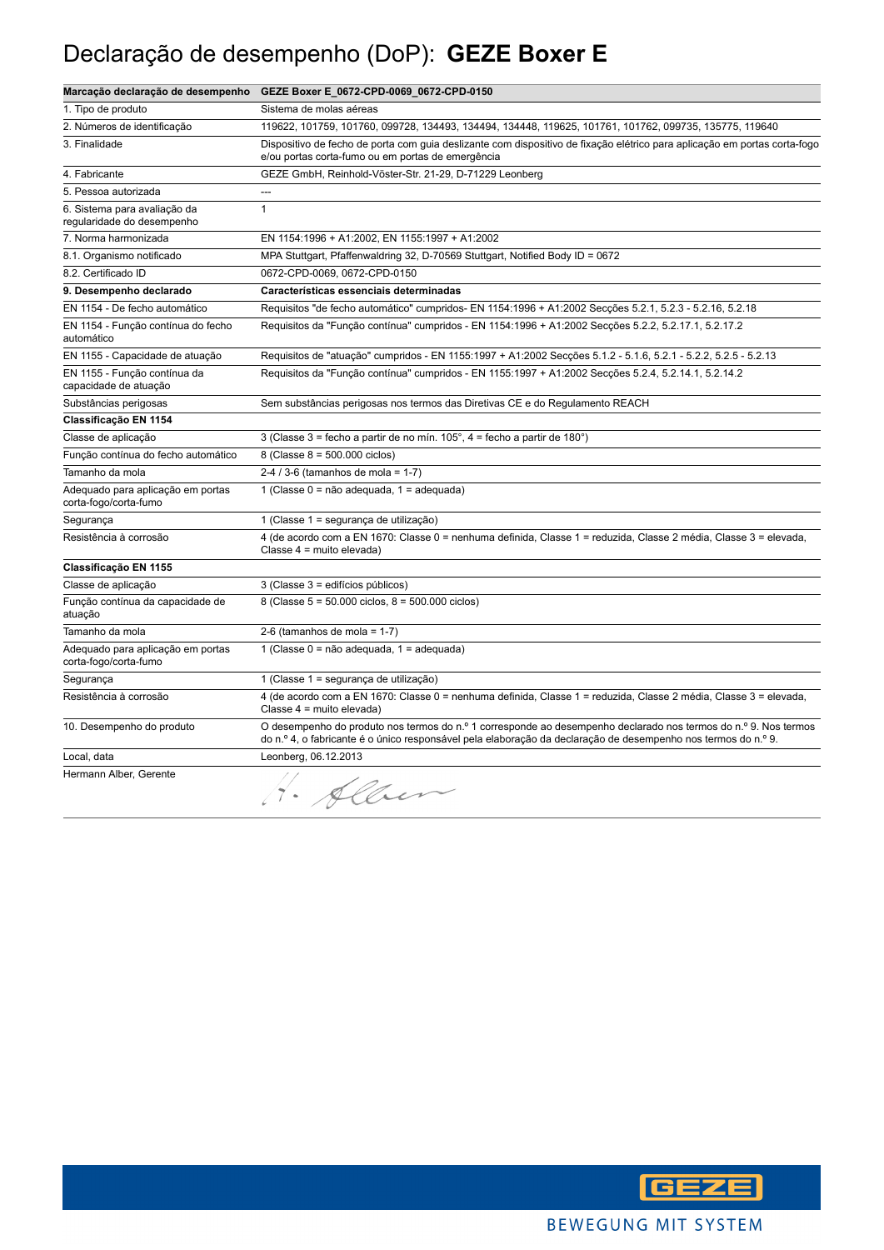### Declaração de desempenho (DoP): **GEZE Boxer E**

|                                                            | Marcação declaração de desempenho GEZE Boxer E_0672-CPD-0069_0672-CPD-0150                                                                                                                                                       |
|------------------------------------------------------------|----------------------------------------------------------------------------------------------------------------------------------------------------------------------------------------------------------------------------------|
| 1. Tipo de produto                                         | Sistema de molas aéreas                                                                                                                                                                                                          |
| 2. Números de identificação                                | 119622, 101759, 101760, 099728, 134493, 134494, 134448, 119625, 101761, 101762, 099735, 135775, 119640                                                                                                                           |
| 3. Finalidade                                              | Dispositivo de fecho de porta com guia deslizante com dispositivo de fixação elétrico para aplicação em portas corta-fogo<br>e/ou portas corta-fumo ou em portas de emergência                                                   |
| 4. Fabricante                                              | GEZE GmbH, Reinhold-Vöster-Str. 21-29, D-71229 Leonberg                                                                                                                                                                          |
| 5. Pessoa autorizada                                       | ---                                                                                                                                                                                                                              |
| 6. Sistema para avaliação da<br>regularidade do desempenho | $\mathbf{1}$                                                                                                                                                                                                                     |
| 7. Norma harmonizada                                       | EN 1154:1996 + A1:2002, EN 1155:1997 + A1:2002                                                                                                                                                                                   |
| 8.1. Organismo notificado                                  | MPA Stuttgart, Pfaffenwaldring 32, D-70569 Stuttgart, Notified Body ID = 0672                                                                                                                                                    |
| 8.2. Certificado ID                                        | 0672-CPD-0069, 0672-CPD-0150                                                                                                                                                                                                     |
| 9. Desempenho declarado                                    | Características essenciais determinadas                                                                                                                                                                                          |
| EN 1154 - De fecho automático                              | Requisitos "de fecho automático" cumpridos- EN 1154:1996 + A1:2002 Secções 5.2.1, 5.2.3 - 5.2.16, 5.2.18                                                                                                                         |
| EN 1154 - Função contínua do fecho<br>automático           | Requisitos da "Função contínua" cumpridos - EN 1154:1996 + A1:2002 Secções 5.2.2, 5.2.17.1, 5.2.17.2                                                                                                                             |
| EN 1155 - Capacidade de atuação                            | Requisitos de "atuação" cumpridos - EN 1155:1997 + A1:2002 Secções 5.1.2 - 5.1.6, 5.2.1 - 5.2.2, 5.2.5 - 5.2.13                                                                                                                  |
| EN 1155 - Função contínua da<br>capacidade de atuação      | Requisitos da "Função contínua" cumpridos - EN 1155:1997 + A1:2002 Secções 5.2.4, 5.2.14.1, 5.2.14.2                                                                                                                             |
| Substâncias perigosas                                      | Sem substâncias perigosas nos termos das Diretivas CE e do Regulamento REACH                                                                                                                                                     |
| Classificação EN 1154                                      |                                                                                                                                                                                                                                  |
| Classe de aplicação                                        | 3 (Classe 3 = fecho a partir de no mín. $105^\circ$ , 4 = fecho a partir de 180 $^\circ$ )                                                                                                                                       |
| Função contínua do fecho automático                        | 8 (Classe $8 = 500.000$ ciclos)                                                                                                                                                                                                  |
| Tamanho da mola                                            | 2-4 / 3-6 (tamanhos de mola = $1-7$ )                                                                                                                                                                                            |
| Adequado para aplicação em portas<br>corta-fogo/corta-fumo | 1 (Classe 0 = não adequada, 1 = adequada)                                                                                                                                                                                        |
| Segurança                                                  | 1 (Classe 1 = segurança de utilização)                                                                                                                                                                                           |
| Resistência à corrosão                                     | 4 (de acordo com a EN 1670: Classe 0 = nenhuma definida, Classe 1 = reduzida, Classe 2 média, Classe 3 = elevada,<br>Classe 4 = muito elevada)                                                                                   |
| Classificação EN 1155                                      |                                                                                                                                                                                                                                  |
| Classe de aplicação                                        | 3 (Classe 3 = edifícios públicos)                                                                                                                                                                                                |
| Função contínua da capacidade de<br>atuação                | 8 (Classe 5 = 50.000 ciclos, 8 = 500.000 ciclos)                                                                                                                                                                                 |
| Tamanho da mola                                            | 2-6 (tamanhos de mola = $1-7$ )                                                                                                                                                                                                  |
| Adequado para aplicação em portas<br>corta-fogo/corta-fumo | 1 (Classe 0 = não adequada, 1 = adequada)                                                                                                                                                                                        |
| Segurança                                                  | 1 (Classe 1 = segurança de utilização)                                                                                                                                                                                           |
| Resistência à corrosão                                     | 4 (de acordo com a EN 1670: Classe 0 = nenhuma definida, Classe 1 = reduzida, Classe 2 média, Classe 3 = elevada,<br>Classe 4 = muito elevada)                                                                                   |
| 10. Desempenho do produto                                  | O desempenho do produto nos termos do n.º 1 corresponde ao desempenho declarado nos termos do n.º 9. Nos termos<br>do n.º 4, o fabricante é o único responsável pela elaboração da declaração de desempenho nos termos do n.º 9. |
| Local, data                                                | Leonberg, 06.12.2013                                                                                                                                                                                                             |
| Hermann Alber, Gerente                                     | H. Alben                                                                                                                                                                                                                         |

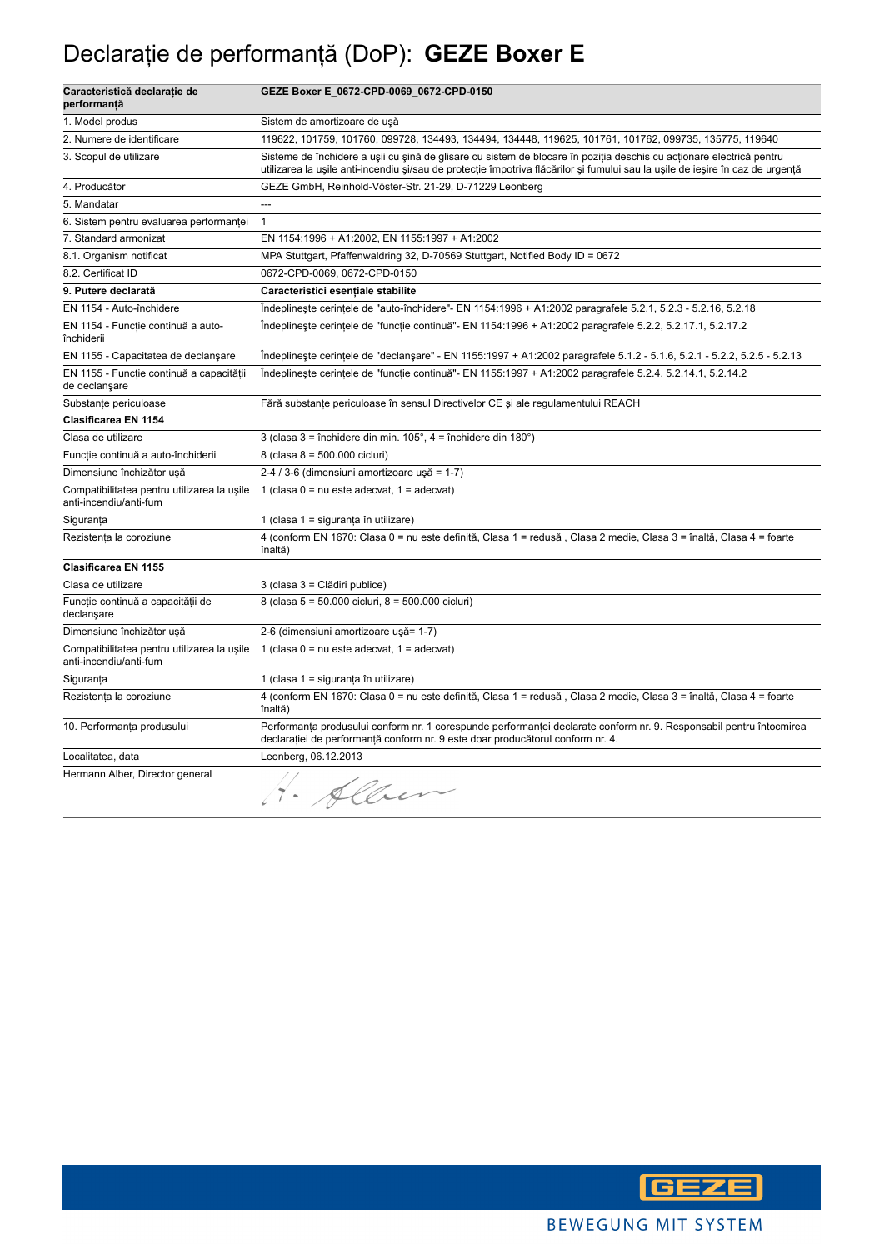## Declaraţie de performanţă (DoP): **GEZE Boxer E**

| Caracteristică declarație de<br>performanță                           | GEZE Boxer E_0672-CPD-0069_0672-CPD-0150                                                                                                                                                                                                               |
|-----------------------------------------------------------------------|--------------------------------------------------------------------------------------------------------------------------------------------------------------------------------------------------------------------------------------------------------|
| 1. Model produs                                                       | Sistem de amortizoare de uşă                                                                                                                                                                                                                           |
| 2. Numere de identificare                                             | 119622, 101759, 101760, 099728, 134493, 134494, 134448, 119625, 101761, 101762, 099735, 135775, 119640                                                                                                                                                 |
| 3. Scopul de utilizare                                                | Sisteme de închidere a ușii cu șină de glisare cu sistem de blocare în poziția deschis cu acționare electrică pentru<br>utilizarea la ușile anti-incendiu și/sau de protecție împotriva flăcărilor și fumului sau la ușile de ieșire în caz de urgență |
| 4. Producător                                                         | GEZE GmbH, Reinhold-Vöster-Str. 21-29, D-71229 Leonberg                                                                                                                                                                                                |
| 5. Mandatar                                                           | $\overline{a}$                                                                                                                                                                                                                                         |
| 6. Sistem pentru evaluarea performanței                               | $\mathbf{1}$                                                                                                                                                                                                                                           |
| 7. Standard armonizat                                                 | EN 1154:1996 + A1:2002, EN 1155:1997 + A1:2002                                                                                                                                                                                                         |
| 8.1. Organism notificat                                               | MPA Stuttgart, Pfaffenwaldring 32, D-70569 Stuttgart, Notified Body ID = 0672                                                                                                                                                                          |
| 8.2. Certificat ID                                                    | 0672-CPD-0069, 0672-CPD-0150                                                                                                                                                                                                                           |
| 9. Putere declarată                                                   | Caracteristici esențiale stabilite                                                                                                                                                                                                                     |
| EN 1154 - Auto-închidere                                              | Indeplineste cerintele de "auto-închidere"- EN 1154:1996 + A1:2002 paragrafele 5.2.1, 5.2.3 - 5.2.16, 5.2.18                                                                                                                                           |
| EN 1154 - Funcție continuă a auto-<br>închiderii                      | Îndeplinește cerințele de "funcție continuă"- EN 1154:1996 + A1:2002 paragrafele 5.2.2, 5.2.17.1, 5.2.17.2                                                                                                                                             |
| EN 1155 - Capacitatea de declanşare                                   | Indeplineste cerintele de "declansare" - EN 1155:1997 + A1:2002 paragrafele 5.1.2 - 5.1.6, 5.2.1 - 5.2.2, 5.2.5 - 5.2.13                                                                                                                               |
| EN 1155 - Funcție continuă a capacității<br>de declanşare             | Indeplineste cerintele de "functie continuă" - EN 1155:1997 + A1:2002 paragrafele 5.2.4, 5.2.14.1, 5.2.14.2                                                                                                                                            |
| Substante periculoase                                                 | Fără substanțe periculoase în sensul Directivelor CE și ale regulamentului REACH                                                                                                                                                                       |
| Clasificarea EN 1154                                                  |                                                                                                                                                                                                                                                        |
| Clasa de utilizare                                                    | 3 (clasa $3 =$ închidere din min. $105^\circ$ , $4 =$ închidere din $180^\circ$ )                                                                                                                                                                      |
| Funcție continuă a auto-închiderii                                    | 8 (clasa 8 = 500.000 cicluri)                                                                                                                                                                                                                          |
| Dimensiune închizător ușă                                             | 2-4 / 3-6 (dimensiuni amortizoare ușă = 1-7)                                                                                                                                                                                                           |
| Compatibilitatea pentru utilizarea la usile<br>anti-incendiu/anti-fum | 1 (clasa $0 = nu$ este adecvat, $1 = adecvat$ )                                                                                                                                                                                                        |
| Siguranța                                                             | 1 (clasa 1 = siguranța în utilizare)                                                                                                                                                                                                                   |
| Rezistența la coroziune                                               | 4 (conform EN 1670: Clasa 0 = nu este definită, Clasa 1 = redusă, Clasa 2 medie, Clasa 3 = înaltă, Clasa 4 = foarte<br>înaltă)                                                                                                                         |
| Clasificarea EN 1155                                                  |                                                                                                                                                                                                                                                        |
| Clasa de utilizare                                                    | 3 (clasa 3 = Clădiri publice)                                                                                                                                                                                                                          |
| Funcție continuă a capacității de<br>declanşare                       | 8 (clasa 5 = 50.000 cicluri, 8 = 500.000 cicluri)                                                                                                                                                                                                      |
| Dimensiune închizător ușă                                             | 2-6 (dimensiuni amortizoare ușă= 1-7)                                                                                                                                                                                                                  |
| Compatibilitatea pentru utilizarea la ușile<br>anti-incendiu/anti-fum | 1 (clasa $0 = nu$ este adecvat, $1 = adecvat$ )                                                                                                                                                                                                        |
| Siguranța                                                             | 1 (clasa 1 = siguranța în utilizare)                                                                                                                                                                                                                   |
| Rezistența la coroziune                                               | 4 (conform EN 1670: Clasa 0 = nu este definită, Clasa 1 = redusă, Clasa 2 medie, Clasa 3 = înaltă, Clasa 4 = foarte<br>înaltă)                                                                                                                         |
| 10. Performanța produsului                                            | Performanța produsului conform nr. 1 corespunde performanței declarate conform nr. 9. Responsabil pentru întocmirea<br>declarației de performanță conform nr. 9 este doar producătorul conform nr. 4.                                                  |
| Localitatea, data                                                     | Leonberg, 06.12.2013                                                                                                                                                                                                                                   |
| Hermann Alber, Director general                                       | 1. Alben                                                                                                                                                                                                                                               |

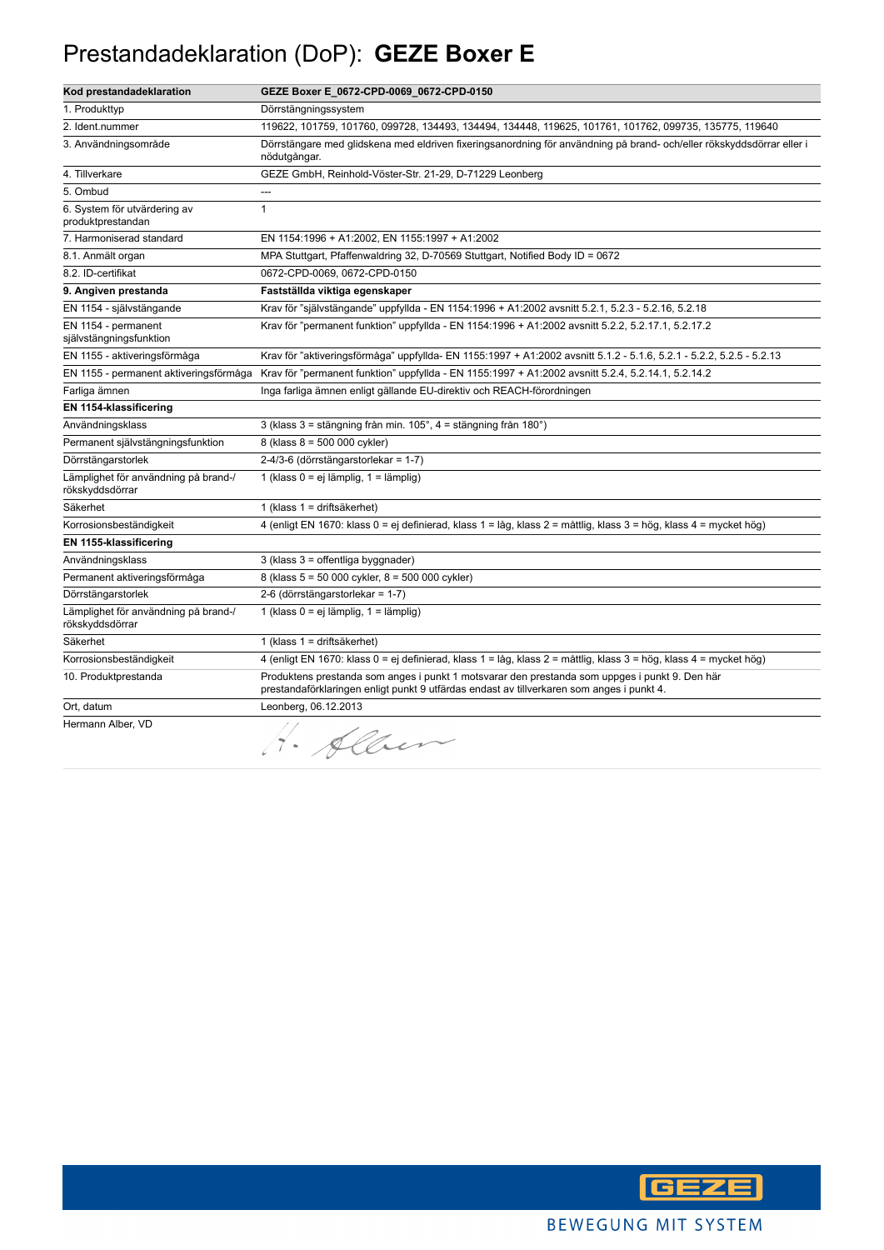### Prestandadeklaration (DoP): **GEZE Boxer E**

| Kod prestandadeklaration                                | GEZE Boxer E_0672-CPD-0069_0672-CPD-0150                                                                                                                                                    |
|---------------------------------------------------------|---------------------------------------------------------------------------------------------------------------------------------------------------------------------------------------------|
| 1. Produkttyp                                           | Dörrstängningssystem                                                                                                                                                                        |
| 2. Ident.nummer                                         | 119622, 101759, 101760, 099728, 134493, 134494, 134448, 119625, 101761, 101762, 099735, 135775, 119640                                                                                      |
| 3. Användningsområde                                    | Dörrstängare med glidskena med eldriven fixeringsanordning för användning på brand-och/eller rökskyddsdörrar eller i<br>nödutgångar.                                                        |
| 4. Tillverkare                                          | GEZE GmbH, Reinhold-Vöster-Str. 21-29, D-71229 Leonberg                                                                                                                                     |
| 5. Ombud                                                | ---                                                                                                                                                                                         |
| 6. System för utvärdering av<br>produktprestandan       | $\mathbf{1}$                                                                                                                                                                                |
| 7. Harmoniserad standard                                | EN 1154:1996 + A1:2002, EN 1155:1997 + A1:2002                                                                                                                                              |
| 8.1. Anmält organ                                       | MPA Stuttgart, Pfaffenwaldring 32, D-70569 Stuttgart, Notified Body ID = 0672                                                                                                               |
| 8.2. ID-certifikat                                      | 0672-CPD-0069, 0672-CPD-0150                                                                                                                                                                |
| 9. Angiven prestanda                                    | Fastställda viktiga egenskaper                                                                                                                                                              |
| EN 1154 - självstängande                                | Krav för "självstängande" uppfyllda - EN 1154:1996 + A1:2002 avsnitt 5.2.1, 5.2.3 - 5.2.16, 5.2.18                                                                                          |
| EN 1154 - permanent<br>självstängningsfunktion          | Krav för "permanent funktion" uppfyllda - EN 1154:1996 + A1:2002 avsnitt 5.2.2, 5.2.17.1, 5.2.17.2                                                                                          |
| EN 1155 - aktiveringsförmåga                            | Krav för "aktiveringsförmåga" uppfyllda- EN 1155:1997 + A1:2002 avsnitt 5.1.2 - 5.1.6, 5.2.1 - 5.2.2, 5.2.5 - 5.2.13                                                                        |
| EN 1155 - permanent aktiveringsförmåga                  | Krav för "permanent funktion" uppfyllda - EN 1155:1997 + A1:2002 avsnitt 5.2.4, 5.2.14.1, 5.2.14.2                                                                                          |
| Farliga ämnen                                           | Inga farliga ämnen enligt gällande EU-direktiv och REACH-förordningen                                                                                                                       |
| EN 1154-klassificering                                  |                                                                                                                                                                                             |
| Användningsklass                                        | 3 (klass 3 = stängning från min. 105°, 4 = stängning från 180°)                                                                                                                             |
| Permanent självstängningsfunktion                       | 8 (klass 8 = 500 000 cykler)                                                                                                                                                                |
| Dörrstängarstorlek                                      | 2-4/3-6 (dörrstängarstorlekar = 1-7)                                                                                                                                                        |
| Lämplighet för användning på brand-/<br>rökskyddsdörrar | 1 (klass 0 = ej lämplig, 1 = lämplig)                                                                                                                                                       |
| Säkerhet                                                | 1 (klass 1 = driftsäkerhet)                                                                                                                                                                 |
| Korrosionsbeständigkeit                                 | 4 (enligt EN 1670: klass 0 = ej definierad, klass 1 = låg, klass 2 = måttlig, klass 3 = hög, klass 4 = mycket hög)                                                                          |
| EN 1155-klassificering                                  |                                                                                                                                                                                             |
| Användningsklass                                        | 3 (klass 3 = offentliga byggnader)                                                                                                                                                          |
| Permanent aktiveringsförmåga                            | 8 (klass 5 = 50 000 cykler, 8 = 500 000 cykler)                                                                                                                                             |
| Dörrstängarstorlek                                      | 2-6 (dörrstängarstorlekar = 1-7)                                                                                                                                                            |
| Lämplighet för användning på brand-/<br>rökskyddsdörrar | 1 (klass 0 = ej lämplig, 1 = lämplig)                                                                                                                                                       |
| Säkerhet                                                | 1 (klass 1 = driftsäkerhet)                                                                                                                                                                 |
| Korrosionsbeständigkeit                                 | 4 (enligt EN 1670: klass 0 = ej definierad, klass 1 = låg, klass 2 = måttlig, klass 3 = hög, klass 4 = mycket hög)                                                                          |
| 10. Produktprestanda                                    | Produktens prestanda som anges i punkt 1 motsvarar den prestanda som uppges i punkt 9. Den här<br>prestandaförklaringen enligt punkt 9 utfärdas endast av tillverkaren som anges i punkt 4. |
| Ort, datum                                              | Leonberg, 06.12.2013                                                                                                                                                                        |
| Hermann Alber, VD                                       | 1. Alber                                                                                                                                                                                    |

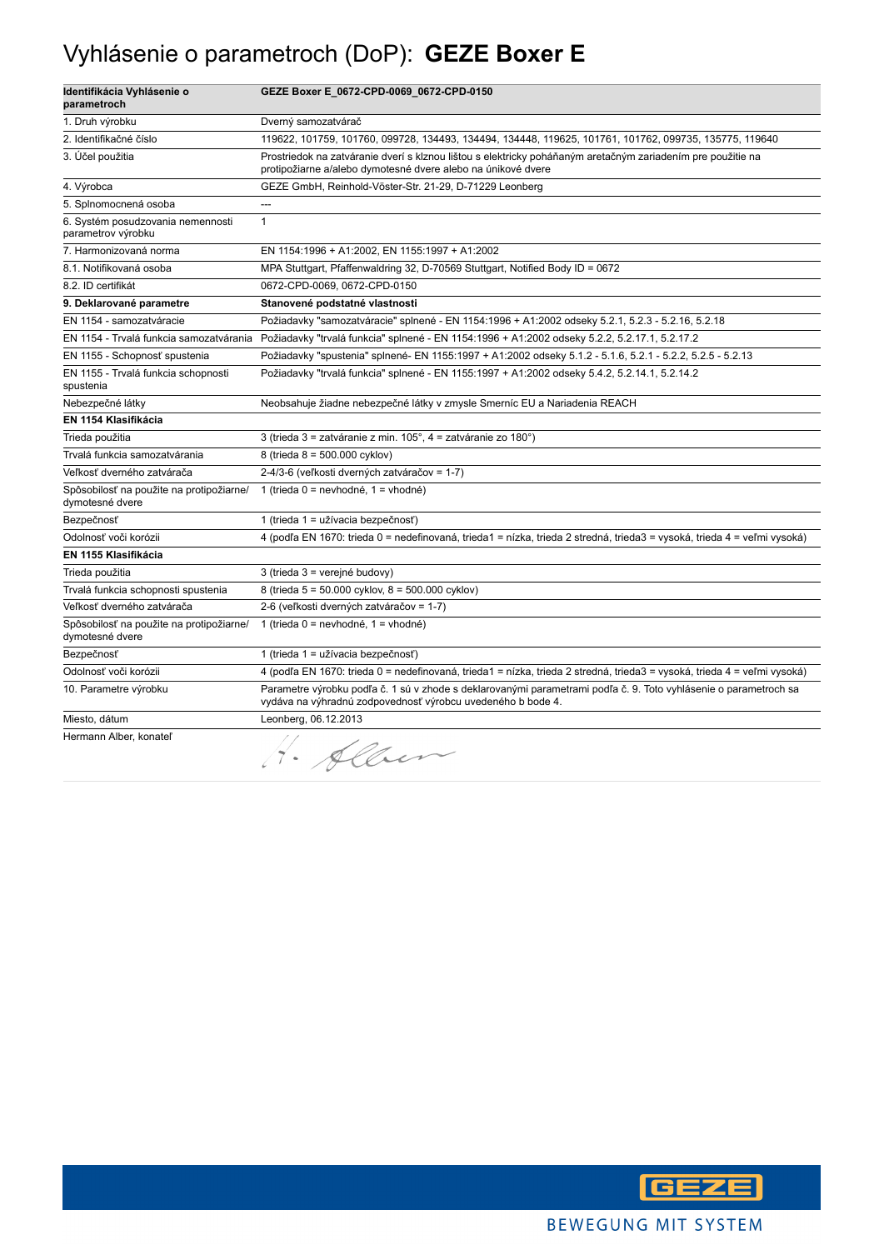## Vyhlásenie o parametroch (DoP): **GEZE Boxer E**

| Identifikácia Vyhlásenie o<br>parametroch                   | GEZE Boxer E_0672-CPD-0069_0672-CPD-0150                                                                                                                                        |
|-------------------------------------------------------------|---------------------------------------------------------------------------------------------------------------------------------------------------------------------------------|
| 1. Druh výrobku                                             | Dverný samozatvárač                                                                                                                                                             |
| 2. Identifikačné číslo                                      | 119622, 101759, 101760, 099728, 134493, 134494, 134448, 119625, 101761, 101762, 099735, 135775, 119640                                                                          |
| 3. Účel použitia                                            | Prostriedok na zatváranie dverí s klznou lištou s elektricky poháňaným aretačným zariadením pre použitie na<br>protipožiarne a/alebo dymotesné dvere alebo na únikové dvere     |
| 4. Výrobca                                                  | GEZE GmbH, Reinhold-Vöster-Str. 21-29, D-71229 Leonberg                                                                                                                         |
| 5. Splnomocnená osoba                                       | ---                                                                                                                                                                             |
| 6. Systém posudzovania nemennosti<br>parametrov výrobku     | $\mathbf{1}$                                                                                                                                                                    |
| 7. Harmonizovaná norma                                      | EN 1154:1996 + A1:2002, EN 1155:1997 + A1:2002                                                                                                                                  |
| 8.1. Notifikovaná osoba                                     | MPA Stuttgart, Pfaffenwaldring 32, D-70569 Stuttgart, Notified Body ID = 0672                                                                                                   |
| 8.2. ID certifikát                                          | 0672-CPD-0069, 0672-CPD-0150                                                                                                                                                    |
| 9. Deklarované parametre                                    | Stanovené podstatné vlastnosti                                                                                                                                                  |
| EN 1154 - samozatváracie                                    | Požiadavky "samozatváracie" splnené - EN 1154:1996 + A1:2002 odseky 5.2.1, 5.2.3 - 5.2.16, 5.2.18                                                                               |
| EN 1154 - Trvalá funkcia samozatvárania                     | Požiadavky "trvalá funkcia" splnené - EN 1154:1996 + A1:2002 odseky 5.2.2, 5.2.17.1, 5.2.17.2                                                                                   |
| EN 1155 - Schopnosť spustenia                               | Požiadavky "spustenia" splnené- EN 1155:1997 + A1:2002 odseky 5.1.2 - 5.1.6, 5.2.1 - 5.2.2, 5.2.5 - 5.2.13                                                                      |
| EN 1155 - Trvalá funkcia schopnosti<br>spustenia            | Požiadavky "trvalá funkcia" splnené - EN 1155:1997 + A1:2002 odseky 5.4.2, 5.2.14.1, 5.2.14.2                                                                                   |
| Nebezpečné látky                                            | Neobsahuje žiadne nebezpečné látky v zmysle Smerníc EU a Nariadenia REACH                                                                                                       |
| EN 1154 Klasifikácia                                        |                                                                                                                                                                                 |
| Trieda použitia                                             | 3 (trieda 3 = zatváranie z min. 105°, 4 = zatváranie zo 180°)                                                                                                                   |
| Trvalá funkcia samozatvárania                               | 8 (trieda 8 = 500.000 cyklov)                                                                                                                                                   |
| Veľkosť dverného zatvárača                                  | 2-4/3-6 (veľkosti dverných zatváračov = 1-7)                                                                                                                                    |
| Spôsobilosť na použite na protipožiarne/<br>dymotesné dvere | 1 (trieda $0 =$ nevhodné, 1 = vhodné)                                                                                                                                           |
| Bezpečnosť                                                  | 1 (trieda 1 = užívacia bezpečnosť)                                                                                                                                              |
| Odolnosť voči korózii                                       | 4 (podľa EN 1670: trieda 0 = nedefinovaná, trieda1 = nízka, trieda 2 stredná, trieda3 = vysoká, trieda 4 = veľmi vysoká)                                                        |
| EN 1155 Klasifikácia                                        |                                                                                                                                                                                 |
| Trieda použitia                                             | 3 (trieda 3 = verejné budovy)                                                                                                                                                   |
| Trvalá funkcia schopnosti spustenia                         | 8 (trieda 5 = 50.000 cyklov, 8 = 500.000 cyklov)                                                                                                                                |
| Veľkosť dverného zatvárača                                  | 2-6 (veľkosti dverných zatváračov = 1-7)                                                                                                                                        |
| Spôsobilosť na použite na protipožiarne/<br>dymotesné dvere | 1 (trieda $0 =$ nevhodné, 1 = vhodné)                                                                                                                                           |
| Bezpečnosť                                                  | 1 (trieda 1 = užívacia bezpečnosť)                                                                                                                                              |
| Odolnosť voči korózii                                       | 4 (podľa EN 1670: trieda 0 = nedefinovaná, trieda1 = nízka, trieda 2 stredná, trieda3 = vysoká, trieda 4 = veľmi vysoká)                                                        |
| 10. Parametre výrobku                                       | Parametre výrobku podľa č. 1 sú v zhode s deklarovanými parametrami podľa č. 9. Toto vyhlásenie o parametroch sa<br>vydáva na výhradnú zodpovednosť výrobcu uvedeného b bode 4. |
| Miesto, dátum                                               | Leonberg, 06.12.2013                                                                                                                                                            |
| Hermann Alber, konateľ                                      | H. Alben                                                                                                                                                                        |

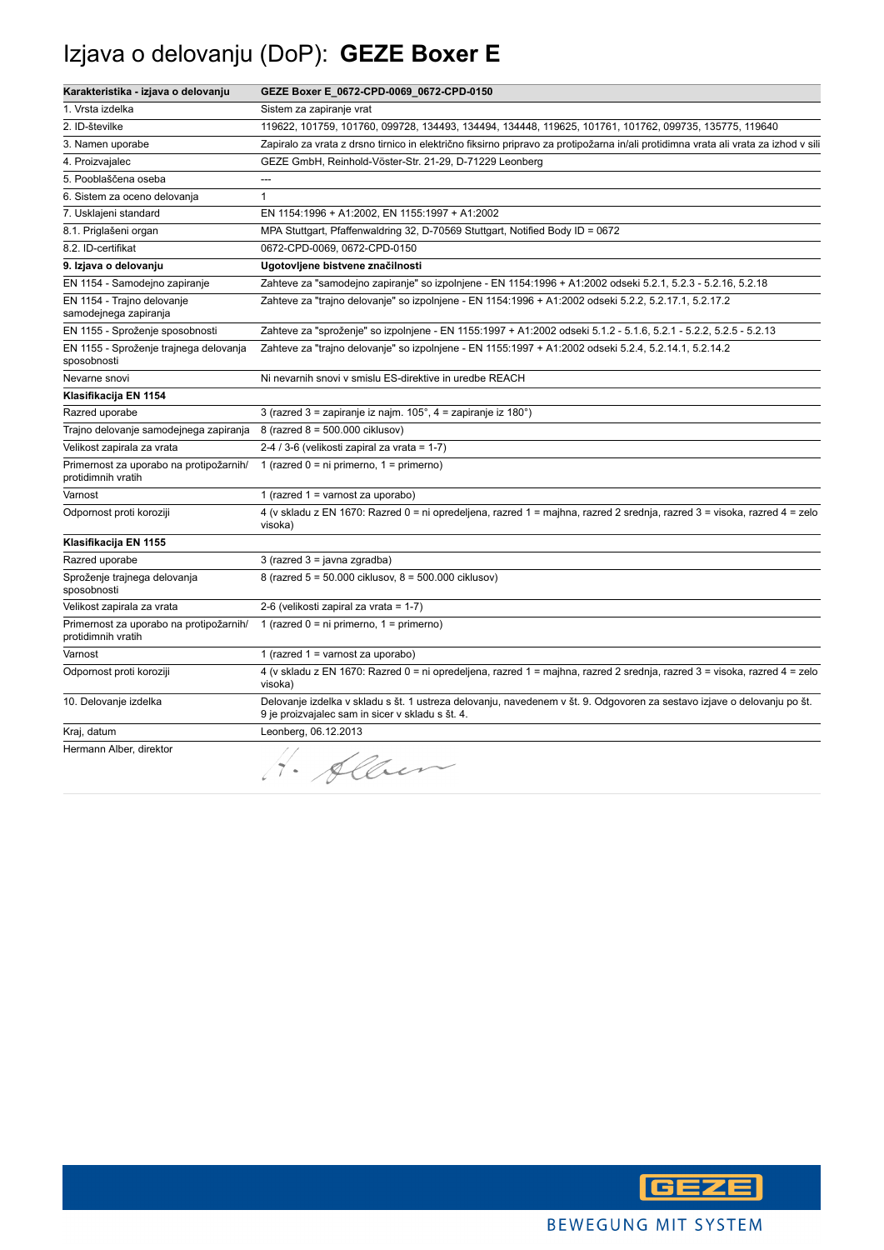## Izjava o delovanju (DoP): **GEZE Boxer E**

| Karakteristika - izjava o delovanju                           | GEZE Boxer E_0672-CPD-0069_0672-CPD-0150                                                                                                                                    |
|---------------------------------------------------------------|-----------------------------------------------------------------------------------------------------------------------------------------------------------------------------|
| 1. Vrsta izdelka                                              | Sistem za zapiranje vrat                                                                                                                                                    |
| 2. ID-številke                                                | 119622, 101759, 101760, 099728, 134493, 134494, 134448, 119625, 101761, 101762, 099735, 135775, 119640                                                                      |
| 3. Namen uporabe                                              | Zapiralo za vrata z drsno tirnico in električno fiksirno pripravo za protipožarna in/ali protidimna vrata ali vrata za izhod v sili                                         |
| 4. Proizvajalec                                               | GEZE GmbH, Reinhold-Vöster-Str. 21-29, D-71229 Leonberg                                                                                                                     |
| 5. Pooblaščena oseba                                          | ---                                                                                                                                                                         |
| 6. Sistem za oceno delovanja                                  | $\mathbf{1}$                                                                                                                                                                |
| 7. Usklajeni standard                                         | EN 1154:1996 + A1:2002, EN 1155:1997 + A1:2002                                                                                                                              |
| 8.1. Priglašeni organ                                         | MPA Stuttgart, Pfaffenwaldring 32, D-70569 Stuttgart, Notified Body ID = 0672                                                                                               |
| 8.2. ID-certifikat                                            | 0672-CPD-0069, 0672-CPD-0150                                                                                                                                                |
| 9. Izjava o delovanju                                         | Ugotovljene bistvene značilnosti                                                                                                                                            |
| EN 1154 - Samodejno zapiranje                                 | Zahteve za "samodejno zapiranje" so izpolnjene - EN 1154:1996 + A1:2002 odseki 5.2.1, 5.2.3 - 5.2.16, 5.2.18                                                                |
| EN 1154 - Trajno delovanje<br>samodejnega zapiranja           | Zahteve za "trajno delovanje" so izpolnjene - EN 1154:1996 + A1:2002 odseki 5.2.2, 5.2.17.1, 5.2.17.2                                                                       |
| EN 1155 - Sproženje sposobnosti                               | Zahteve za "sproženje" so izpolnjene - EN 1155:1997 + A1:2002 odseki 5.1.2 - 5.1.6, 5.2.1 - 5.2.2, 5.2.5 - 5.2.13                                                           |
| EN 1155 - Sproženje trajnega delovanja<br>sposobnosti         | Zahteve za "trajno delovanje" so izpolnjene - EN 1155:1997 + A1:2002 odseki 5.2.4, 5.2.14.1, 5.2.14.2                                                                       |
| Nevarne snovi                                                 | Ni nevarnih snovi v smislu ES-direktive in uredbe REACH                                                                                                                     |
| Klasifikacija EN 1154                                         |                                                                                                                                                                             |
| Razred uporabe                                                | 3 (razred 3 = zapiranje iz najm. $105^\circ$ , 4 = zapiranje iz 180 $^\circ$ )                                                                                              |
| Trajno delovanje samodejnega zapiranja                        | 8 (razred 8 = 500.000 ciklusov)                                                                                                                                             |
| Velikost zapirala za vrata                                    | 2-4 / 3-6 (velikosti zapiral za vrata = 1-7)                                                                                                                                |
| Primernost za uporabo na protipožarnih/<br>protidimnih vratih | 1 (razred $0 = ni$ primerno, $1 = p$ rimerno)                                                                                                                               |
| Varnost                                                       | 1 (razred $1 =$ varnost za uporabo)                                                                                                                                         |
| Odpornost proti koroziji                                      | 4 (v skladu z EN 1670: Razred 0 = ni opredeljena, razred 1 = majhna, razred 2 srednja, razred 3 = visoka, razred 4 = zelo<br>visoka)                                        |
| Klasifikacija EN 1155                                         |                                                                                                                                                                             |
| Razred uporabe                                                | $3$ (razred $3 =$ javna zgradba)                                                                                                                                            |
| Sproženje trajnega delovanja<br>sposobnosti                   | 8 (razred 5 = 50.000 ciklusov, 8 = 500.000 ciklusov)                                                                                                                        |
| Velikost zapirala za vrata                                    | 2-6 (velikosti zapiral za vrata = 1-7)                                                                                                                                      |
| Primernost za uporabo na protipožarnih/<br>protidimnih vratih | 1 (razred $0 = ni$ primerno, $1 = p$ rimerno)                                                                                                                               |
| Varnost                                                       | 1 (razred $1 =$ varnost za uporabo)                                                                                                                                         |
| Odpornost proti koroziji                                      | 4 (v skladu z EN 1670: Razred 0 = ni opredeljena, razred 1 = majhna, razred 2 srednja, razred 3 = visoka, razred 4 = zelo<br>visoka)                                        |
| 10. Delovanje izdelka                                         | Delovanje izdelka v skladu s št. 1 ustreza delovanju, navedenem v št. 9. Odgovoren za sestavo izjave o delovanju po št.<br>9 je proizvajalec sam in sicer v skladu s št. 4. |
| Kraj, datum                                                   | Leonberg, 06.12.2013                                                                                                                                                        |
| Hermann Alber, direktor                                       | Allen                                                                                                                                                                       |

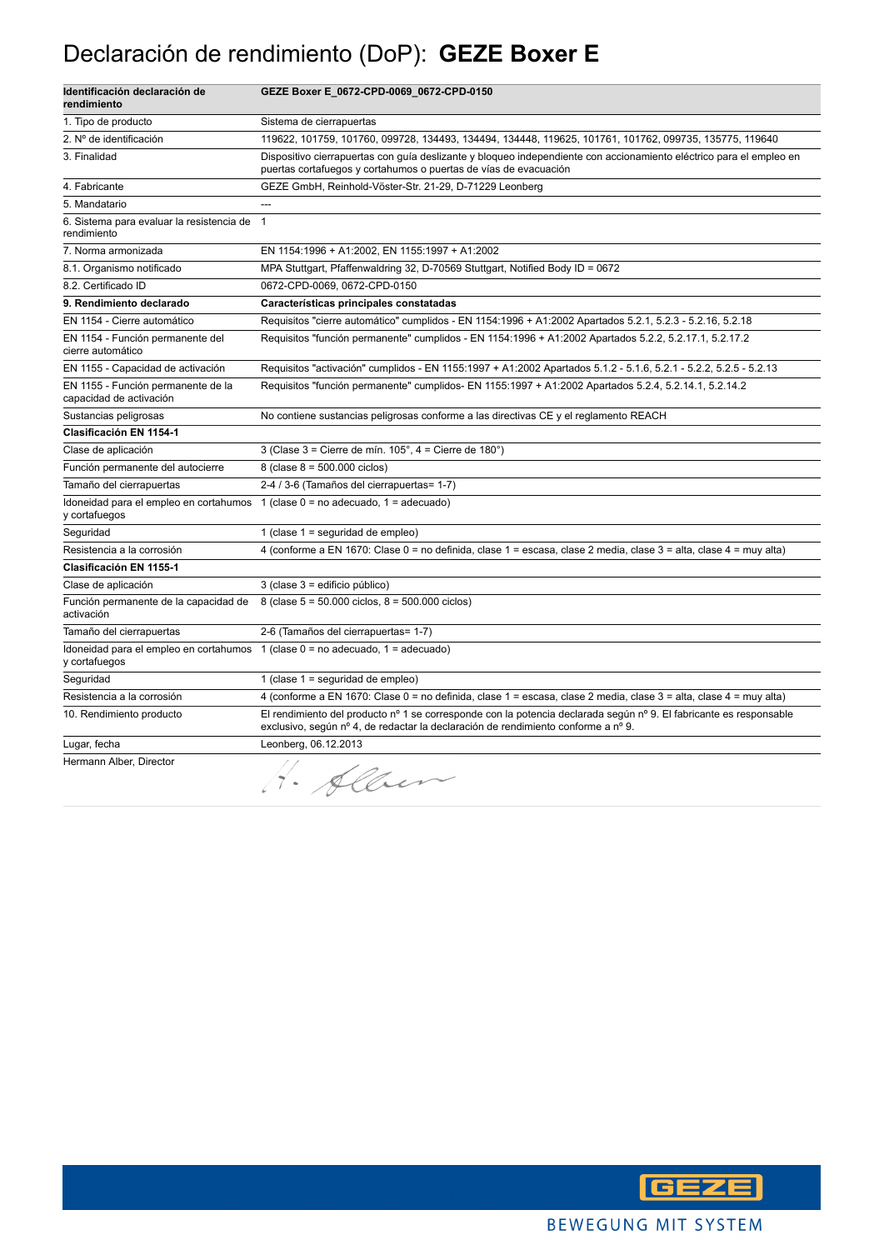### Declaración de rendimiento (DoP): **GEZE Boxer E**

| Identificación declaración de<br>rendimiento                                                          | GEZE Boxer E_0672-CPD-0069_0672-CPD-0150                                                                                                                                                                |
|-------------------------------------------------------------------------------------------------------|---------------------------------------------------------------------------------------------------------------------------------------------------------------------------------------------------------|
| 1. Tipo de producto                                                                                   | Sistema de cierrapuertas                                                                                                                                                                                |
| 2. Nº de identificación                                                                               | 119622, 101759, 101760, 099728, 134493, 134494, 134448, 119625, 101761, 101762, 099735, 135775, 119640                                                                                                  |
| 3. Finalidad                                                                                          | Dispositivo cierrapuertas con guía deslizante y bloqueo independiente con accionamiento eléctrico para el empleo en<br>puertas cortafuegos y cortahumos o puertas de vías de evacuación                 |
| 4. Fabricante                                                                                         | GEZE GmbH, Reinhold-Vöster-Str. 21-29, D-71229 Leonberg                                                                                                                                                 |
| 5. Mandatario                                                                                         | ---                                                                                                                                                                                                     |
| 6. Sistema para evaluar la resistencia de<br>rendimiento                                              | $\mathbf{1}$                                                                                                                                                                                            |
| 7. Norma armonizada                                                                                   | EN 1154:1996 + A1:2002, EN 1155:1997 + A1:2002                                                                                                                                                          |
| 8.1. Organismo notificado                                                                             | MPA Stuttgart, Pfaffenwaldring 32, D-70569 Stuttgart, Notified Body ID = 0672                                                                                                                           |
| 8.2. Certificado ID                                                                                   | 0672-CPD-0069, 0672-CPD-0150                                                                                                                                                                            |
| 9. Rendimiento declarado                                                                              | Características principales constatadas                                                                                                                                                                 |
| EN 1154 - Cierre automático                                                                           | Requisitos "cierre automático" cumplidos - EN 1154:1996 + A1:2002 Apartados 5.2.1, 5.2.3 - 5.2.16, 5.2.18                                                                                               |
| EN 1154 - Función permanente del<br>cierre automático                                                 | Requisitos "función permanente" cumplidos - EN 1154:1996 + A1:2002 Apartados 5.2.2, 5.2.17.1, 5.2.17.2                                                                                                  |
| EN 1155 - Capacidad de activación                                                                     | Requisitos "activación" cumplidos - EN 1155:1997 + A1:2002 Apartados 5.1.2 - 5.1.6, 5.2.1 - 5.2.2, 5.2.5 - 5.2.13                                                                                       |
| EN 1155 - Función permanente de la<br>capacidad de activación                                         | Requisitos "función permanente" cumplidos- EN 1155:1997 + A1:2002 Apartados 5.2.4, 5.2.14.1, 5.2.14.2                                                                                                   |
| Sustancias peligrosas                                                                                 | No contiene sustancias peligrosas conforme a las directivas CE y el reglamento REACH                                                                                                                    |
| <b>Clasificación EN 1154-1</b>                                                                        |                                                                                                                                                                                                         |
| Clase de aplicación                                                                                   | 3 (Clase $3 =$ Cierre de mín. $105^\circ$ , $4 =$ Cierre de $180^\circ$ )                                                                                                                               |
| Función permanente del autocierre                                                                     | 8 (clase $8 = 500.000$ ciclos)                                                                                                                                                                          |
| Tamaño del cierrapuertas                                                                              | 2-4 / 3-6 (Tamaños del cierrapuertas= 1-7)                                                                                                                                                              |
| Idoneidad para el empleo en cortahumos $1$ (clase $0 =$ no adecuado, $1 =$ adecuado)<br>y cortafuegos |                                                                                                                                                                                                         |
| Seguridad                                                                                             | 1 (clase 1 = seguridad de empleo)                                                                                                                                                                       |
| Resistencia a la corrosión                                                                            | 4 (conforme a EN 1670: Clase 0 = no definida, clase 1 = escasa, clase 2 media, clase 3 = alta, clase 4 = muy alta)                                                                                      |
| <b>Clasificación EN 1155-1</b>                                                                        |                                                                                                                                                                                                         |
| Clase de aplicación                                                                                   | 3 (clase 3 = edificio público)                                                                                                                                                                          |
| Función permanente de la capacidad de<br>activación                                                   | 8 (clase 5 = 50.000 ciclos, 8 = 500.000 ciclos)                                                                                                                                                         |
| Tamaño del cierrapuertas                                                                              | 2-6 (Tamaños del cierrapuertas= 1-7)                                                                                                                                                                    |
| Idoneidad para el empleo en cortahumos $1$ (clase $0 =$ no adecuado, $1 =$ adecuado)<br>y cortafuegos |                                                                                                                                                                                                         |
| Seguridad                                                                                             | 1 (clase $1 =$ seguridad de empleo)                                                                                                                                                                     |
| Resistencia a la corrosión                                                                            | 4 (conforme a EN 1670: Clase 0 = no definida, clase 1 = escasa, clase 2 media, clase 3 = alta, clase 4 = muy alta)                                                                                      |
| 10. Rendimiento producto                                                                              | El rendimiento del producto nº 1 se corresponde con la potencia declarada según nº 9. El fabricante es responsable<br>exclusivo, según nº 4, de redactar la declaración de rendimiento conforme a nº 9. |
| Lugar, fecha                                                                                          | Leonberg, 06.12.2013                                                                                                                                                                                    |
| Hermann Alber, Director                                                                               | H. Alben                                                                                                                                                                                                |

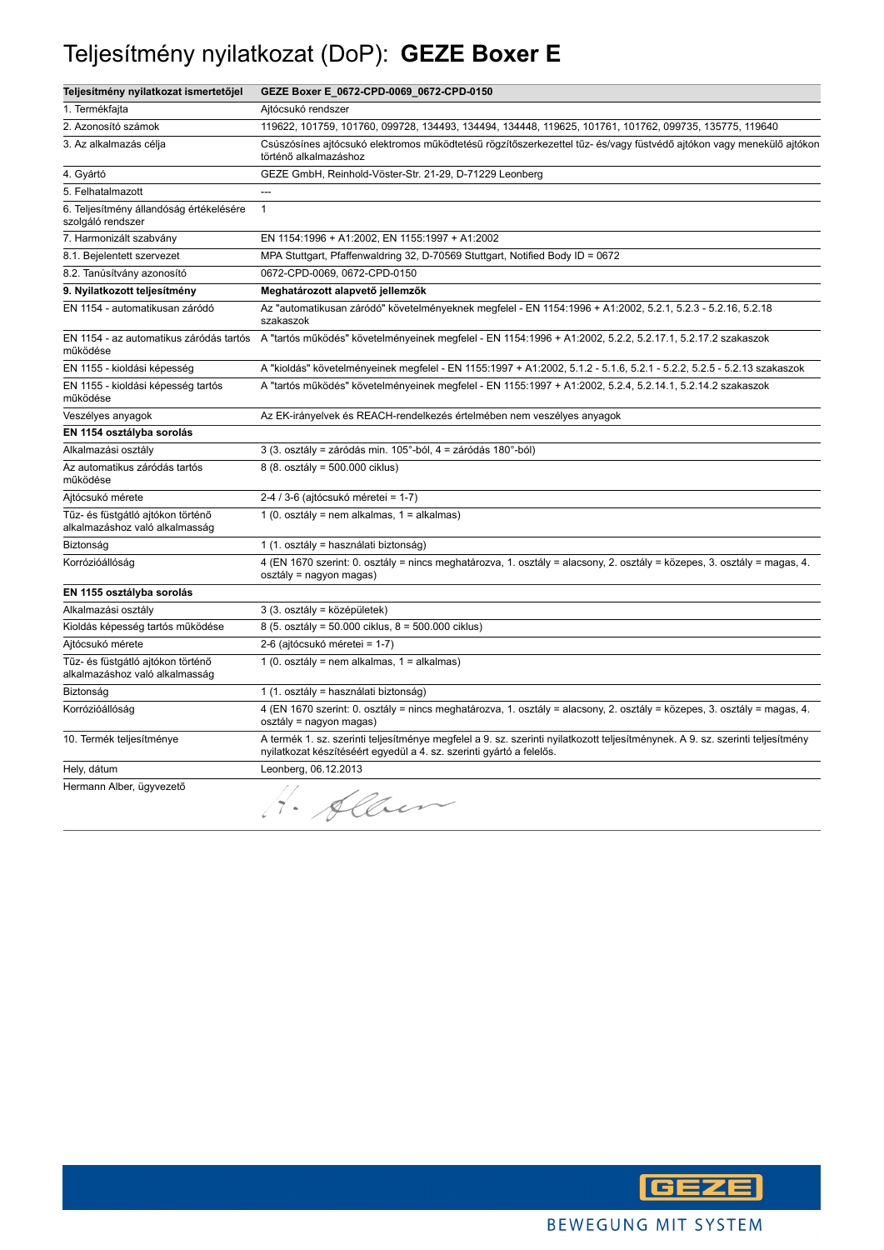## Teljesítmény nyilatkozat (DoP): **GEZE Boxer E**

| Teljesítmény nyilatkozat ismertetőjel                               | GEZE Boxer E_0672-CPD-0069_0672-CPD-0150                                                                                                                                                               |
|---------------------------------------------------------------------|--------------------------------------------------------------------------------------------------------------------------------------------------------------------------------------------------------|
| 1. Termékfajta                                                      | Ajtócsukó rendszer                                                                                                                                                                                     |
| 2. Azonosító számok                                                 | 119622, 101759, 101760, 099728, 134493, 134494, 134448, 119625, 101761, 101762, 099735, 135775, 119640                                                                                                 |
| 3. Az alkalmazás célja                                              | Csúszósínes ajtócsukó elektromos működtetésű rögzítőszerkezettel tűz- és/vagy füstvédő ajtókon vagy menekülő ajtókon<br>történő alkalmazáshoz                                                          |
| 4. Gyártó                                                           | GEZE GmbH, Reinhold-Vöster-Str. 21-29, D-71229 Leonberg                                                                                                                                                |
| 5. Felhatalmazott                                                   | ---                                                                                                                                                                                                    |
| 6. Teljesítmény állandóság értékelésére<br>szolgáló rendszer        | $\mathbf{1}$                                                                                                                                                                                           |
| 7. Harmonizált szabvány                                             | EN 1154:1996 + A1:2002, EN 1155:1997 + A1:2002                                                                                                                                                         |
| 8.1. Bejelentett szervezet                                          | MPA Stuttgart, Pfaffenwaldring 32, D-70569 Stuttgart, Notified Body ID = 0672                                                                                                                          |
| 8.2. Tanúsítvány azonosító                                          | 0672-CPD-0069, 0672-CPD-0150                                                                                                                                                                           |
| 9. Nyilatkozott teljesítmény                                        | Meghatározott alapvető jellemzők                                                                                                                                                                       |
| EN 1154 - automatikusan záródó                                      | Az "automatikusan záródó" követelményeknek megfelel - EN 1154:1996 + A1:2002, 5.2.1, 5.2.3 - 5.2.16, 5.2.18<br>szakaszok                                                                               |
| EN 1154 - az automatikus záródás tartós<br>működése                 | A "tartós működés" követelményeinek megfelel - EN 1154:1996 + A1:2002, 5.2.2, 5.2.17.1, 5.2.17.2 szakaszok                                                                                             |
| EN 1155 - kioldási képesség                                         | A "kioldás" követelményeinek megfelel - EN 1155:1997 + A1:2002, 5.1.2 - 5.1.6, 5.2.1 - 5.2.2, 5.2.5 - 5.2.13 szakaszok                                                                                 |
| EN 1155 - kioldási képesség tartós<br>működése                      | A "tartós működés" követelményeinek megfelel - EN 1155:1997 + A1:2002, 5.2.4, 5.2.14.1, 5.2.14.2 szakaszok                                                                                             |
| Veszélyes anyagok                                                   | Az EK-irányelvek és REACH-rendelkezés értelmében nem veszélyes anyagok                                                                                                                                 |
| EN 1154 osztályba sorolás                                           |                                                                                                                                                                                                        |
| Alkalmazási osztály                                                 | 3 (3. osztály = záródás min. 105°-ból, 4 = záródás 180°-ból)                                                                                                                                           |
| Az automatikus záródás tartós<br>működése                           | 8 (8. osztály = 500.000 ciklus)                                                                                                                                                                        |
| Ajtócsukó mérete                                                    | 2-4 / 3-6 (ajtócsukó méretei = 1-7)                                                                                                                                                                    |
| Tűz- és füstgátló ajtókon történő<br>alkalmazáshoz való alkalmasság | 1 (0. osztály = nem alkalmas, 1 = alkalmas)                                                                                                                                                            |
| Biztonság                                                           | 1 (1. osztály = használati biztonság)                                                                                                                                                                  |
| Korrózióállóság                                                     | 4 (EN 1670 szerint: 0. osztály = nincs meghatározva, 1. osztály = alacsony, 2. osztály = közepes, 3. osztály = magas, 4.<br>osztály = nagyon magas)                                                    |
| EN 1155 osztályba sorolás                                           |                                                                                                                                                                                                        |
| Alkalmazási osztály                                                 | 3 (3. osztály = középületek)                                                                                                                                                                           |
| Kioldás képesség tartós működése                                    | 8 (5. osztály = 50.000 ciklus, 8 = 500.000 ciklus)                                                                                                                                                     |
| Ajtócsukó mérete                                                    | 2-6 (ajtócsukó méretei = 1-7)                                                                                                                                                                          |
| Tűz- és füstgátló ajtókon történő<br>alkalmazáshoz való alkalmasság | 1 (0. osztály = nem alkalmas, 1 = alkalmas)                                                                                                                                                            |
| Biztonság                                                           | 1 (1. osztály = használati biztonság)                                                                                                                                                                  |
| Korrózióállóság                                                     | 4 (EN 1670 szerint: 0. osztály = nincs meghatározva, 1. osztály = alacsony, 2. osztály = közepes, 3. osztály = magas, 4.<br>osztály = nagyon magas)                                                    |
| 10. Termék teljesítménye                                            | A termék 1. sz. szerinti teljesítménye megfelel a 9. sz. szerinti nyilatkozott teljesítménynek. A 9. sz. szerinti teljesítmény<br>nyilatkozat készítéséért egyedül a 4. sz. szerinti gyártó a felelős. |
| Hely, dátum                                                         | Leonberg, 06.12.2013                                                                                                                                                                                   |
| Hermann Alber, ügyvezető                                            | Alber                                                                                                                                                                                                  |

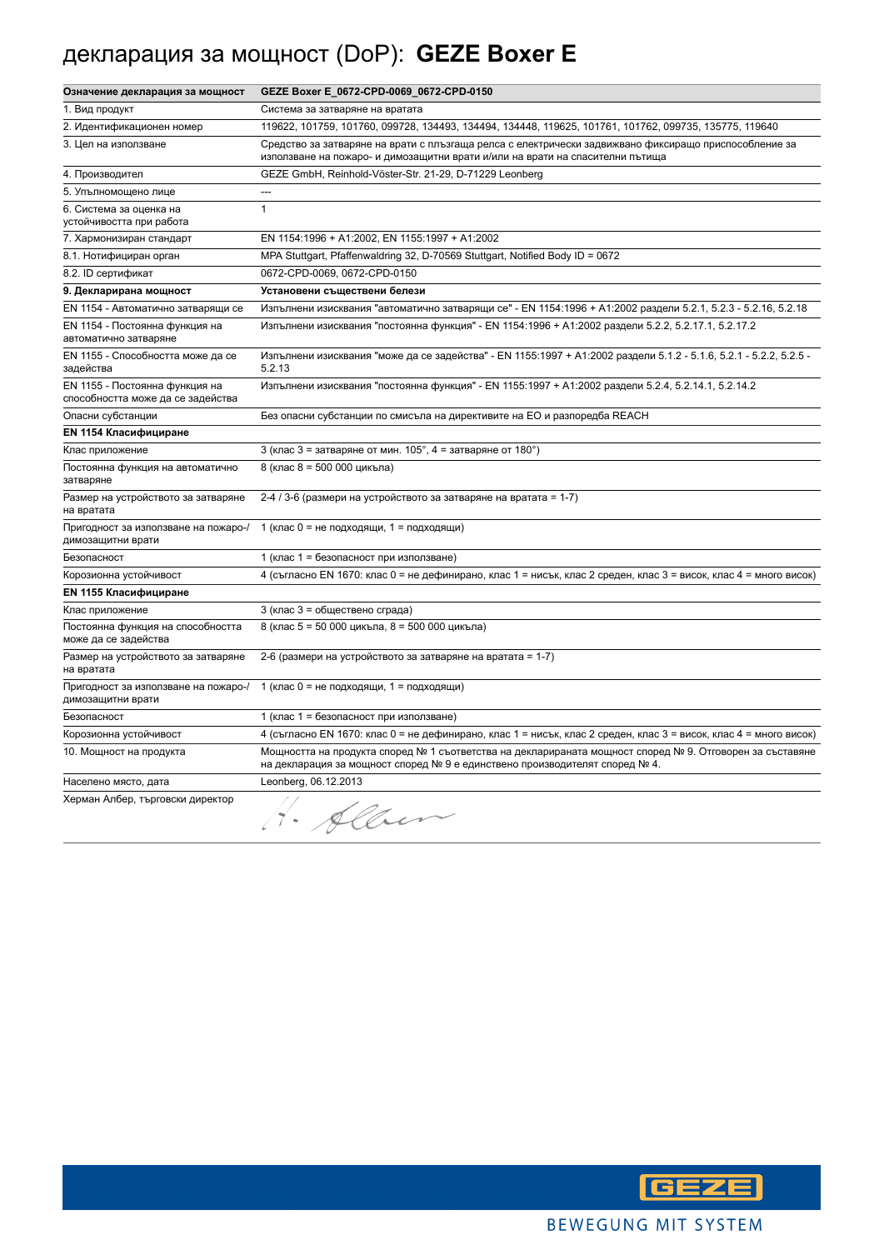### декларация за мощност (DoP): **GEZE Boxer E**

| Означение декларация за мощност                                     | GEZE Boxer E_0672-CPD-0069_0672-CPD-0150                                                                                                                                                |
|---------------------------------------------------------------------|-----------------------------------------------------------------------------------------------------------------------------------------------------------------------------------------|
| 1. Вид продукт                                                      | Система за затваряне на вратата                                                                                                                                                         |
| 2. Идентификационен номер                                           | 119622, 101759, 101760, 099728, 134493, 134494, 134448, 119625, 101761, 101762, 099735, 135775, 119640                                                                                  |
| 3. Цел на използване                                                | Средство за затваряне на врати с плъзгаща релса с електрически задвижвано фиксиращо приспособление за<br>използване на пожаро- и димозащитни врати и/или на врати на спасителни пътища  |
| 4. Производител                                                     | GEZE GmbH, Reinhold-Vöster-Str. 21-29, D-71229 Leonberg                                                                                                                                 |
| 5. Упълномощено лице                                                | $\overline{a}$                                                                                                                                                                          |
| 6. Система за оценка на<br>устойчивостта при работа                 | $\mathbf{1}$                                                                                                                                                                            |
| 7. Хармонизиран стандарт                                            | EN 1154:1996 + A1:2002, EN 1155:1997 + A1:2002                                                                                                                                          |
| 8.1. Нотифициран орган                                              | MPA Stuttgart, Pfaffenwaldring 32, D-70569 Stuttgart, Notified Body ID = 0672                                                                                                           |
| 8.2. ID сертификат                                                  | 0672-CPD-0069, 0672-CPD-0150                                                                                                                                                            |
| 9. Декларирана мощност                                              | Установени съществени белези                                                                                                                                                            |
| EN 1154 - Автоматично затварящи се                                  | Изпълнени изисквания "автоматично затварящи се" - EN 1154:1996 + A1:2002 раздели 5.2.1, 5.2.3 - 5.2.16, 5.2.18                                                                          |
| EN 1154 - Постоянна функция на<br>автоматично затваряне             | Изпълнени изисквания "постоянна функция" - EN 1154:1996 + A1:2002 раздели 5.2.2, 5.2.17.1, 5.2.17.2                                                                                     |
| EN 1155 - Способността може да се<br>задейства                      | Изпълнени изисквания "може да се задейства" - EN 1155:1997 + A1:2002 раздели 5.1.2 - 5.1.6, 5.2.1 - 5.2.2, 5.2.5 -<br>5.2.13                                                            |
| EN 1155 - Постоянна функция на<br>способността може да се задейства | Изпълнени изисквания "постоянна функция" - EN 1155:1997 + A1:2002 раздели 5.2.4, 5.2.14.1, 5.2.14.2                                                                                     |
| Опасни субстанции                                                   | Без опасни субстанции по смисъла на директивите на ЕО и разпоредба REACH                                                                                                                |
| <b>EN 1154 Класифициране</b>                                        |                                                                                                                                                                                         |
| Клас приложение                                                     | 3 (клас 3 = затваряне от мин. $105^\circ$ , 4 = затваряне от $180^\circ$ )                                                                                                              |
| Постоянна функция на автоматично<br>затваряне                       | 8 (клас 8 = 500 000 цикъла)                                                                                                                                                             |
| Размер на устройството за затваряне<br>на вратата                   | 2-4 / 3-6 (размери на устройството за затваряне на вратата = 1-7)                                                                                                                       |
| Пригодност за използване на пожаро-/<br>димозащитни врати           | 1 (клас 0 = не подходящи, 1 = подходящи)                                                                                                                                                |
| Безопасност                                                         | 1 (клас 1 = безопасност при използване)                                                                                                                                                 |
| Корозионна устойчивост                                              | 4 (съгласно EN 1670: клас 0 = не дефинирано, клас 1 = нисък, клас 2 среден, клас 3 = висок, клас 4 = много висок)                                                                       |
| <b>EN 1155 Класифициране</b>                                        |                                                                                                                                                                                         |
| Клас приложение                                                     | 3 (клас 3 = обществено сграда)                                                                                                                                                          |
| Постоянна функция на способността<br>може да се задейства           | 8 (клас 5 = 50 000 цикъла, 8 = 500 000 цикъла)                                                                                                                                          |
| Размер на устройството за затваряне<br>на вратата                   | 2-6 (размери на устройството за затваряне на вратата = 1-7)                                                                                                                             |
| Пригодност за използване на пожаро-/<br>димозащитни врати           | 1 (клас 0 = не подходящи, 1 = подходящи)                                                                                                                                                |
| Безопасност                                                         | 1 (клас 1 = безопасност при използване)                                                                                                                                                 |
| Корозионна устойчивост                                              | 4 (съгласно EN 1670: клас 0 = не дефинирано, клас 1 = нисък, клас 2 среден, клас 3 = висок, клас 4 = много висок)                                                                       |
| 10. Мощност на продукта                                             | Мощността на продукта според № 1 съответства на декларираната мощност според № 9. Отговорен за съставяне<br>на декларация за мощност според № 9 е единствено производителят според № 4. |
| Населено място, дата                                                | Leonberg, 06.12.2013                                                                                                                                                                    |
| Херман Албер, търговски директор                                    | $\sqrt{a}$                                                                                                                                                                              |



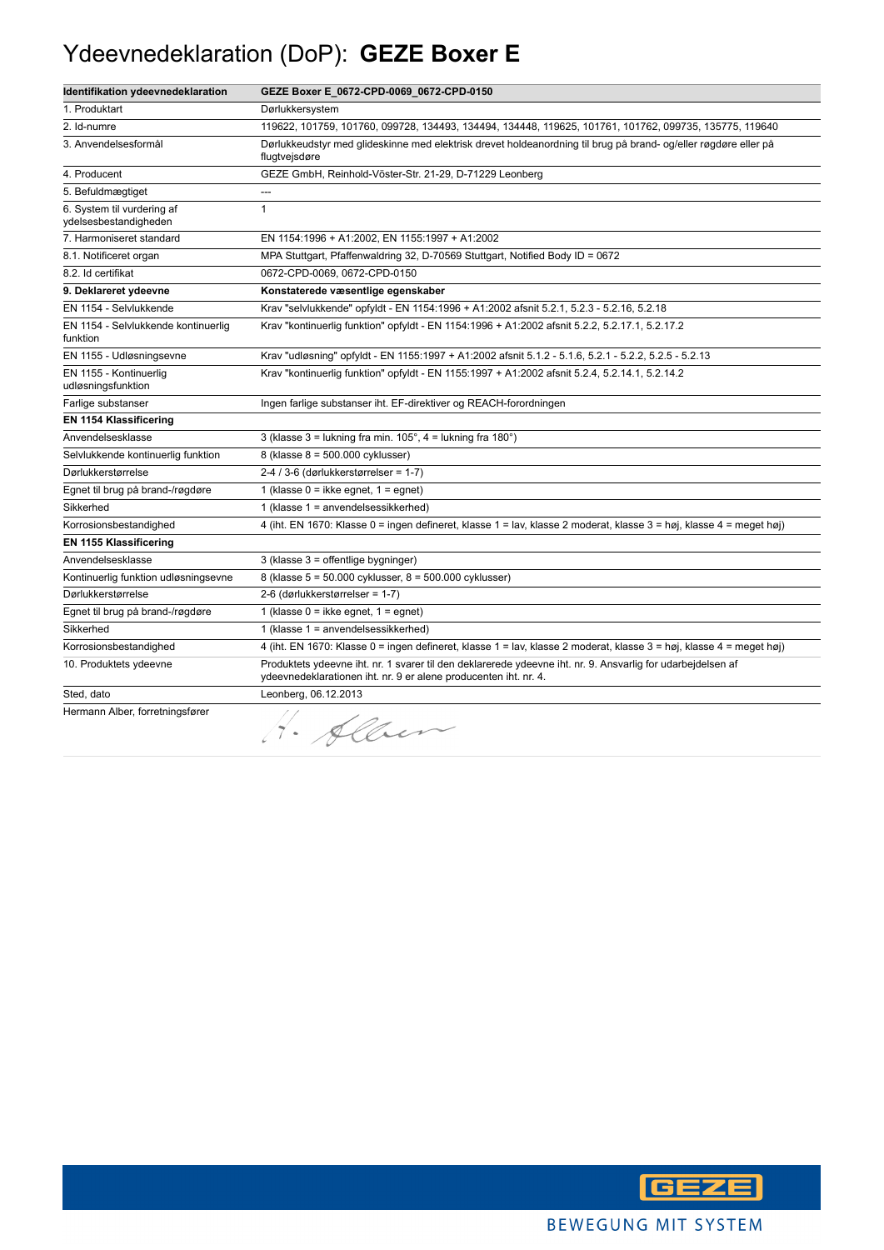### Ydeevnedeklaration (DoP): **GEZE Boxer E**

| Identifikation ydeevnedeklaration                   | GEZE Boxer E_0672-CPD-0069_0672-CPD-0150                                                                                                                                        |
|-----------------------------------------------------|---------------------------------------------------------------------------------------------------------------------------------------------------------------------------------|
| 1. Produktart                                       | Dørlukkersystem                                                                                                                                                                 |
| 2. Id-numre                                         | 119622, 101759, 101760, 099728, 134493, 134494, 134448, 119625, 101761, 101762, 099735, 135775, 119640                                                                          |
| 3. Anvendelsesformål                                | Dørlukkeudstyr med glideskinne med elektrisk drevet holdeanordning til brug på brand- og/eller røgdøre eller på<br>flugtvejsdøre                                                |
| 4. Producent                                        | GEZE GmbH, Reinhold-Vöster-Str. 21-29, D-71229 Leonberg                                                                                                                         |
| 5. Befuldmægtiget                                   | $\overline{a}$                                                                                                                                                                  |
| 6. System til vurdering af<br>ydelsesbestandigheden | $\mathbf{1}$                                                                                                                                                                    |
| 7. Harmoniseret standard                            | EN 1154:1996 + A1:2002, EN 1155:1997 + A1:2002                                                                                                                                  |
| 8.1. Notificeret organ                              | MPA Stuttgart, Pfaffenwaldring 32, D-70569 Stuttgart, Notified Body ID = 0672                                                                                                   |
| 8.2. Id certifikat                                  | 0672-CPD-0069, 0672-CPD-0150                                                                                                                                                    |
| 9. Deklareret ydeevne                               | Konstaterede væsentlige egenskaber                                                                                                                                              |
| EN 1154 - Selvlukkende                              | Krav "selvlukkende" opfyldt - EN 1154:1996 + A1:2002 afsnit 5.2.1, 5.2.3 - 5.2.16, 5.2.18                                                                                       |
| EN 1154 - Selvlukkende kontinuerlig<br>funktion     | Krav "kontinuerlig funktion" opfyldt - EN 1154:1996 + A1:2002 afsnit 5.2.2, 5.2.17.1, 5.2.17.2                                                                                  |
| EN 1155 - Udløsningsevne                            | Krav "udløsning" opfyldt - EN 1155:1997 + A1:2002 afsnit 5.1.2 - 5.1.6, 5.2.1 - 5.2.2, 5.2.5 - 5.2.13                                                                           |
| EN 1155 - Kontinuerlig<br>udløsningsfunktion        | Krav "kontinuerlig funktion" opfyldt - EN 1155:1997 + A1:2002 afsnit 5.2.4, 5.2.14.1, 5.2.14.2                                                                                  |
| Farlige substanser                                  | Ingen farlige substanser iht. EF-direktiver og REACH-forordningen                                                                                                               |
| EN 1154 Klassificering                              |                                                                                                                                                                                 |
| Anvendelsesklasse                                   | 3 (klasse $3 =$ lukning fra min. $105^\circ$ , $4 =$ lukning fra $180^\circ$ )                                                                                                  |
| Selvlukkende kontinuerlig funktion                  | 8 (klasse 8 = 500.000 cyklusser)                                                                                                                                                |
| Dørlukkerstørrelse                                  | $2-4/3-6$ (dørlukkerstørrelser = 1-7)                                                                                                                                           |
| Egnet til brug på brand-/røgdøre                    | 1 (klasse $0 =$ ikke egnet, $1 =$ egnet)                                                                                                                                        |
| Sikkerhed                                           | 1 (klasse 1 = anvendelsessikkerhed)                                                                                                                                             |
| Korrosionsbestandighed                              | 4 (iht. EN 1670: Klasse 0 = ingen defineret, klasse 1 = lav, klasse 2 moderat, klasse 3 = høj, klasse 4 = meget høj)                                                            |
| EN 1155 Klassificering                              |                                                                                                                                                                                 |
| Anvendelsesklasse                                   | 3 (klasse 3 = offentlige bygninger)                                                                                                                                             |
| Kontinuerlig funktion udløsningsevne                | 8 (klasse 5 = 50.000 cyklusser, 8 = 500.000 cyklusser)                                                                                                                          |
| Dørlukkerstørrelse                                  | 2-6 (dørlukkerstørrelser = 1-7)                                                                                                                                                 |
| Egnet til brug på brand-/røgdøre                    | 1 (klasse $0 =$ ikke egnet, $1 =$ egnet)                                                                                                                                        |
| Sikkerhed                                           | 1 (klasse 1 = anvendelsessikkerhed)                                                                                                                                             |
| Korrosionsbestandighed                              | 4 (iht. EN 1670: Klasse 0 = ingen defineret, klasse 1 = lav, klasse 2 moderat, klasse 3 = høj, klasse 4 = meget høj)                                                            |
| 10. Produktets ydeevne                              | Produktets ydeevne iht. nr. 1 svarer til den deklarerede ydeevne iht. nr. 9. Ansvarlig for udarbejdelsen af<br>ydeevnedeklarationen iht. nr. 9 er alene producenten iht. nr. 4. |
| Sted, dato                                          | Leonberg, 06.12.2013                                                                                                                                                            |
| Hermann Alber, forretningsfører                     | 1. Alben                                                                                                                                                                        |

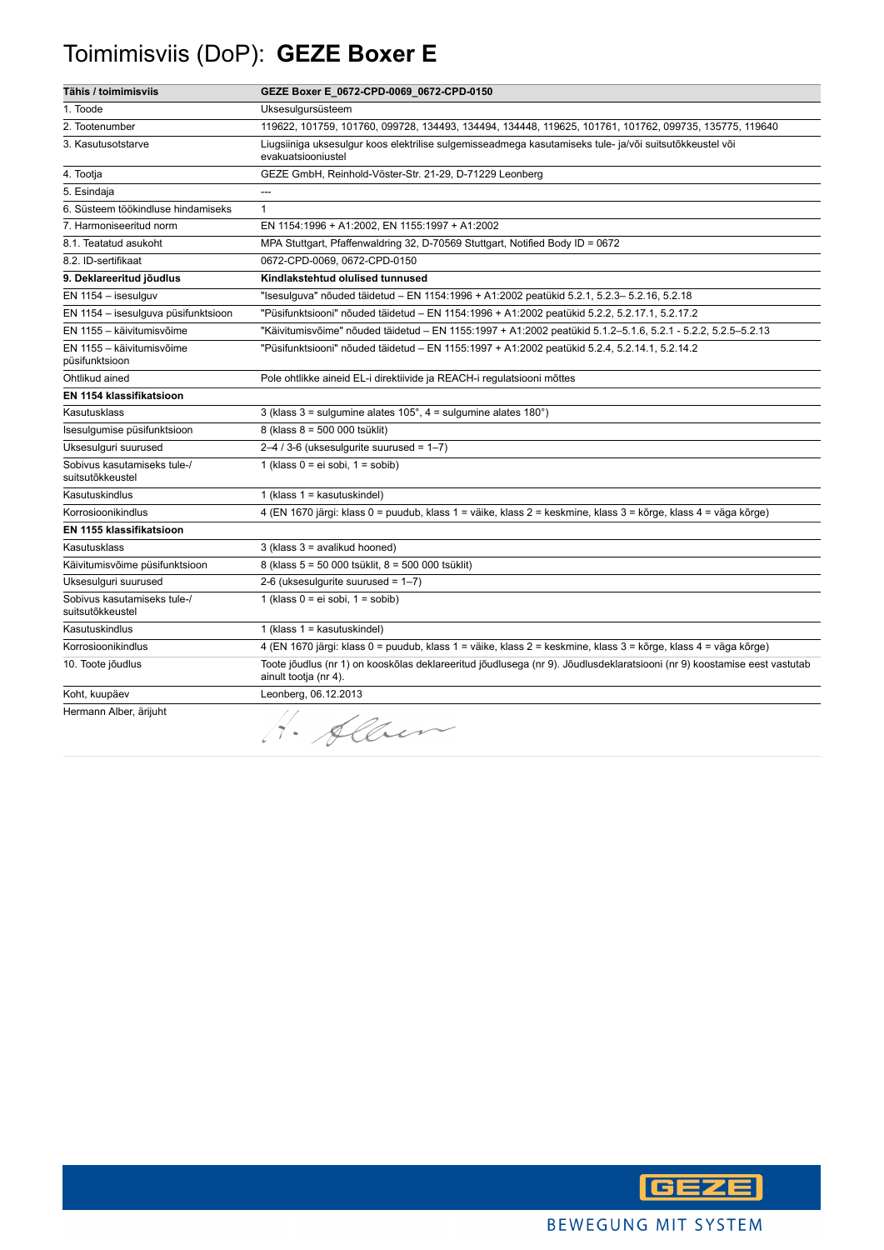## Toimimisviis (DoP): **GEZE Boxer E**

| Tähis / toimimisviis                            | GEZE Boxer E_0672-CPD-0069_0672-CPD-0150                                                                                                          |
|-------------------------------------------------|---------------------------------------------------------------------------------------------------------------------------------------------------|
| 1. Toode                                        | Uksesulgursüsteem                                                                                                                                 |
| 2. Tootenumber                                  | 119622, 101759, 101760, 099728, 134493, 134494, 134448, 119625, 101761, 101762, 099735, 135775, 119640                                            |
| 3. Kasutusotstarve                              | Liugsiiniga uksesulgur koos elektrilise sulgemisseadmega kasutamiseks tule- ja/või suitsutõkkeustel või<br>evakuatsiooniustel                     |
| 4. Tootja                                       | GEZE GmbH, Reinhold-Vöster-Str. 21-29, D-71229 Leonberg                                                                                           |
| 5. Esindaja                                     | ---                                                                                                                                               |
| 6. Süsteem töökindluse hindamiseks              | $\mathbf{1}$                                                                                                                                      |
| 7. Harmoniseeritud norm                         | EN 1154:1996 + A1:2002, EN 1155:1997 + A1:2002                                                                                                    |
| 8.1. Teatatud asukoht                           | MPA Stuttgart, Pfaffenwaldring 32, D-70569 Stuttgart, Notified Body ID = 0672                                                                     |
| 8.2. ID-sertifikaat                             | 0672-CPD-0069, 0672-CPD-0150                                                                                                                      |
| 9. Deklareeritud jõudlus                        | Kindlakstehtud olulised tunnused                                                                                                                  |
| EN 1154 - isesulguv                             | "Isesulguva" nõuded täidetud – EN 1154:1996 + A1:2002 peatükid 5.2.1, 5.2.3– 5.2.16, 5.2.18                                                       |
| EN 1154 - isesulguva püsifunktsioon             | "Püsifunktsiooni" nõuded täidetud - EN 1154:1996 + A1:2002 peatükid 5.2.2, 5.2.17.1, 5.2.17.2                                                     |
| EN 1155 - käivitumisvõime                       | "Käivitumisvõime" nõuded täidetud - EN 1155:1997 + A1:2002 peatükid 5.1.2-5.1.6, 5.2.1 - 5.2.2, 5.2.5-5.2.13                                      |
| EN 1155 - käivitumisvõime<br>püsifunktsioon     | "Püsifunktsiooni" nõuded täidetud - EN 1155:1997 + A1:2002 peatükid 5.2.4, 5.2.14.1, 5.2.14.2                                                     |
| Ohtlikud ained                                  | Pole ohtlikke aineid EL-i direktiivide ja REACH-i regulatsiooni mõttes                                                                            |
| EN 1154 klassifikatsioon                        |                                                                                                                                                   |
| Kasutusklass                                    | 3 (klass $3 =$ sulgumine alates $105^\circ$ , $4 =$ sulgumine alates $180^\circ$ )                                                                |
| Isesulgumise püsifunktsioon                     | 8 (klass 8 = 500 000 tsüklit)                                                                                                                     |
| Uksesulguri suurused                            | $2-4/3-6$ (uksesulgurite suurused = $1-7$ )                                                                                                       |
| Sobivus kasutamiseks tule-/<br>suitsutõkkeustel | 1 (klass $0 = ei$ sobi, $1 =$ sobib)                                                                                                              |
| Kasutuskindlus                                  | 1 (klass $1 =$ kasutuskindel)                                                                                                                     |
| Korrosioonikindlus                              | 4 (EN 1670 järgi: klass 0 = puudub, klass 1 = väike, klass 2 = keskmine, klass 3 = kõrge, klass 4 = väga kõrge)                                   |
| EN 1155 klassifikatsioon                        |                                                                                                                                                   |
| Kasutusklass                                    | 3 (klass 3 = avalikud hooned)                                                                                                                     |
| Käivitumisvõime püsifunktsioon                  | 8 (klass 5 = 50 000 tsüklit, 8 = 500 000 tsüklit)                                                                                                 |
| Uksesulguri suurused                            | 2-6 (uksesulgurite suurused = $1-7$ )                                                                                                             |
| Sobivus kasutamiseks tule-/<br>suitsutõkkeustel | 1 (klass $0 = ei$ sobi, $1 =$ sobib)                                                                                                              |
| Kasutuskindlus                                  | 1 (klass $1 =$ kasutuskindel)                                                                                                                     |
| Korrosioonikindlus                              | 4 (EN 1670 järgi: klass 0 = puudub, klass 1 = väike, klass 2 = keskmine, klass 3 = kõrge, klass 4 = väga kõrge)                                   |
| 10. Toote jõudlus                               | Toote jõudlus (nr 1) on kooskõlas deklareeritud jõudlusega (nr 9). Jõudlusdeklaratsiooni (nr 9) koostamise eest vastutab<br>ainult tootja (nr 4). |
| Koht, kuupäev                                   | Leonberg, 06.12.2013                                                                                                                              |
| Hermann Alber, ärijuht                          | Alben                                                                                                                                             |

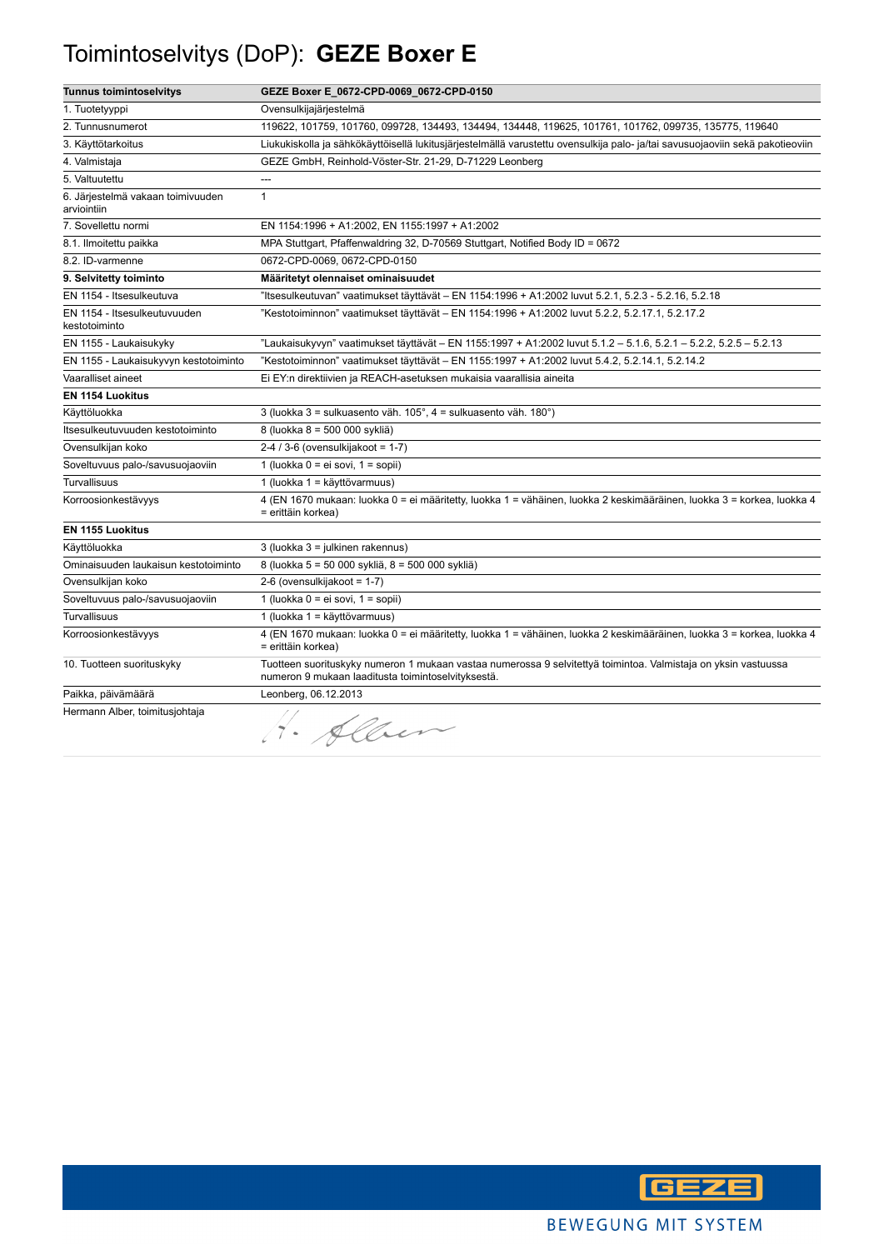## Toimintoselvitys (DoP): **GEZE Boxer E**

| <b>Tunnus toimintoselvitys</b>                   | GEZE Boxer E_0672-CPD-0069_0672-CPD-0150                                                                                                                             |
|--------------------------------------------------|----------------------------------------------------------------------------------------------------------------------------------------------------------------------|
| 1. Tuotetyyppi                                   | Ovensulkijajärjestelmä                                                                                                                                               |
| 2. Tunnusnumerot                                 | 119622, 101759, 101760, 099728, 134493, 134494, 134448, 119625, 101761, 101762, 099735, 135775, 119640                                                               |
| 3. Käyttötarkoitus                               | Liukukiskolla ja sähkökäyttöisellä lukitusjärjestelmällä varustettu ovensulkija palo- ja/tai savusuojaoviin sekä pakotieoviin                                        |
| 4. Valmistaja                                    | GEZE GmbH, Reinhold-Vöster-Str. 21-29, D-71229 Leonberg                                                                                                              |
| 5. Valtuutettu                                   |                                                                                                                                                                      |
| 6. Järjestelmä vakaan toimivuuden<br>arviointiin | $\mathbf{1}$                                                                                                                                                         |
| 7. Sovellettu normi                              | EN 1154:1996 + A1:2002, EN 1155:1997 + A1:2002                                                                                                                       |
| 8.1. Ilmoitettu paikka                           | MPA Stuttgart, Pfaffenwaldring 32, D-70569 Stuttgart, Notified Body ID = 0672                                                                                        |
| 8.2. ID-varmenne                                 | 0672-CPD-0069, 0672-CPD-0150                                                                                                                                         |
| 9. Selvitetty toiminto                           | Määritetyt olennaiset ominaisuudet                                                                                                                                   |
| EN 1154 - Itsesulkeutuva                         | 115esulkeutuvan" vaatimukset täyttävät – EN 1154:1996 + A1:2002 luvut 5.2.1, 5.2.3 - 5.2.16, 5.2.18"                                                                 |
| EN 1154 - Itsesulkeutuvuuden<br>kestotoiminto    | "Kestotoiminnon" vaatimukset täyttävät – EN 1154:1996 + A1:2002 luvut 5.2.2, 5.2.17.1, 5.2.17.2                                                                      |
| EN 1155 - Laukaisukyky                           | "Laukaisukyvyn" vaatimukset täyttävät – EN 1155:1997 + A1:2002 luvut 5.1.2 – 5.1.6, 5.2.1 – 5.2.2, 5.2.5 – 5.2.13                                                    |
| EN 1155 - Laukaisukyvyn kestotoiminto            | Kestotoiminnon" vaatimukset täyttävät – EN 1155:1997 + A1:2002 luvut 5.4.2, 5.2.14.1, 5.2.14.2"                                                                      |
| Vaaralliset aineet                               | Ei EY:n direktiivien ja REACH-asetuksen mukaisia vaarallisia aineita                                                                                                 |
| EN 1154 Luokitus                                 |                                                                                                                                                                      |
| Käyttöluokka                                     | 3 (luokka 3 = sulkuasento väh. 105°, 4 = sulkuasento väh. 180°)                                                                                                      |
| Itsesulkeutuvuuden kestotoiminto                 | 8 (luokka 8 = 500 000 sykliä)                                                                                                                                        |
| Ovensulkijan koko                                | $2-4/3-6$ (ovensulkijakoot = 1-7)                                                                                                                                    |
| Soveltuvuus palo-/savusuojaoviin                 | 1 (luokka 0 = ei sovi, 1 = sopii)                                                                                                                                    |
| <b>Turvallisuus</b>                              | 1 (luokka 1 = käyttövarmuus)                                                                                                                                         |
| Korroosionkestävyys                              | 4 (EN 1670 mukaan: luokka 0 = ei määritetty, luokka 1 = vähäinen, luokka 2 keskimääräinen, luokka 3 = korkea, luokka 4<br>= erittäin korkea)                         |
| EN 1155 Luokitus                                 |                                                                                                                                                                      |
| Käyttöluokka                                     | 3 (luokka 3 = julkinen rakennus)                                                                                                                                     |
| Ominaisuuden laukaisun kestotoiminto             | 8 (luokka 5 = 50 000 sykliä, 8 = 500 000 sykliä)                                                                                                                     |
| Ovensulkijan koko                                | 2-6 (ovensulkijakoot = 1-7)                                                                                                                                          |
| Soveltuvuus palo-/savusuojaoviin                 | 1 (luokka 0 = ei sovi, 1 = sopii)                                                                                                                                    |
| Turvallisuus                                     | 1 (luokka 1 = käyttövarmuus)                                                                                                                                         |
| Korroosionkestävyys                              | 4 (EN 1670 mukaan: luokka 0 = ei määritetty, luokka 1 = vähäinen, luokka 2 keskimääräinen, luokka 3 = korkea, luokka 4<br>= erittäin korkea)                         |
| 10. Tuotteen suorituskyky                        | Tuotteen suorituskyky numeron 1 mukaan vastaa numerossa 9 selvitettyä toimintoa. Valmistaja on yksin vastuussa<br>numeron 9 mukaan laaditusta toimintoselvityksestä. |
| Paikka, päivämäärä                               | Leonberg, 06.12.2013                                                                                                                                                 |
| Hermann Alber, toimitusjohtaja                   | 1. Alber                                                                                                                                                             |

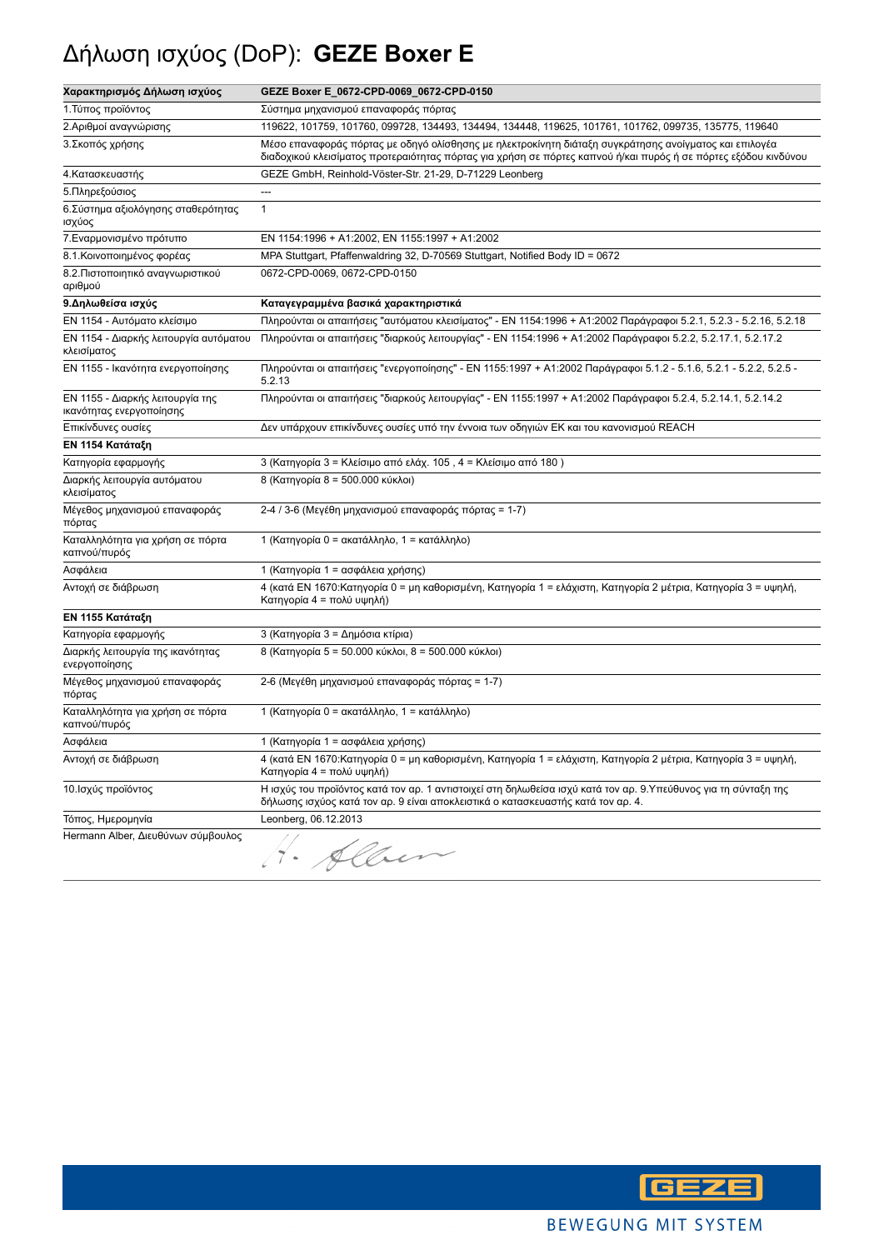# Δήλωση ισχύος (DoP): **GEZE Boxer E**

| Χαρακτηρισμός Δήλωση ισχύος                                  | GEZE Boxer E_0672-CPD-0069_0672-CPD-0150                                                                                                                                                                                  |
|--------------------------------------------------------------|---------------------------------------------------------------------------------------------------------------------------------------------------------------------------------------------------------------------------|
| 1. Τύπος προϊόντος                                           | Σύστημα μηχανισμού επαναφοράς πόρτας                                                                                                                                                                                      |
| 2. Αριθμοί αναγνώρισης                                       | 119622, 101759, 101760, 099728, 134493, 134494, 134448, 119625, 101761, 101762, 099735, 135775, 119640                                                                                                                    |
| 3. Σκοπός χρήσης                                             | Μέσο επαναφοράς πόρτας με οδηγό ολίσθησης με ηλεκτροκίνητη διάταξη συγκράτησης ανοίγματος και επιλογέα<br>διαδοχικού κλεισίματος προτεραιότητας πόρτας για χρήση σε πόρτες καπνού ή/και πυρός ή σε πόρτες εξόδου κινδύνου |
| 4. Κατασκευαστής                                             | GEZE GmbH, Reinhold-Vöster-Str. 21-29, D-71229 Leonberg                                                                                                                                                                   |
| 5. Πληρεξούσιος                                              | ---                                                                                                                                                                                                                       |
| 6. Σύστημα αξιολόγησης σταθερότητας<br>ισχύος                | $\mathbf{1}$                                                                                                                                                                                                              |
| 7. Εναρμονισμένο πρότυπο                                     | EN 1154:1996 + A1:2002, EN 1155:1997 + A1:2002                                                                                                                                                                            |
| 8.1. Κοινοποιημένος φορέας                                   | MPA Stuttgart, Pfaffenwaldring 32, D-70569 Stuttgart, Notified Body ID = 0672                                                                                                                                             |
| 8.2. Πιστοποιητικό αναγνωριστικού<br>αριθμού                 | 0672-CPD-0069, 0672-CPD-0150                                                                                                                                                                                              |
| 9. Δηλωθείσα ισχύς                                           | Καταγεγραμμένα βασικά χαρακτηριστικά                                                                                                                                                                                      |
| ΕΝ 1154 - Αυτόματο κλείσιμο                                  | Πληρούνται οι απαιτήσεις "αυτόματου κλεισίματος" - ΕΝ 1154:1996 + Α1:2002 Παράγραφοι 5.2.1, 5.2.3 - 5.2.16, 5.2.18                                                                                                        |
| ΕΝ 1154 - Διαρκής λειτουργία αυτόματου<br>κλεισίματος        | Πληρούνται οι απαιτήσεις "διαρκούς λειτουργίας" - ΕΝ 1154:1996 + Α1:2002 Παράγραφοι 5.2.2, 5.2.17.1, 5.2.17.2                                                                                                             |
| ΕΝ 1155 - Ικανότητα ενεργοποίησης                            | Πληρούνται οι απαιτήσεις "ενεργοποίησης" - ΕΝ 1155:1997 + Α1:2002 Παράγραφοι 5.1.2 - 5.1.6, 5.2.1 - 5.2.2, 5.2.5 -<br>5.2.13                                                                                              |
| ΕΝ 1155 - Διαρκής λειτουργία της<br>ικανότητας ενεργοποίησης | Πληρούνται οι απαιτήσεις "διαρκούς λειτουργίας" - ΕΝ 1155:1997 + Α1:2002 Παράγραφοι 5.2.4, 5.2.14.1, 5.2.14.2                                                                                                             |
| Επικίνδυνες ουσίες                                           | Δεν υπάρχουν επικίνδυνες ουσίες υπό την έννοια των οδηγιών ΕΚ και του κανονισμού REACH                                                                                                                                    |
| ΕΝ 1154 Κατάταξη                                             |                                                                                                                                                                                                                           |
| Κατηγορία εφαρμογής                                          | 3 (Κατηγορία 3 = Κλείσιμο από ελάχ. 105, 4 = Κλείσιμο από 180)                                                                                                                                                            |
| Διαρκής λειτουργία αυτόματου<br>κλεισίματος                  | 8 (Κατηγορία 8 = 500.000 κύκλοι)                                                                                                                                                                                          |
| Μέγεθος μηχανισμού επαναφοράς<br>πόρτας                      | 2-4 / 3-6 (Μεγέθη μηχανισμού επαναφοράς πόρτας = 1-7)                                                                                                                                                                     |
| Καταλληλότητα για χρήση σε πόρτα<br>καπνού/πυρός             | 1 (Κατηγορία 0 = ακατάλληλο, 1 = κατάλληλο)                                                                                                                                                                               |
| Ασφάλεια                                                     | 1 (Κατηγορία 1 = ασφάλεια χρήσης)                                                                                                                                                                                         |
| Αντοχή σε διάβρωση                                           | 4 (κατά ΕΝ 1670:Κατηγορία 0 = μη καθορισμένη, Κατηγορία 1 = ελάχιστη, Κατηγορία 2 μέτρια, Κατηγορία 3 = υψηλή,<br>Κατηγορία 4 = πολύ υψηλή)                                                                               |
| ΕΝ 1155 Κατάταξη                                             |                                                                                                                                                                                                                           |
| Κατηγορία εφαρμογής                                          | 3 (Κατηγορία 3 = Δημόσια κτίρια)                                                                                                                                                                                          |
| Διαρκής λειτουργία της ικανότητας<br>ενεργοποίησης           | 8 (Κατηγορία 5 = 50.000 κύκλοι, 8 = 500.000 κύκλοι)                                                                                                                                                                       |
| Μέγεθος μηχανισμού επαναφοράς<br>πόρτας                      | 2-6 (Μεγέθη μηχανισμού επαναφοράς πόρτας = 1-7)                                                                                                                                                                           |
| Καταλληλότητα για χρήση σε πόρτα<br>καπνού/πυρός             | 1 (Κατηγορία 0 = ακατάλληλο, 1 = κατάλληλο)                                                                                                                                                                               |
| Ασφάλεια                                                     | 1 (Κατηγορία 1 = ασφάλεια χρήσης)                                                                                                                                                                                         |
| Αντοχή σε διάβρωση                                           | 4 (κατά ΕΝ 1670:Κατηγορία 0 = μη καθορισμένη, Κατηγορία 1 = ελάχιστη, Κατηγορία 2 μέτρια, Κατηγορία 3 = υψηλή,<br>Κατηγορία 4 = πολύ υψηλή)                                                                               |
| 10. Ισχύς προϊόντος                                          | Η ισχύς του προϊόντος κατά τον αρ. 1 αντιστοιχεί στη δηλωθείσα ισχύ κατά τον αρ. 9.Υπεύθυνος για τη σύνταξη της<br>δήλωσης ισχύος κατά τον αρ. 9 είναι αποκλειστικά ο κατασκευαστής κατά τον αρ. 4.                       |
| Τόπος, Ημερομηνία                                            | Leonberg, 06.12.2013                                                                                                                                                                                                      |
| Hermann Alber, Διευθύνων σύμβουλος                           | Alber                                                                                                                                                                                                                     |

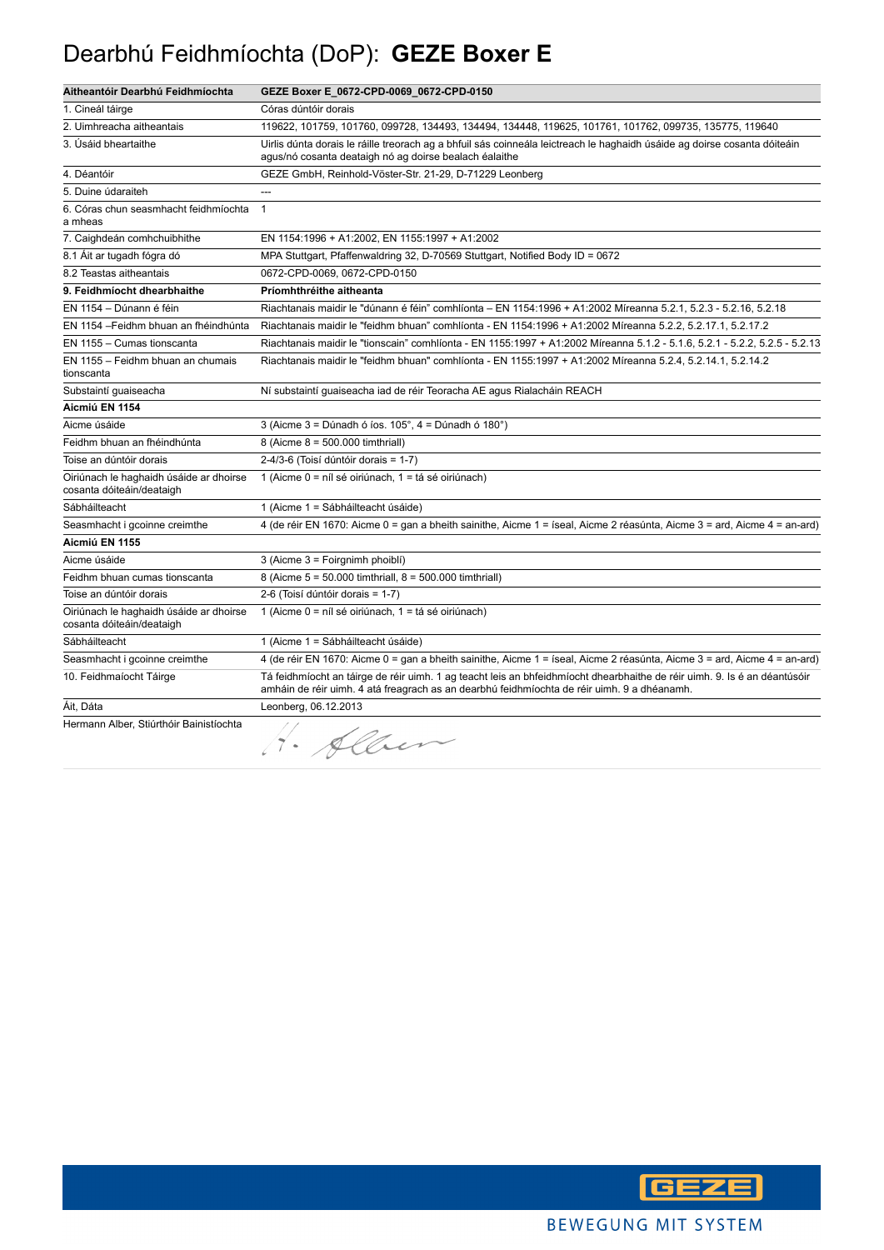### Dearbhú Feidhmíochta (DoP): **GEZE Boxer E**

| Aitheantóir Dearbhú Feidhmíochta                                     | GEZE Boxer E_0672-CPD-0069_0672-CPD-0150                                                                                                                                                                                 |
|----------------------------------------------------------------------|--------------------------------------------------------------------------------------------------------------------------------------------------------------------------------------------------------------------------|
| 1. Cineál táirge                                                     | Córas dúntóir dorais                                                                                                                                                                                                     |
| 2. Uimhreacha aitheantais                                            | 119622, 101759, 101760, 099728, 134493, 134494, 134448, 119625, 101761, 101762, 099735, 135775, 119640                                                                                                                   |
| 3. Úsáid bheartaithe                                                 | Uirlis dúnta dorais le ráille treorach ag a bhfuil sás coinneála leictreach le haghaidh úsáide ag doirse cosanta dóiteáin<br>agus/nó cosanta deataigh nó ag doirse bealach éalaithe                                      |
| 4. Déantóir                                                          | GEZE GmbH, Reinhold-Vöster-Str. 21-29, D-71229 Leonberg                                                                                                                                                                  |
| 5. Duine údaraiteh                                                   | $-$                                                                                                                                                                                                                      |
| 6. Córas chun seasmhacht feidhmíochta<br>a mheas                     | $\mathbf{1}$                                                                                                                                                                                                             |
| 7. Caighdeán comhchuibhithe                                          | EN 1154:1996 + A1:2002, EN 1155:1997 + A1:2002                                                                                                                                                                           |
| 8.1 Ait ar tugadh fógra dó                                           | MPA Stuttgart, Pfaffenwaldring 32, D-70569 Stuttgart, Notified Body ID = 0672                                                                                                                                            |
| 8.2 Teastas aitheantais                                              | 0672-CPD-0069, 0672-CPD-0150                                                                                                                                                                                             |
| 9. Feidhmíocht dhearbhaithe                                          | Príomhthréithe aitheanta                                                                                                                                                                                                 |
| EN 1154 - Dúnann é féin                                              | Riachtanais maidir le "dúnann é féin" comhlíonta – EN 1154:1996 + A1:2002 Míreanna 5.2.1, 5.2.3 - 5.2.16, 5.2.18                                                                                                         |
| EN 1154 - Feidhm bhuan an fhéindhúnta                                | Riachtanais maidir le "feidhm bhuan" comhlíonta - EN 1154:1996 + A1:2002 Míreanna 5.2.2, 5.2.17.1, 5.2.17.2                                                                                                              |
| EN 1155 - Cumas tionscanta                                           | Riachtanais maidir le "tionscain" comhlíonta - EN 1155:1997 + A1:2002 Míreanna 5.1.2 - 5.1.6, 5.2.1 - 5.2.2, 5.2.5 - 5.2.13                                                                                              |
| EN 1155 - Feidhm bhuan an chumais<br>tionscanta                      | Riachtanais maidir le "feidhm bhuan" comhlíonta - EN 1155:1997 + A1:2002 Míreanna 5.2.4, 5.2.14.1, 5.2.14.2                                                                                                              |
| Substaintí guaiseacha                                                | Ní substaintí guaiseacha iad de réir Teoracha AE agus Rialacháin REACH                                                                                                                                                   |
| Aicmiú EN 1154                                                       |                                                                                                                                                                                                                          |
| Aicme úsáide                                                         | 3 (Aicme $3 =$ Dúnadh ó íos. 105°, $4 =$ Dúnadh ó 180°)                                                                                                                                                                  |
| Feidhm bhuan an fhéindhúnta                                          | 8 (Aicme 8 = 500.000 timthriall)                                                                                                                                                                                         |
| Toise an dúntóir dorais                                              | 2-4/3-6 (Toisí dúntóir dorais = 1-7)                                                                                                                                                                                     |
| Oiriúnach le haghaidh úsáide ar dhoirse<br>cosanta dóiteáin/deataigh | 1 (Aicme 0 = níl sé oiriúnach, 1 = tá sé oiriúnach)                                                                                                                                                                      |
| Sábháilteacht                                                        | 1 (Aicme 1 = Sábháilteacht úsáide)                                                                                                                                                                                       |
| Seasmhacht i gcoinne creimthe                                        | 4 (de réir EN 1670: Aicme 0 = gan a bheith sainithe, Aicme 1 = íseal, Aicme 2 réasúnta, Aicme 3 = ard, Aicme 4 = an-ard)                                                                                                 |
| Aicmiú EN 1155                                                       |                                                                                                                                                                                                                          |
| Aicme úsáide                                                         | 3 (Aicme 3 = Foirgnimh phoiblí)                                                                                                                                                                                          |
| Feidhm bhuan cumas tionscanta                                        | 8 (Aicme 5 = 50.000 timthriall, 8 = 500.000 timthriall)                                                                                                                                                                  |
| Toise an dúntóir dorais                                              | 2-6 (Toisí dúntóir dorais = 1-7)                                                                                                                                                                                         |
| Oiriúnach le haghaidh úsáide ar dhoirse<br>cosanta dóiteáin/deataigh | 1 (Aicme 0 = níl sé oiriúnach, 1 = tá sé oiriúnach)                                                                                                                                                                      |
| Sábháilteacht                                                        | 1 (Aicme 1 = Sábháilteacht úsáide)                                                                                                                                                                                       |
| Seasmhacht i gcoinne creimthe                                        | 4 (de réir EN 1670: Aicme 0 = gan a bheith sainithe, Aicme 1 = íseal, Aicme 2 réasúnta, Aicme 3 = ard, Aicme 4 = an-ard)                                                                                                 |
| 10. Feidhmaíocht Táirge                                              | Tá feidhmíocht an táirge de réir uimh. 1 ag teacht leis an bhfeidhmíocht dhearbhaithe de réir uimh. 9. Is é an déantúsóir<br>amháin de réir uimh. 4 atá freagrach as an dearbhú feidhmíochta de réir uimh. 9 a dhéanamh. |
| Áit, Dáta                                                            | Leonberg, 06.12.2013                                                                                                                                                                                                     |
| Hermann Alber, Stiúrthóir Bainistíochta                              | · Alber                                                                                                                                                                                                                  |

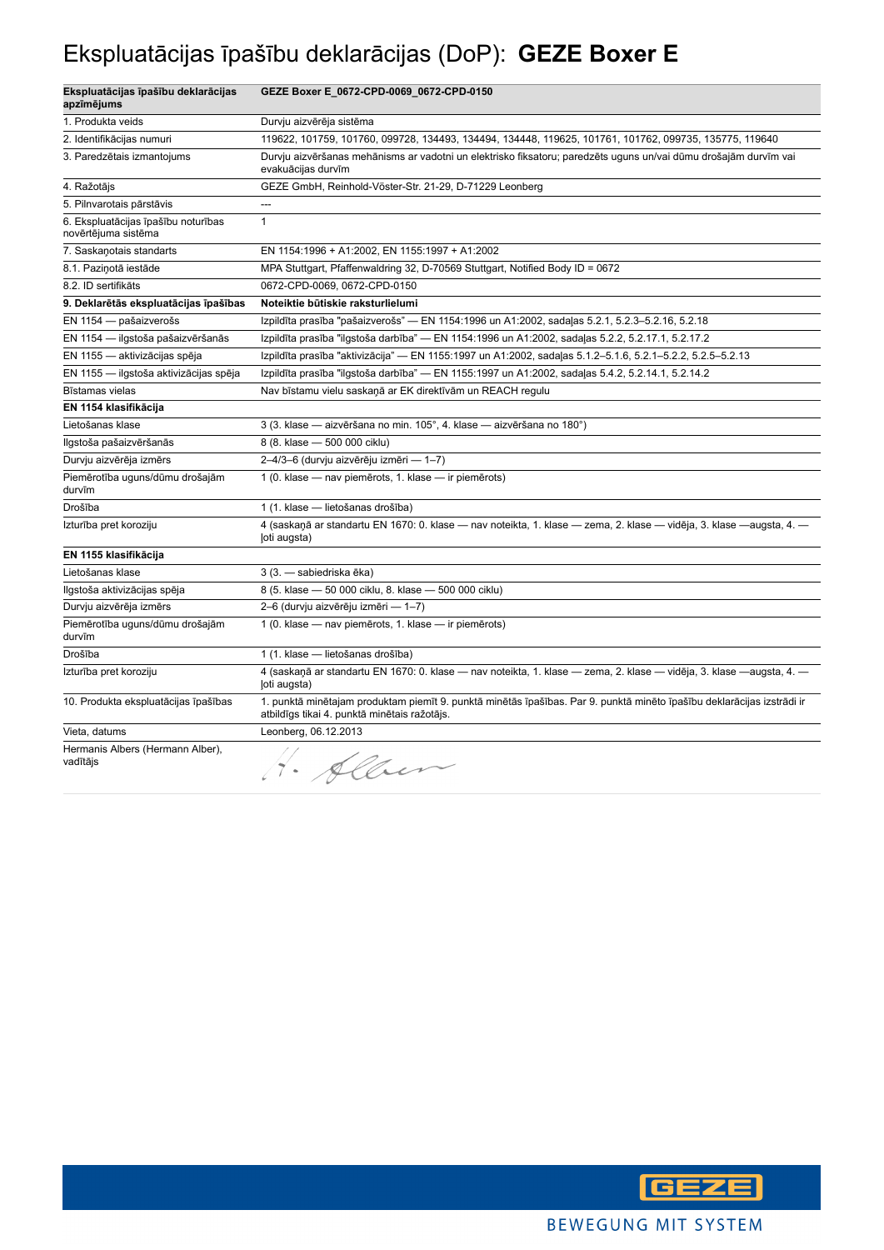## Ekspluatācijas īpašību deklarācijas (DoP): **GEZE Boxer E**

| Ekspluatācijas īpašību deklarācijas<br>apzīmējums          | GEZE Boxer E_0672-CPD-0069_0672-CPD-0150                                                                                                                               |
|------------------------------------------------------------|------------------------------------------------------------------------------------------------------------------------------------------------------------------------|
| 1. Produkta veids                                          | Durvju aizvērēja sistēma                                                                                                                                               |
| 2. Identifikācijas numuri                                  | 119622, 101759, 101760, 099728, 134493, 134494, 134448, 119625, 101761, 101762, 099735, 135775, 119640                                                                 |
| 3. Paredzētais izmantojums                                 | Durvju aizvēršanas mehānisms ar vadotni un elektrisko fiksatoru; paredzēts uguns un/vai dūmu drošajām durvīm vai<br>evakuācijas durvīm                                 |
| 4. Ražotājs                                                | GEZE GmbH, Reinhold-Vöster-Str. 21-29, D-71229 Leonberg                                                                                                                |
| 5. Pilnvarotais pārstāvis                                  | ---                                                                                                                                                                    |
| 6. Ekspluatācijas īpašību noturības<br>novērtējuma sistēma | $\mathbf{1}$                                                                                                                                                           |
| 7. Saskaņotais standarts                                   | EN 1154:1996 + A1:2002, EN 1155:1997 + A1:2002                                                                                                                         |
| 8.1. Paziņotā iestāde                                      | MPA Stuttgart, Pfaffenwaldring 32, D-70569 Stuttgart, Notified Body ID = 0672                                                                                          |
| 8.2. ID sertifikāts                                        | 0672-CPD-0069, 0672-CPD-0150                                                                                                                                           |
| 9. Deklarētās ekspluatācijas īpašības                      | Noteiktie būtiskie raksturlielumi                                                                                                                                      |
| EN 1154 - pašaizverošs                                     | Izpildīta prasība "pašaizverošs" — EN 1154:1996 un A1:2002, sadaļas 5.2.1, 5.2.3–5.2.16, 5.2.18                                                                        |
| EN 1154 - ilgstoša pašaizvēršanās                          | Izpildīta prasība "ilgstoša darbība" — EN 1154:1996 un A1:2002, sadaļas 5.2.2, 5.2.17.1, 5.2.17.2                                                                      |
| EN 1155 - aktivizācijas spēja                              | Izpildīta prasība "aktivizācija" — EN 1155:1997 un A1:2002, sadaļas 5.1.2-5.1.6, 5.2.1-5.2.2, 5.2.5-5.2.13                                                             |
| EN 1155 - ilgstoša aktivizācijas spēja                     | Izpildīta prasība "ilgstoša darbība" — EN 1155:1997 un A1:2002, sadaļas 5.4.2, 5.2.14.1, 5.2.14.2                                                                      |
| Bīstamas vielas                                            | Nav bīstamu vielu saskaņā ar EK direktīvām un REACH regulu                                                                                                             |
| EN 1154 klasifikācija                                      |                                                                                                                                                                        |
| Lietošanas klase                                           | 3 (3. klase — aizvēršana no min. 105°, 4. klase — aizvēršana no 180°)                                                                                                  |
| Ilgstoša pašaizvēršanās                                    | 8 (8. klase - 500 000 ciklu)                                                                                                                                           |
| Durvju aizvērēja izmērs                                    | 2-4/3-6 (durvju aizvērēju izmēri - 1-7)                                                                                                                                |
| Piemērotība uguns/dūmu drošajām<br>durvīm                  | 1 (0. klase - nav piemērots, 1. klase - ir piemērots)                                                                                                                  |
| Drošība                                                    | 1 (1. klase - lietošanas drošība)                                                                                                                                      |
| Izturība pret koroziju                                     | 4 (saskaņā ar standartu EN 1670: 0. klase — nav noteikta, 1. klase — zema, 2. klase — vidēja, 3. klase —augsta, 4. —<br>loti augsta)                                   |
| EN 1155 klasifikācija                                      |                                                                                                                                                                        |
| Lietošanas klase                                           | 3 (3. - sabiedriska ēka)                                                                                                                                               |
| Ilgstoša aktivizācijas spēja                               | 8 (5. klase - 50 000 ciklu, 8. klase - 500 000 ciklu)                                                                                                                  |
| Durvju aizvērēja izmērs                                    | 2-6 (durvju aizvērēju izmēri - 1-7)                                                                                                                                    |
| Piemērotība uguns/dūmu drošajām<br>durvīm                  | 1 (0. klase - nav piemērots, 1. klase - ir piemērots)                                                                                                                  |
| Drošība                                                    | 1 (1. klase — lietošanas drošība)                                                                                                                                      |
| Izturība pret koroziju                                     | 4 (saskaņā ar standartu EN 1670: 0. klase — nav noteikta, 1. klase — zema, 2. klase — vidēja, 3. klase —augsta, 4. —<br>(oti augsta)                                   |
| 10. Produkta ekspluatācijas īpašības                       | 1. punktā minētajam produktam piemīt 9. punktā minētās īpašības. Par 9. punktā minēto īpašību deklarācijas izstrādi ir<br>atbildīgs tikai 4. punktā minētais ražotājs. |
| Vieta, datums                                              | Leonberg, 06.12.2013                                                                                                                                                   |
| Hermanis Albers (Hermann Alber),<br>vadītājs               | 1. Alber                                                                                                                                                               |

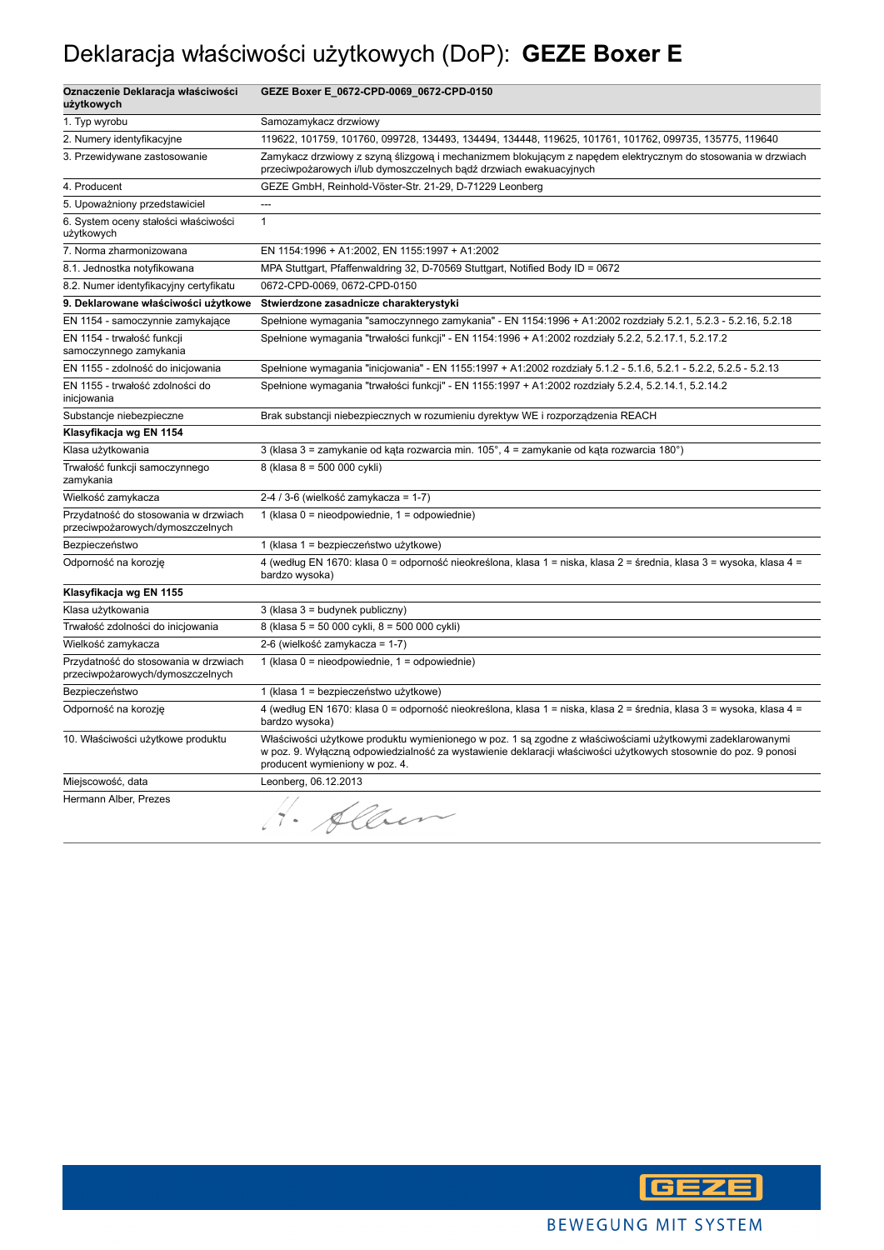### Deklaracja właściwości użytkowych (DoP): **GEZE Boxer E**

| Oznaczenie Deklaracja właściwości<br>użytkowych                          | GEZE Boxer E_0672-CPD-0069_0672-CPD-0150                                                                                                                                                                                                                       |
|--------------------------------------------------------------------------|----------------------------------------------------------------------------------------------------------------------------------------------------------------------------------------------------------------------------------------------------------------|
| 1. Typ wyrobu                                                            | Samozamykacz drzwiowy                                                                                                                                                                                                                                          |
| 2. Numery identyfikacyjne                                                | 119622, 101759, 101760, 099728, 134493, 134494, 134448, 119625, 101761, 101762, 099735, 135775, 119640                                                                                                                                                         |
| 3. Przewidywane zastosowanie                                             | Zamykacz drzwiowy z szyną ślizgową i mechanizmem blokującym z napędem elektrycznym do stosowania w drzwiach<br>przeciwpożarowych i/lub dymoszczelnych bądź drzwiach ewakuacyjnych                                                                              |
| 4. Producent                                                             | GEZE GmbH, Reinhold-Vöster-Str. 21-29, D-71229 Leonberg                                                                                                                                                                                                        |
| 5. Upoważniony przedstawiciel                                            | ---                                                                                                                                                                                                                                                            |
| 6. System oceny stałości właściwości<br>użytkowych                       | $\mathbf{1}$                                                                                                                                                                                                                                                   |
| 7. Norma zharmonizowana                                                  | EN 1154:1996 + A1:2002, EN 1155:1997 + A1:2002                                                                                                                                                                                                                 |
| 8.1. Jednostka notyfikowana                                              | MPA Stuttgart, Pfaffenwaldring 32, D-70569 Stuttgart, Notified Body ID = 0672                                                                                                                                                                                  |
| 8.2. Numer identyfikacyjny certyfikatu                                   | 0672-CPD-0069, 0672-CPD-0150                                                                                                                                                                                                                                   |
| 9. Deklarowane właściwości użytkowe                                      | Stwierdzone zasadnicze charakterystyki                                                                                                                                                                                                                         |
| EN 1154 - samoczynnie zamykające                                         | Spełnione wymagania "samoczynnego zamykania" - EN 1154:1996 + A1:2002 rozdziały 5.2.1, 5.2.3 - 5.2.16, 5.2.18                                                                                                                                                  |
| EN 1154 - trwałość funkcji<br>samoczynnego zamykania                     | Spełnione wymagania "trwałości funkcji" - EN 1154:1996 + A1:2002 rozdziały 5.2.2, 5.2.17.1, 5.2.17.2                                                                                                                                                           |
| EN 1155 - zdolność do inicjowania                                        | Spełnione wymagania "inicjowania" - EN 1155:1997 + A1:2002 rozdziały 5.1.2 - 5.1.6, 5.2.1 - 5.2.2, 5.2.5 - 5.2.13                                                                                                                                              |
| EN 1155 - trwałość zdolności do<br>inicjowania                           | Spełnione wymagania "trwałości funkcji" - EN 1155:1997 + A1:2002 rozdziały 5.2.4, 5.2.14.1, 5.2.14.2                                                                                                                                                           |
| Substancje niebezpieczne                                                 | Brak substancji niebezpiecznych w rozumieniu dyrektyw WE i rozporządzenia REACH                                                                                                                                                                                |
| Klasyfikacja wg EN 1154                                                  |                                                                                                                                                                                                                                                                |
| Klasa użytkowania                                                        | 3 (klasa 3 = zamykanie od kąta rozwarcia min. 105°, 4 = zamykanie od kąta rozwarcia 180°)                                                                                                                                                                      |
| Trwałość funkcji samoczynnego<br>zamykania                               | 8 (klasa 8 = 500 000 cykli)                                                                                                                                                                                                                                    |
| Wielkość zamykacza                                                       | 2-4 / 3-6 (wielkość zamykacza = 1-7)                                                                                                                                                                                                                           |
| Przydatność do stosowania w drzwiach<br>przeciwpożarowych/dymoszczelnych | 1 (klasa $0 =$ nieodpowiednie, $1 =$ odpowiednie)                                                                                                                                                                                                              |
| Bezpieczeństwo                                                           | 1 (klasa 1 = bezpieczeństwo użytkowe)                                                                                                                                                                                                                          |
| Odporność na korozję                                                     | 4 (według EN 1670: klasa 0 = odporność nieokreślona, klasa 1 = niska, klasa 2 = średnia, klasa 3 = wysoka, klasa 4 =<br>bardzo wysoka)                                                                                                                         |
| Klasyfikacja wg EN 1155                                                  |                                                                                                                                                                                                                                                                |
| Klasa użytkowania                                                        | 3 (klasa 3 = budynek publiczny)                                                                                                                                                                                                                                |
| Trwałość zdolności do inicjowania                                        | 8 (klasa 5 = 50 000 cykli, 8 = 500 000 cykli)                                                                                                                                                                                                                  |
| Wielkość zamykacza                                                       | 2-6 (wielkość zamykacza = 1-7)                                                                                                                                                                                                                                 |
| Przydatność do stosowania w drzwiach<br>przeciwpożarowych/dymoszczelnych | 1 (klasa $0 =$ nieodpowiednie, $1 =$ odpowiednie)                                                                                                                                                                                                              |
| Bezpieczeństwo                                                           | 1 (klasa 1 = bezpieczeństwo użytkowe)                                                                                                                                                                                                                          |
| Odporność na korozję                                                     | 4 (według EN 1670: klasa 0 = odporność nieokreślona, klasa 1 = niska, klasa 2 = średnia, klasa 3 = wysoka, klasa 4 =<br>bardzo wysoka)                                                                                                                         |
| 10. Właściwości użytkowe produktu                                        | Właściwości użytkowe produktu wymienionego w poz. 1 są zgodne z właściwościami użytkowymi zadeklarowanymi<br>w poz. 9. Wyłączną odpowiedzialność za wystawienie deklaracji właściwości użytkowych stosownie do poz. 9 ponosi<br>producent wymieniony w poz. 4. |
| Miejscowość, data                                                        | Leonberg, 06.12.2013                                                                                                                                                                                                                                           |
| Hermann Alber, Prezes                                                    | H. Alben                                                                                                                                                                                                                                                       |

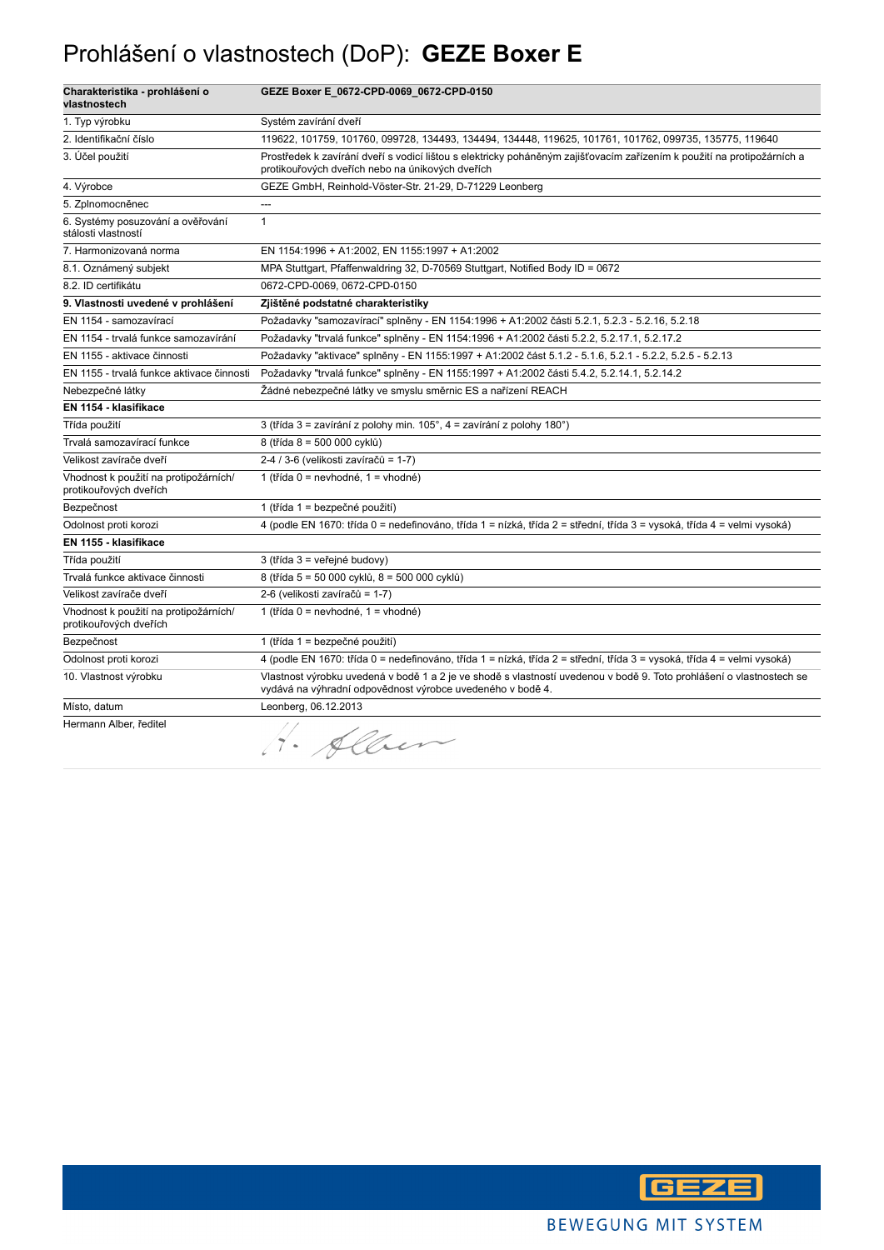### Prohlášení o vlastnostech (DoP): **GEZE Boxer E**

| Charakteristika - prohlášení o<br>vlastnostech                  | GEZE Boxer E_0672-CPD-0069_0672-CPD-0150                                                                                                                                           |
|-----------------------------------------------------------------|------------------------------------------------------------------------------------------------------------------------------------------------------------------------------------|
| 1. Typ výrobku                                                  | Systém zavírání dveří                                                                                                                                                              |
| 2. Identifikační číslo                                          | 119622, 101759, 101760, 099728, 134493, 134494, 134448, 119625, 101761, 101762, 099735, 135775, 119640                                                                             |
| 3. Účel použití                                                 | Prostředek k zavírání dveří s vodicí lištou s elektricky poháněným zajišťovacím zařízením k použití na protipožárních a<br>protikouřových dveřích nebo na únikových dveřích        |
| 4. Výrobce                                                      | GEZE GmbH, Reinhold-Vöster-Str. 21-29, D-71229 Leonberg                                                                                                                            |
| 5. Zplnomocněnec                                                | $\overline{\phantom{a}}$                                                                                                                                                           |
| 6. Systémy posuzování a ověřování<br>stálosti vlastností        | $\mathbf{1}$                                                                                                                                                                       |
| 7. Harmonizovaná norma                                          | EN 1154:1996 + A1:2002, EN 1155:1997 + A1:2002                                                                                                                                     |
| 8.1. Oznámený subjekt                                           | MPA Stuttgart, Pfaffenwaldring 32, D-70569 Stuttgart, Notified Body ID = 0672                                                                                                      |
| 8.2. ID certifikátu                                             | 0672-CPD-0069, 0672-CPD-0150                                                                                                                                                       |
| 9. Vlastnosti uvedené v prohlášení                              | Zjištěné podstatné charakteristiky                                                                                                                                                 |
| EN 1154 - samozavírací                                          | Požadavky "samozavírací" splněny - EN 1154:1996 + A1:2002 části 5.2.1, 5.2.3 - 5.2.16, 5.2.18                                                                                      |
| EN 1154 - trvalá funkce samozavírání                            | Požadavky "trvalá funkce" splněny - EN 1154:1996 + A1:2002 části 5.2.2, 5.2.17.1, 5.2.17.2                                                                                         |
| EN 1155 - aktivace činnosti                                     | Požadavky "aktivace" splněny - EN 1155:1997 + A1:2002 část 5.1.2 - 5.1.6, 5.2.1 - 5.2.2, 5.2.5 - 5.2.13                                                                            |
| EN 1155 - trvalá funkce aktivace činnosti                       | Požadavky "trvalá funkce" splněny - EN 1155:1997 + A1:2002 části 5.4.2, 5.2.14.1, 5.2.14.2                                                                                         |
| Nebezpečné látky                                                | Žádné nebezpečné látky ve smyslu směrnic ES a nařízení REACH                                                                                                                       |
| EN 1154 - klasifikace                                           |                                                                                                                                                                                    |
| Třída použití                                                   | 3 (třída 3 = zavírání z polohy min. 105°, 4 = zavírání z polohy 180°)                                                                                                              |
| Trvalá samozavírací funkce                                      | 8 (třída 8 = 500 000 cyklů)                                                                                                                                                        |
| Velikost zavírače dveří                                         | 2-4 / 3-6 (velikosti zavíračů = 1-7)                                                                                                                                               |
| Vhodnost k použití na protipožárních/<br>protikouřových dveřích | 1 (třída 0 = nevhodné, 1 = vhodné)                                                                                                                                                 |
| Bezpečnost                                                      | 1 (třída 1 = bezpečné použití)                                                                                                                                                     |
| Odolnost proti korozi                                           | 4 (podle EN 1670: třída 0 = nedefinováno, třída 1 = nízká, třída 2 = střední, třída 3 = vysoká, třída 4 = velmi vysoká)                                                            |
| EN 1155 - klasifikace                                           |                                                                                                                                                                                    |
| Třída použití                                                   | 3 (třída 3 = veřejné budovy)                                                                                                                                                       |
| Trvalá funkce aktivace činnosti                                 | 8 (třída 5 = 50 000 cyklů, 8 = 500 000 cyklů)                                                                                                                                      |
| Velikost zavírače dveří                                         | 2-6 (velikosti zavíračů = 1-7)                                                                                                                                                     |
| Vhodnost k použití na protipožárních/<br>protikouřových dveřích | 1 (třída 0 = nevhodné, 1 = vhodné)                                                                                                                                                 |
| Bezpečnost                                                      | 1 (třída 1 = bezpečné použití)                                                                                                                                                     |
| Odolnost proti korozi                                           | 4 (podle EN 1670: třída 0 = nedefinováno, třída 1 = nízká, třída 2 = střední, třída 3 = vysoká, třída 4 = velmi vysoká)                                                            |
| 10. Vlastnost výrobku                                           | Vlastnost výrobku uvedená v bodě 1 a 2 je ve shodě s vlastností uvedenou v bodě 9. Toto prohlášení o vlastnostech se<br>vydává na výhradní odpovědnost výrobce uvedeného v bodě 4. |
| Místo, datum                                                    | Leonberg, 06.12.2013                                                                                                                                                               |
| Hermann Alber, ředitel                                          | Alber                                                                                                                                                                              |

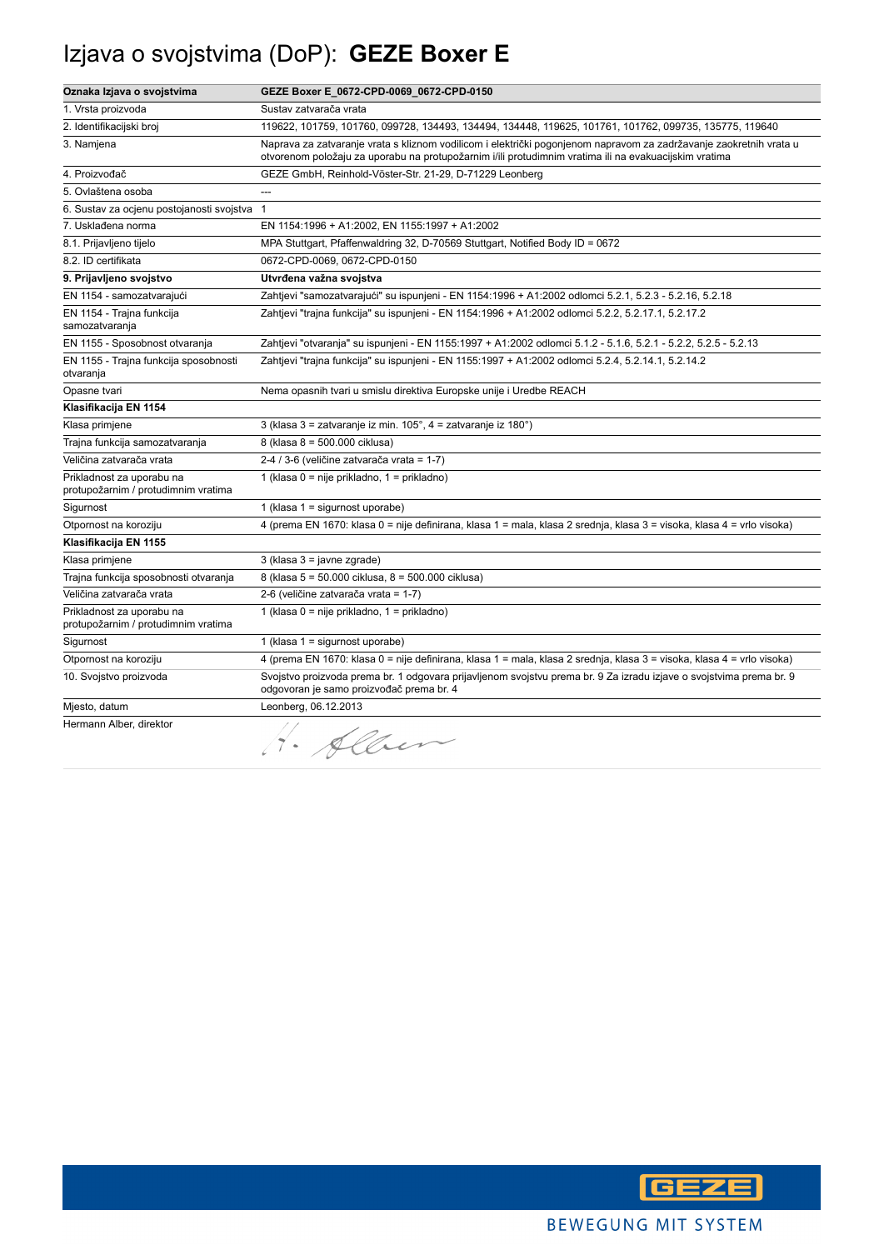## Izjava o svojstvima (DoP): **GEZE Boxer E**

| Oznaka Izjava o svojstvima                                       | GEZE Boxer E_0672-CPD-0069_0672-CPD-0150                                                                                                                                                                                    |
|------------------------------------------------------------------|-----------------------------------------------------------------------------------------------------------------------------------------------------------------------------------------------------------------------------|
| 1. Vrsta proizvoda                                               | Sustav zatvarača vrata                                                                                                                                                                                                      |
| 2. Identifikacijski broj                                         | 119622, 101759, 101760, 099728, 134493, 134494, 134448, 119625, 101761, 101762, 099735, 135775, 119640                                                                                                                      |
| 3. Namjena                                                       | Naprava za zatvaranje vrata s kliznom vodilicom i električki pogonjenom napravom za zadržavanje zaokretnih vrata u<br>otvorenom položaju za uporabu na protupožarnim i/ili protudimnim vratima ili na evakuacijskim vratima |
| 4. Proizvođač                                                    | GEZE GmbH, Reinhold-Vöster-Str. 21-29, D-71229 Leonberg                                                                                                                                                                     |
| 5. Ovlaštena osoba                                               |                                                                                                                                                                                                                             |
| 6. Sustav za ocjenu postojanosti svojstva                        | $\overline{1}$                                                                                                                                                                                                              |
| 7. Usklađena norma                                               | EN 1154:1996 + A1:2002, EN 1155:1997 + A1:2002                                                                                                                                                                              |
| 8.1. Prijavljeno tijelo                                          | MPA Stuttgart, Pfaffenwaldring 32, D-70569 Stuttgart, Notified Body ID = 0672                                                                                                                                               |
| 8.2. ID certifikata                                              | 0672-CPD-0069, 0672-CPD-0150                                                                                                                                                                                                |
| 9. Prijavljeno svojstvo                                          | Utvrđena važna svojstva                                                                                                                                                                                                     |
| EN 1154 - samozatvarajući                                        | Zahtjevi "samozatvarajući" su ispunjeni - EN 1154:1996 + A1:2002 odlomci 5.2.1, 5.2.3 - 5.2.16, 5.2.18                                                                                                                      |
| EN 1154 - Trajna funkcija<br>samozatvaranja                      | Zahtjevi "trajna funkcija" su ispunjeni - EN 1154:1996 + A1:2002 odlomci 5.2.2, 5.2.17.1, 5.2.17.2                                                                                                                          |
| EN 1155 - Sposobnost otvaranja                                   | Zahtjevi "otvaranja" su ispunjeni - EN 1155:1997 + A1:2002 odlomci 5.1.2 - 5.1.6, 5.2.1 - 5.2.2, 5.2.5 - 5.2.13                                                                                                             |
| EN 1155 - Trajna funkcija sposobnosti<br>otvaranja               | Zahtjevi "trajna funkcija" su ispunjeni - EN 1155:1997 + A1:2002 odlomci 5.2.4, 5.2.14.1, 5.2.14.2                                                                                                                          |
| Opasne tvari                                                     | Nema opasnih tvari u smislu direktiva Europske unije i Uredbe REACH                                                                                                                                                         |
| Klasifikacija EN 1154                                            |                                                                                                                                                                                                                             |
| Klasa primjene                                                   | 3 (klasa 3 = zatvaranje iz min. 105°, 4 = zatvaranje iz 180°)                                                                                                                                                               |
| Trajna funkcija samozatvaranja                                   | 8 (klasa 8 = 500.000 ciklusa)                                                                                                                                                                                               |
| Veličina zatvarača vrata                                         | 2-4 / 3-6 (veličine zatvarača vrata = 1-7)                                                                                                                                                                                  |
| Prikladnost za uporabu na<br>protupožarnim / protudimnim vratima | 1 (klasa 0 = nije prikladno, 1 = prikladno)                                                                                                                                                                                 |
| Sigurnost                                                        | 1 (klasa $1 =$ sigurnost uporabe)                                                                                                                                                                                           |
| Otpornost na koroziju                                            | 4 (prema EN 1670: klasa 0 = nije definirana, klasa 1 = mala, klasa 2 srednja, klasa 3 = visoka, klasa 4 = vrlo visoka)                                                                                                      |
| Klasifikacija EN 1155                                            |                                                                                                                                                                                                                             |
| Klasa primjene                                                   | 3 (klasa 3 = javne zgrade)                                                                                                                                                                                                  |
| Trajna funkcija sposobnosti otvaranja                            | 8 (klasa 5 = 50.000 ciklusa, 8 = 500.000 ciklusa)                                                                                                                                                                           |
| Veličina zatvarača vrata                                         | 2-6 (veličine zatvarača vrata = 1-7)                                                                                                                                                                                        |
| Prikladnost za uporabu na<br>protupožarnim / protudimnim vratima | 1 (klasa 0 = nije prikladno, 1 = prikladno)                                                                                                                                                                                 |
| Sigurnost                                                        | 1 (klasa 1 = sigurnost uporabe)                                                                                                                                                                                             |
| Otpornost na koroziju                                            | 4 (prema EN 1670: klasa 0 = nije definirana, klasa 1 = mala, klasa 2 srednja, klasa 3 = visoka, klasa 4 = vrlo visoka)                                                                                                      |
| 10. Svojstvo proizvoda                                           | Svojstvo proizvoda prema br. 1 odgovara prijavljenom svojstvu prema br. 9 Za izradu izjave o svojstvima prema br. 9<br>odgovoran je samo proizvođač prema br. 4                                                             |
| Mjesto, datum                                                    | Leonberg, 06.12.2013                                                                                                                                                                                                        |
| Hermann Alber, direktor                                          | · Alber                                                                                                                                                                                                                     |